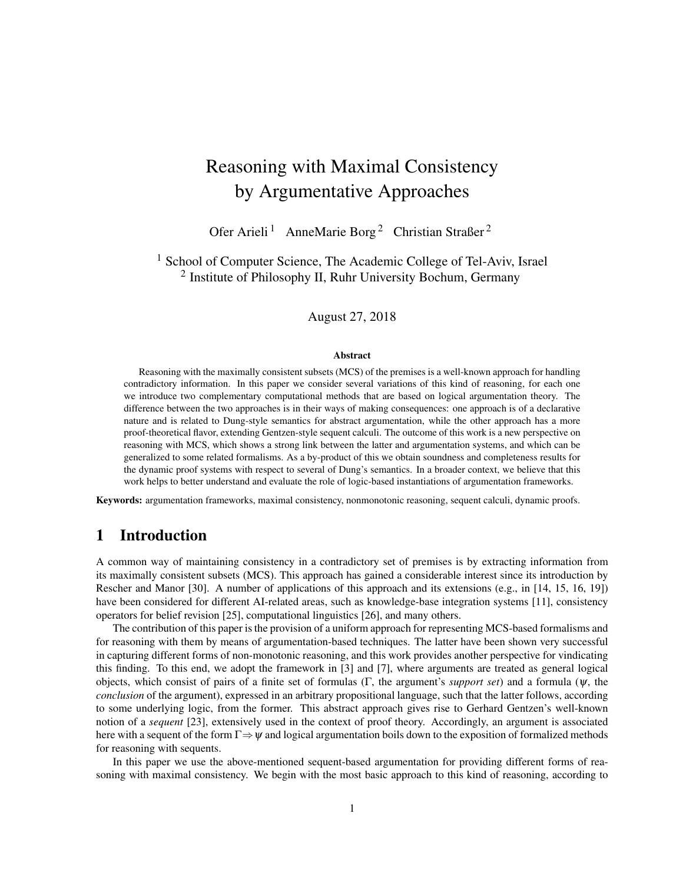# Reasoning with Maximal Consistency by Argumentative Approaches

Ofer Arieli<sup>1</sup> AnneMarie Borg<sup>2</sup> Christian Straßer<sup>2</sup>

<sup>1</sup> School of Computer Science, The Academic College of Tel-Aviv, Israel <sup>2</sup> Institute of Philosophy II, Ruhr University Bochum, Germany

August 27, 2018

#### Abstract

Reasoning with the maximally consistent subsets (MCS) of the premises is a well-known approach for handling contradictory information. In this paper we consider several variations of this kind of reasoning, for each one we introduce two complementary computational methods that are based on logical argumentation theory. The difference between the two approaches is in their ways of making consequences: one approach is of a declarative nature and is related to Dung-style semantics for abstract argumentation, while the other approach has a more proof-theoretical flavor, extending Gentzen-style sequent calculi. The outcome of this work is a new perspective on reasoning with MCS, which shows a strong link between the latter and argumentation systems, and which can be generalized to some related formalisms. As a by-product of this we obtain soundness and completeness results for the dynamic proof systems with respect to several of Dung's semantics. In a broader context, we believe that this work helps to better understand and evaluate the role of logic-based instantiations of argumentation frameworks.

Keywords: argumentation frameworks, maximal consistency, nonmonotonic reasoning, sequent calculi, dynamic proofs.

### 1 Introduction

A common way of maintaining consistency in a contradictory set of premises is by extracting information from its maximally consistent subsets (MCS). This approach has gained a considerable interest since its introduction by Rescher and Manor [30]. A number of applications of this approach and its extensions (e.g., in [14, 15, 16, 19]) have been considered for different AI-related areas, such as knowledge-base integration systems [11], consistency operators for belief revision [25], computational linguistics [26], and many others.

The contribution of this paper is the provision of a uniform approach for representing MCS-based formalisms and for reasoning with them by means of argumentation-based techniques. The latter have been shown very successful in capturing different forms of non-monotonic reasoning, and this work provides another perspective for vindicating this finding. To this end, we adopt the framework in [3] and [7], where arguments are treated as general logical objects, which consist of pairs of a finite set of formulas (Γ, the argument's *support set*) and a formula (ψ, the *conclusion* of the argument), expressed in an arbitrary propositional language, such that the latter follows, according to some underlying logic, from the former. This abstract approach gives rise to Gerhard Gentzen's well-known notion of a *sequent* [23], extensively used in the context of proof theory. Accordingly, an argument is associated here with a sequent of the form  $\Gamma \Rightarrow \psi$  and logical argumentation boils down to the exposition of formalized methods for reasoning with sequents.

In this paper we use the above-mentioned sequent-based argumentation for providing different forms of reasoning with maximal consistency. We begin with the most basic approach to this kind of reasoning, according to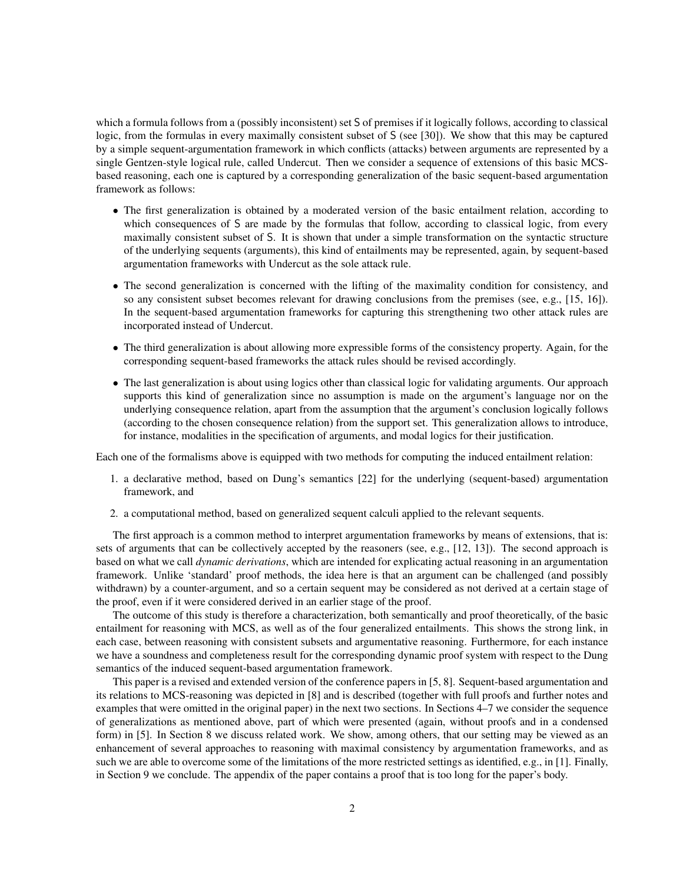which a formula follows from a (possibly inconsistent) set S of premises if it logically follows, according to classical logic, from the formulas in every maximally consistent subset of S (see [30]). We show that this may be captured by a simple sequent-argumentation framework in which conflicts (attacks) between arguments are represented by a single Gentzen-style logical rule, called Undercut. Then we consider a sequence of extensions of this basic MCSbased reasoning, each one is captured by a corresponding generalization of the basic sequent-based argumentation framework as follows:

- The first generalization is obtained by a moderated version of the basic entailment relation, according to which consequences of S are made by the formulas that follow, according to classical logic, from every maximally consistent subset of S. It is shown that under a simple transformation on the syntactic structure of the underlying sequents (arguments), this kind of entailments may be represented, again, by sequent-based argumentation frameworks with Undercut as the sole attack rule.
- The second generalization is concerned with the lifting of the maximality condition for consistency, and so any consistent subset becomes relevant for drawing conclusions from the premises (see, e.g., [15, 16]). In the sequent-based argumentation frameworks for capturing this strengthening two other attack rules are incorporated instead of Undercut.
- The third generalization is about allowing more expressible forms of the consistency property. Again, for the corresponding sequent-based frameworks the attack rules should be revised accordingly.
- The last generalization is about using logics other than classical logic for validating arguments. Our approach supports this kind of generalization since no assumption is made on the argument's language nor on the underlying consequence relation, apart from the assumption that the argument's conclusion logically follows (according to the chosen consequence relation) from the support set. This generalization allows to introduce, for instance, modalities in the specification of arguments, and modal logics for their justification.

Each one of the formalisms above is equipped with two methods for computing the induced entailment relation:

- 1. a declarative method, based on Dung's semantics [22] for the underlying (sequent-based) argumentation framework, and
- 2. a computational method, based on generalized sequent calculi applied to the relevant sequents.

The first approach is a common method to interpret argumentation frameworks by means of extensions, that is: sets of arguments that can be collectively accepted by the reasoners (see, e.g., [12, 13]). The second approach is based on what we call *dynamic derivations*, which are intended for explicating actual reasoning in an argumentation framework. Unlike 'standard' proof methods, the idea here is that an argument can be challenged (and possibly withdrawn) by a counter-argument, and so a certain sequent may be considered as not derived at a certain stage of the proof, even if it were considered derived in an earlier stage of the proof.

The outcome of this study is therefore a characterization, both semantically and proof theoretically, of the basic entailment for reasoning with MCS, as well as of the four generalized entailments. This shows the strong link, in each case, between reasoning with consistent subsets and argumentative reasoning. Furthermore, for each instance we have a soundness and completeness result for the corresponding dynamic proof system with respect to the Dung semantics of the induced sequent-based argumentation framework.

This paper is a revised and extended version of the conference papers in [5, 8]. Sequent-based argumentation and its relations to MCS-reasoning was depicted in [8] and is described (together with full proofs and further notes and examples that were omitted in the original paper) in the next two sections. In Sections 4–7 we consider the sequence of generalizations as mentioned above, part of which were presented (again, without proofs and in a condensed form) in [5]. In Section 8 we discuss related work. We show, among others, that our setting may be viewed as an enhancement of several approaches to reasoning with maximal consistency by argumentation frameworks, and as such we are able to overcome some of the limitations of the more restricted settings as identified, e.g., in [1]. Finally, in Section 9 we conclude. The appendix of the paper contains a proof that is too long for the paper's body.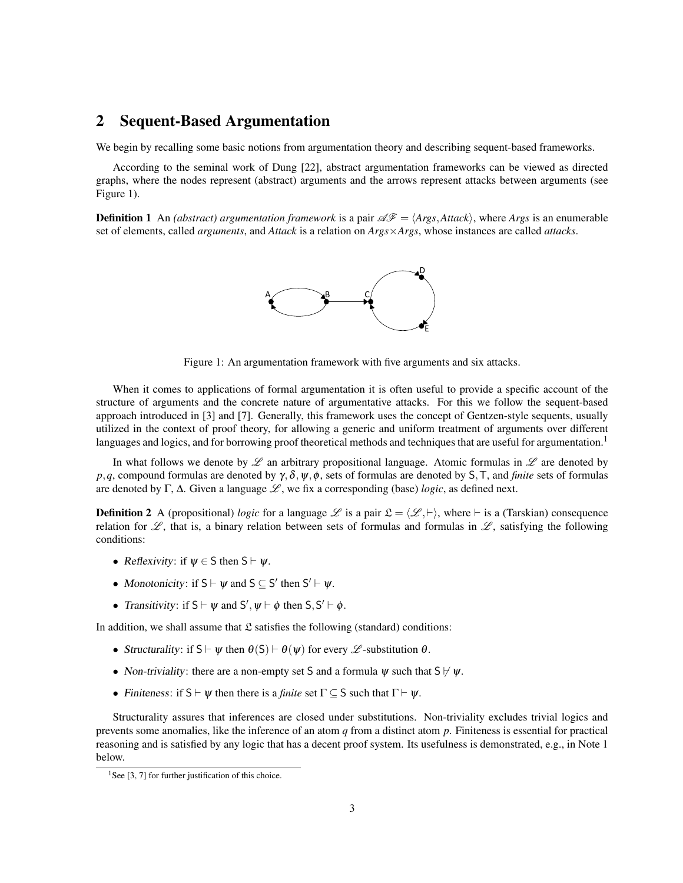### 2 Sequent-Based Argumentation

We begin by recalling some basic notions from argumentation theory and describing sequent-based frameworks.

According to the seminal work of Dung [22], abstract argumentation frameworks can be viewed as directed graphs, where the nodes represent (abstract) arguments and the arrows represent attacks between arguments (see Figure 1).

**Definition 1** An *(abstract) argumentation framework* is a pair  $\mathscr{AF} = \langle \mathcal{A} \mathcal{F} \mathcal{A} \mathcal{A} \mathcal{A} \mathcal{A} \mathcal{A} \mathcal{A} \mathcal{A} \mathcal{A} \mathcal{A}$ ; where  $\mathcal{A} \mathcal{F} \mathcal{B}$  is an enumerable set of elements, called *arguments*, and *Attack* is a relation on *Args*×*Args*, whose instances are called *attacks*.



Figure 1: An argumentation framework with five arguments and six attacks.

When it comes to applications of formal argumentation it is often useful to provide a specific account of the structure of arguments and the concrete nature of argumentative attacks. For this we follow the sequent-based approach introduced in [3] and [7]. Generally, this framework uses the concept of Gentzen-style sequents, usually utilized in the context of proof theory, for allowing a generic and uniform treatment of arguments over different languages and logics, and for borrowing proof theoretical methods and techniques that are useful for argumentation.<sup>1</sup>

In what follows we denote by  $\mathscr L$  an arbitrary propositional language. Atomic formulas in  $\mathscr L$  are denoted by *p*,*q*, compound formulas are denoted by γ,δ,ψ,φ, sets of formulas are denoted by S,T, and *finite* sets of formulas are denoted by  $\Gamma$ ,  $\Delta$ . Given a language  $\mathscr{L}$ , we fix a corresponding (base) *logic*, as defined next.

**Definition 2** A (propositional) *logic* for a language L is a pair  $\mathcal{L} = \langle \mathcal{L}, \vdash \rangle$ , where  $\vdash$  is a (Tarskian) consequence relation for  $\mathscr L$ , that is, a binary relation between sets of formulas and formulas in  $\mathscr L$ , satisfying the following conditions:

- Reflexivity: if  $\psi \in S$  then  $S \vdash \psi$ .
- Monotonicity: if  $S \vdash \psi$  and  $S \subseteq S'$  then  $S' \vdash \psi$ .
- Transitivity: if  $S \vdash \psi$  and  $S', \psi \vdash \phi$  then  $S, S' \vdash \phi$ .

In addition, we shall assume that  $\mathfrak L$  satisfies the following (standard) conditions:

- Structurality: if  $S \vdash \psi$  then  $\theta(S) \vdash \theta(\psi)$  for every  $\mathscr L$ -substitution  $\theta$ .
- Non-triviality: there are a non-empty set S and a formula  $\psi$  such that  $S \not\vdash \psi$ .
- Finiteness: if  $S \vdash \psi$  then there is a *finite* set  $\Gamma \subseteq S$  such that  $\Gamma \vdash \psi$ .

Structurality assures that inferences are closed under substitutions. Non-triviality excludes trivial logics and prevents some anomalies, like the inference of an atom *q* from a distinct atom *p*. Finiteness is essential for practical reasoning and is satisfied by any logic that has a decent proof system. Its usefulness is demonstrated, e.g., in Note 1 below.

<sup>&</sup>lt;sup>1</sup>See [3, 7] for further justification of this choice.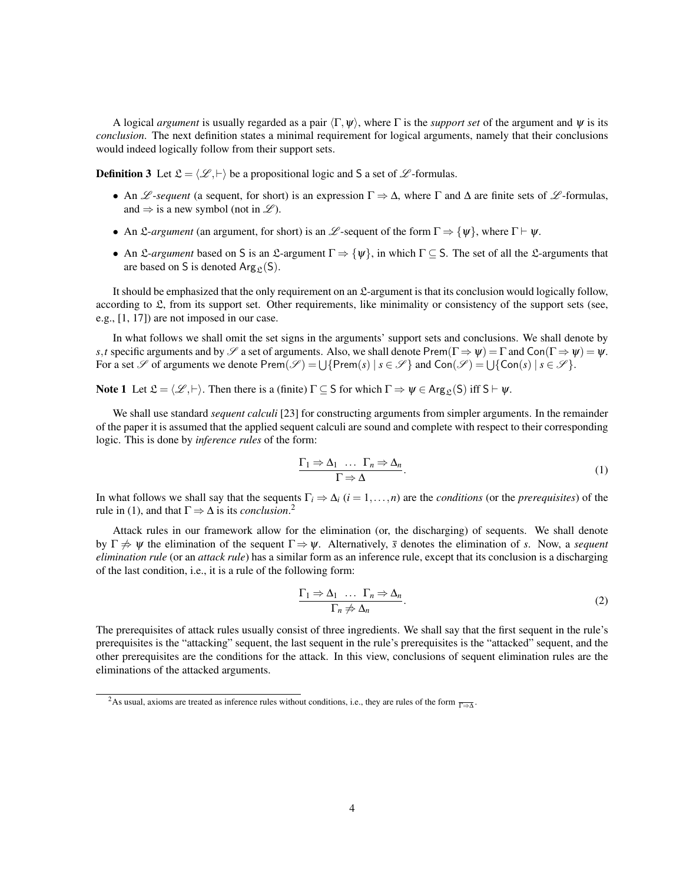A logical *argument* is usually regarded as a pair  $\langle \Gamma, \psi \rangle$ , where  $\Gamma$  is the *support set* of the argument and  $\psi$  is its *conclusion*. The next definition states a minimal requirement for logical arguments, namely that their conclusions would indeed logically follow from their support sets.

**Definition 3** Let  $\mathcal{L} = \langle \mathcal{L}, \vdash \rangle$  be a propositional logic and S a set of  $\mathcal{L}$ -formulas.

- An *L* -*sequent* (a sequent, for short) is an expression  $\Gamma \Rightarrow \Delta$ , where  $\Gamma$  and  $\Delta$  are finite sets of *L* -formulas, and  $\Rightarrow$  is a new symbol (not in  $\mathscr{L}$ ).
- An *L*-argument (an argument, for short) is an *L*-sequent of the form  $\Gamma \Rightarrow {\psi}$ , where  $\Gamma \vdash \psi$ .
- An *L*-argument based on S is an *L*-argument  $\Gamma \Rightarrow {\psi}$ , in which  $\Gamma \subseteq S$ . The set of all the *L*-arguments that are based on S is denoted  $Arg_{\mathcal{L}}(S)$ .

It should be emphasized that the only requirement on an  $\mathcal{L}$ -argument is that its conclusion would logically follow, according to L, from its support set. Other requirements, like minimality or consistency of the support sets (see, e.g., [1, 17]) are not imposed in our case.

In what follows we shall omit the set signs in the arguments' support sets and conclusions. We shall denote by *s*,*t* specific arguments and by  $\mathscr{S}$  a set of arguments. Also, we shall denote Prem( $\Gamma \Rightarrow \psi$ ) =  $\Gamma$  and Con( $\Gamma \Rightarrow \psi$ ) =  $\psi$ . For a set  $\mathscr S$  of arguments we denote  $\mathsf{Prem}(\mathscr S) = \bigcup \{\mathsf{Prem}(s) \mid s \in \mathscr S\}$  and  $\mathsf{Con}(\mathscr S) = \bigcup \{\mathsf{Con}(s) \mid s \in \mathscr S\}$ .

Note 1 Let  $\mathfrak{L} = \langle \mathcal{L}, \vdash \rangle$ . Then there is a (finite)  $\Gamma \subseteq S$  for which  $\Gamma \Rightarrow \psi \in \text{Arg}_{\mathfrak{L}}(S)$  iff  $S \vdash \psi$ .

We shall use standard *sequent calculi* [23] for constructing arguments from simpler arguments. In the remainder of the paper it is assumed that the applied sequent calculi are sound and complete with respect to their corresponding logic. This is done by *inference rules* of the form:

$$
\frac{\Gamma_1 \Rightarrow \Delta_1 \dots \Gamma_n \Rightarrow \Delta_n}{\Gamma \Rightarrow \Delta}.
$$
\n(1)

In what follows we shall say that the sequents  $\Gamma_i \Rightarrow \Delta_i$  (*i* = 1,...,*n*) are the *conditions* (or the *prerequisites*) of the rule in (1), and that  $\Gamma \Rightarrow \Delta$  is its *conclusion*.<sup>2</sup>

Attack rules in our framework allow for the elimination (or, the discharging) of sequents. We shall denote by Γ 6⇒ ψ the elimination of the sequent Γ ⇒ ψ. Alternatively, *s* denotes the elimination of *s*. Now, a *sequent elimination rule* (or an *attack rule*) has a similar form as an inference rule, except that its conclusion is a discharging of the last condition, i.e., it is a rule of the following form:

$$
\frac{\Gamma_1 \Rightarrow \Delta_1 \quad \dots \quad \Gamma_n \Rightarrow \Delta_n}{\Gamma_n \not\Rightarrow \Delta_n}.
$$
 (2)

The prerequisites of attack rules usually consist of three ingredients. We shall say that the first sequent in the rule's prerequisites is the "attacking" sequent, the last sequent in the rule's prerequisites is the "attacked" sequent, and the other prerequisites are the conditions for the attack. In this view, conclusions of sequent elimination rules are the eliminations of the attacked arguments.

<sup>&</sup>lt;sup>2</sup>As usual, axioms are treated as inference rules without conditions, i.e., they are rules of the form  $\frac{}{\Gamma \rightarrow \Delta}$ .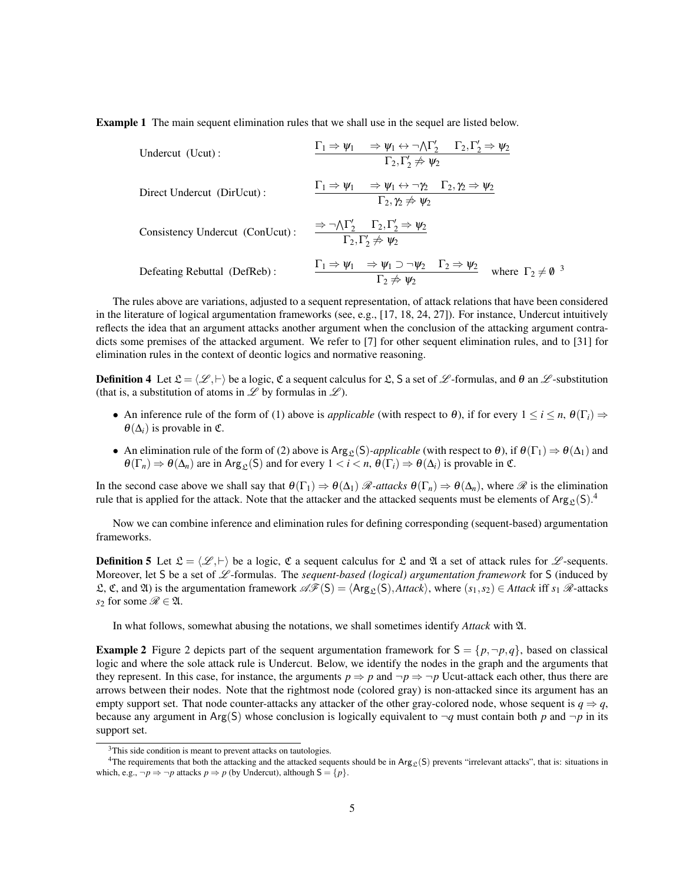Example 1 The main sequent elimination rules that we shall use in the sequel are listed below.

| Undercut (Ucut):                | $\Gamma_1 \Rightarrow \psi_1 \Rightarrow \psi_1 \leftrightarrow \neg \wedge \Gamma'_2$ $\Gamma_2, \Gamma'_2 \Rightarrow \psi_2$<br>$\Gamma_2, \Gamma'_2 \not\Rightarrow \psi_2$             |
|---------------------------------|---------------------------------------------------------------------------------------------------------------------------------------------------------------------------------------------|
| Direct Undercut (DirUcut):      | $\Gamma_1 \Rightarrow \psi_1 \Rightarrow \psi_1 \leftrightarrow \neg \gamma_2 \quad \Gamma_2, \gamma_2 \Rightarrow \psi_2$<br>$\Gamma_2, \gamma_2 \neq \psi_2$                              |
| Consistency Undercut (ConUcut): | $\Rightarrow \neg \wedge \Gamma_2'$ $\Gamma_2, \Gamma_2' \Rightarrow \psi_2$<br>$\Gamma_2, \Gamma'_2 \not\Rightarrow \psi_2$                                                                |
| Defeating Rebuttal (DefReb):    | $\Gamma_1 \Rightarrow \psi_1 \Rightarrow \psi_1 \supset \neg \psi_2 \quad \Gamma_2 \Rightarrow \psi_2$<br>where $\Gamma_2 \neq \emptyset$ <sup>3</sup><br>$\Gamma_2 \not\Rightarrow \Psi_2$ |

The rules above are variations, adjusted to a sequent representation, of attack relations that have been considered in the literature of logical argumentation frameworks (see, e.g., [17, 18, 24, 27]). For instance, Undercut intuitively reflects the idea that an argument attacks another argument when the conclusion of the attacking argument contradicts some premises of the attacked argument. We refer to [7] for other sequent elimination rules, and to [31] for elimination rules in the context of deontic logics and normative reasoning.

**Definition 4** Let  $\mathcal{L} = \langle \mathcal{L}, \vdash \rangle$  be a logic, C a sequent calculus for  $\mathcal{L}$ , S a set of  $\mathcal{L}$ -formulas, and  $\theta$  an  $\mathcal{L}$ -substitution (that is, a substitution of atoms in  $\mathscr L$  by formulas in  $\mathscr L$ ).

- An inference rule of the form of (1) above is *applicable* (with respect to  $\theta$ ), if for every  $1 \le i \le n$ ,  $\theta(\Gamma_i) \Rightarrow$  $\theta(\Delta_i)$  is provable in  $\mathfrak{C}$ .
- An elimination rule of the form of (2) above is Arg<sub>c</sub>(S)*-applicable* (with respect to  $\theta$ ), if  $\theta(\Gamma_1) \Rightarrow \theta(\Delta_1)$  and  $\theta(\Gamma_n) \Rightarrow \theta(\Delta_n)$  are in Arg<sub>c</sub>(S) and for every  $1 < i < n$ ,  $\theta(\Gamma_i) \Rightarrow \theta(\Delta_i)$  is provable in  $\mathfrak{C}$ .

In the second case above we shall say that  $\theta(\Gamma_1) \Rightarrow \theta(\Delta_1) \mathcal{R}$ -attacks  $\theta(\Gamma_n) \Rightarrow \theta(\Delta_n)$ , where  $\mathcal R$  is the elimination rule that is applied for the attack. Note that the attacker and the attacked sequents must be elements of  $Arg_{\mathcal{L}}(S)$ .<sup>4</sup>

Now we can combine inference and elimination rules for defining corresponding (sequent-based) argumentation frameworks.

**Definition 5** Let  $\mathcal{L} = \langle \mathcal{L}, \vdash \rangle$  be a logic, C a sequent calculus for L and  $\mathcal{L}$  a set of attack rules for L -sequents. Moreover, let S be a set of  $L$ -formulas. The *sequent-based (logical) argumentation framework* for S (induced by L, **C**, and 2() is the argumentation framework  $\mathcal{AF}(S) = \langle \text{Arg}_{\mathcal{L}}(S), \text{Attack} \rangle$ , where  $(s_1, s_2) \in \text{Attack iff } s_1 \mathcal{R}$ -attacks *s*<sub>2</sub> for some  $\mathcal{R} \in \mathfrak{A}$ .

In what follows, somewhat abusing the notations, we shall sometimes identify *Attack* with  $\mathfrak{A}$ .

**Example 2** Figure 2 depicts part of the sequent argumentation framework for  $S = \{p, \neg p, q\}$ , based on classical logic and where the sole attack rule is Undercut. Below, we identify the nodes in the graph and the arguments that they represent. In this case, for instance, the arguments  $p \Rightarrow p$  and  $\neg p \Rightarrow \neg p$  Ucut-attack each other, thus there are arrows between their nodes. Note that the rightmost node (colored gray) is non-attacked since its argument has an empty support set. That node counter-attacks any attacker of the other gray-colored node, whose sequent is  $q \Rightarrow q$ , because any argument in Arg(S) whose conclusion is logically equivalent to  $\neg q$  must contain both *p* and  $\neg p$  in its support set.

<sup>&</sup>lt;sup>3</sup>This side condition is meant to prevent attacks on tautologies.

<sup>&</sup>lt;sup>4</sup>The requirements that both the attacking and the attacked sequents should be in Arg<sub>e</sub>(S) prevents "irrelevant attacks", that is: situations in which, e.g.,  $\neg p \Rightarrow \neg p$  attacks  $p \Rightarrow p$  (by Undercut), although  $S = \{p\}.$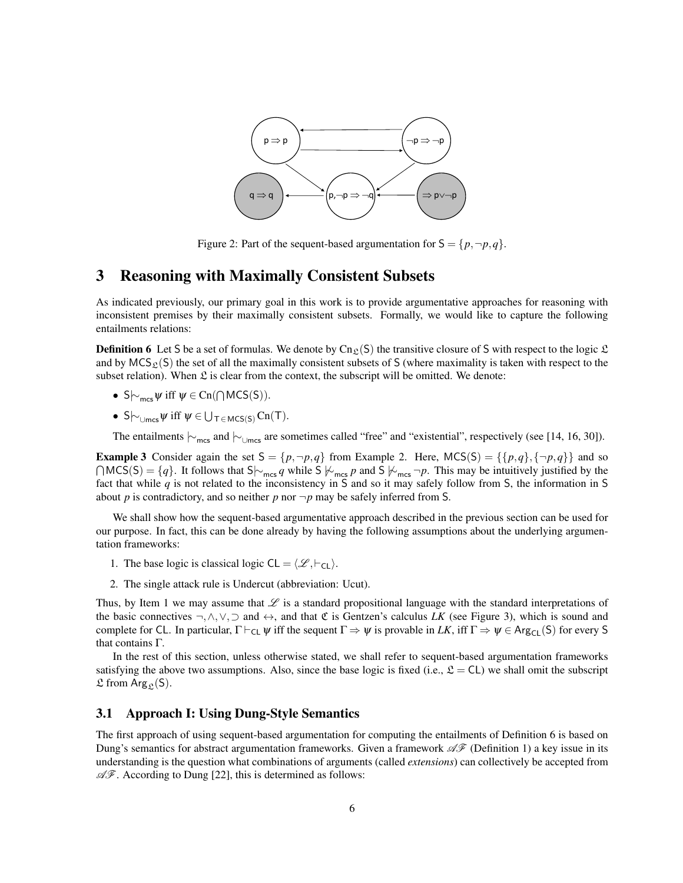

Figure 2: Part of the sequent-based argumentation for  $S = \{p, \neg p, q\}.$ 

### 3 Reasoning with Maximally Consistent Subsets

As indicated previously, our primary goal in this work is to provide argumentative approaches for reasoning with inconsistent premises by their maximally consistent subsets. Formally, we would like to capture the following entailments relations:

**Definition 6** Let S be a set of formulas. We denote by Cn<sub>c</sub>(S) the transitive closure of S with respect to the logic  $\mathfrak L$ and by  $MCS_{\mathcal{L}}(S)$  the set of all the maximally consistent subsets of S (where maximality is taken with respect to the subset relation). When  $\mathfrak L$  is clear from the context, the subscript will be omitted. We denote:

- $S \sim_{\text{mcs}} \psi$  iff  $\psi \in \text{Cn}(\bigcap \text{MCS}(S)).$
- S $\sim$ <sub>Umcs</sub>  $\psi$  iff  $\psi \in \bigcup_{\tau \in MCS(S)} Cn(\tau)$ .

The entailments  $\vdash_{\mathsf{mcs}}$  and  $\vdash_{\mathsf{Limcs}}$  are sometimes called "free" and "existential", respectively (see [14, 16, 30]).

**Example 3** Consider again the set  $S = \{p, \neg p, q\}$  from Example 2. Here, MCS(S) =  $\{\{p, q\}, \{\neg p, q\}\}\$  and so  $\bigcap {\sf MCS}(S) = \{q\}$ . It follows that S $\vdash_{\sf mcs} q$  while S  $\not\vdash_{\sf mcs} p$  and S  $\nvdash_{\sf mcs} \neg p$ . This may be intuitively justified by the fact that while  $q$  is not related to the inconsistency in S and so it may safely follow from S, the information in S about *p* is contradictory, and so neither *p* nor  $\neg p$  may be safely inferred from S.

We shall show how the sequent-based argumentative approach described in the previous section can be used for our purpose. In fact, this can be done already by having the following assumptions about the underlying argumentation frameworks:

- 1. The base logic is classical logic  $CL = \langle \mathcal{L}, \vdash_{CL} \rangle$ .
- 2. The single attack rule is Undercut (abbreviation: Ucut).

Thus, by Item 1 we may assume that  $\mathscr L$  is a standard propositional language with the standard interpretations of the basic connectives ¬,∧,∨,⊃ and ↔, and that C is Gentzen's calculus *LK* (see Figure 3), which is sound and complete for CL. In particular,  $\Gamma \vdash_{CL} \psi$  iff the sequent  $\Gamma \Rightarrow \psi$  is provable in *LK*, iff  $\Gamma \Rightarrow \psi \in \text{Arg}_{CL}(S)$  for every S that contains Γ.

In the rest of this section, unless otherwise stated, we shall refer to sequent-based argumentation frameworks satisfying the above two assumptions. Also, since the base logic is fixed (i.e.,  $\mathcal{L} = CL$ ) we shall omit the subscript  $\mathfrak L$  from Arg<sub>c</sub>(S).

### 3.1 Approach I: Using Dung-Style Semantics

The first approach of using sequent-based argumentation for computing the entailments of Definition 6 is based on Dung's semantics for abstract argumentation frameworks. Given a framework  $\mathscr{AF}$  (Definition 1) a key issue in its understanding is the question what combinations of arguments (called *extensions*) can collectively be accepted from  $\mathscr{AF}$ . According to Dung [22], this is determined as follows: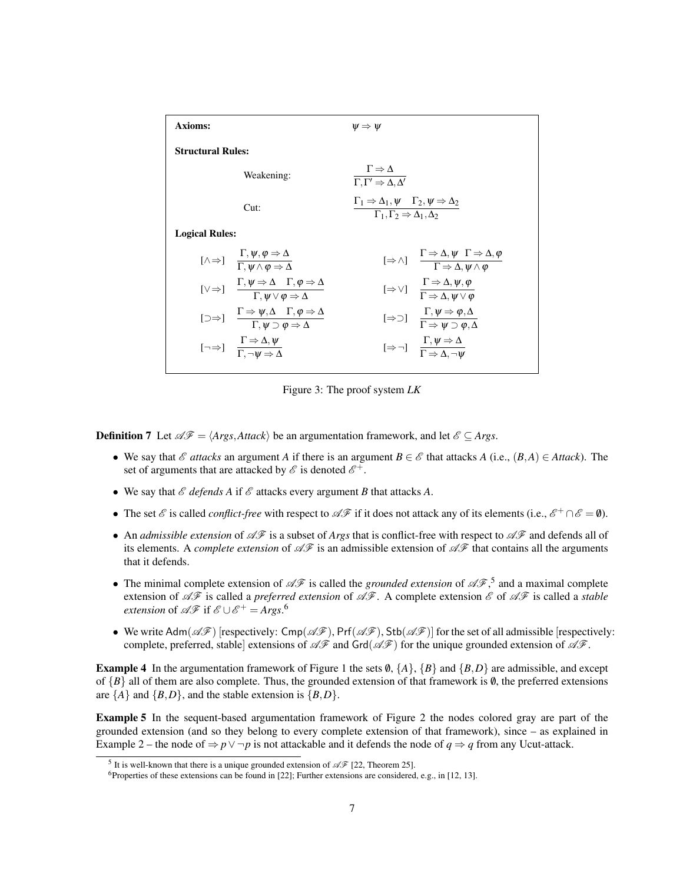| Axioms:                  |                                                                                                                                                                | $\Psi \Rightarrow \Psi$                                                                                                                |                                                                                                                                               |
|--------------------------|----------------------------------------------------------------------------------------------------------------------------------------------------------------|----------------------------------------------------------------------------------------------------------------------------------------|-----------------------------------------------------------------------------------------------------------------------------------------------|
| <b>Structural Rules:</b> |                                                                                                                                                                |                                                                                                                                        |                                                                                                                                               |
|                          | Weakening:                                                                                                                                                     | $\Gamma \Rightarrow \Delta$<br>$\overline{\Gamma,\Gamma'} \Rightarrow \Delta,\Delta'$                                                  |                                                                                                                                               |
|                          | Cut:                                                                                                                                                           | $\Gamma_1 \Rightarrow \Delta_1, \psi \quad \Gamma_2, \psi \Rightarrow \Delta_2$<br>$\Gamma_1, \Gamma_2 \Rightarrow \Delta_1, \Delta_2$ |                                                                                                                                               |
| <b>Logical Rules:</b>    |                                                                                                                                                                |                                                                                                                                        |                                                                                                                                               |
|                          | $[\wedge \Rightarrow]$ $\frac{1, \psi, \varphi \Rightarrow \Delta}{\Gamma, \psi \wedge \varphi \Rightarrow \Delta}$                                            |                                                                                                                                        | $[\Rightarrow \wedge]$ $\frac{1 \Rightarrow \Delta, \psi \quad 1 \Rightarrow \Delta, \varphi}{\Gamma \Rightarrow \Delta, \psi \land \varphi}$ |
|                          | $[\vee \Rightarrow]$ $\frac{\Gamma, \psi \Rightarrow \Delta \Gamma, \varphi \Rightarrow \Delta}{\Gamma, \psi \lor \varphi \Rightarrow \Delta}$                 |                                                                                                                                        | $[\Rightarrow \vee]$ $\frac{1 \Rightarrow \Delta, \psi, \varphi}{\Gamma \Rightarrow \Delta, \psi \vee \varphi}$                               |
|                          | $[\supset \Rightarrow] \quad \frac{\Gamma \Rightarrow \psi, \Delta \quad \Gamma, \varphi \Rightarrow \Delta}{\Gamma, \psi \supset \varphi \Rightarrow \Delta}$ |                                                                                                                                        | $[\Rightarrow \supset]$ $\frac{\Gamma, \psi \Rightarrow \varphi, \Delta}{\Gamma \Rightarrow \psi \supset \varphi, \Delta}$                    |
|                          | $\lbrack \neg \Rightarrow \rbrack$ $\frac{1 \Rightarrow \Delta, \psi}{\Gamma, \neg \psi \Rightarrow \Delta}$                                                   |                                                                                                                                        | $[\Rightarrow \neg]$ $\frac{1, \psi \Rightarrow \Delta}{\Gamma \Rightarrow \Delta \Rightarrow \psi}$                                          |
|                          |                                                                                                                                                                |                                                                                                                                        |                                                                                                                                               |

Figure 3: The proof system *LK*

**Definition 7** Let  $\mathscr{A}F = \langle Args, Attack \rangle$  be an argumentation framework, and let  $\mathscr{E} \subseteq Args$ .

- We say that *E* attacks an argument *A* if there is an argument  $B \in \mathcal{E}$  that attacks *A* (i.e.,  $(B,A) \in$  *Attack*). The set of arguments that are attacked by  $\mathscr E$  is denoted  $\mathscr E^+$ .
- We say that  $\mathscr E$  *defends* A if  $\mathscr E$  attacks every argument B that attacks A.
- The set  $\mathscr E$  is called *conflict-free* with respect to  $\mathscr A\mathscr F$  if it does not attack any of its elements (i.e.,  $\mathscr E^+\cap\mathscr E=\emptyset$ ).
- An *admissible extension* of  $\mathscr{A}F$  is a subset of *Args* that is conflict-free with respect to  $\mathscr{A}F$  and defends all of its elements. A *complete extension* of AF is an admissible extension of AF that contains all the arguments that it defends.
- The minimal complete extension of  $\mathscr{AF}$  is called the *grounded extension* of  $\mathscr{AF}$ ,<sup>5</sup> and a maximal complete extension of  $\mathscr{AF}$  is called a *preferred extension* of  $\mathscr{AF}$ . A complete extension  $\mathscr{E}$  of  $\mathscr{AF}$  is called a *stable extension* of AF if  $\mathscr{E} \cup \mathscr{E}^+ = \text{A}$ rgs.<sup>6</sup>
- We write  $Adm(\mathcal{AF})$  [respectively:  $Cmp(\mathcal{AF})$ ,  $Pr(\mathcal{AF})$ ,  $Stb(\mathcal{AF})$ ] for the set of all admissible [respectively: complete, preferred, stable] extensions of  $\mathscr{AF}$  and  $Grd(\mathscr{AF})$  for the unique grounded extension of  $\mathscr{AF}$ .

**Example 4** In the argumentation framework of Figure 1 the sets  $\emptyset$ ,  $\{A\}$ ,  $\{B\}$  and  $\{B,D\}$  are admissible, and except of  ${B}$  all of them are also complete. Thus, the grounded extension of that framework is  $\emptyset$ , the preferred extensions are  ${A}$  and  ${B,D}$ , and the stable extension is  ${B,D}$ .

Example 5 In the sequent-based argumentation framework of Figure 2 the nodes colored gray are part of the grounded extension (and so they belong to every complete extension of that framework), since – as explained in Example 2 – the node of  $\Rightarrow p \lor \neg p$  is not attackable and it defends the node of  $q \Rightarrow q$  from any Ucut-attack.

<sup>&</sup>lt;sup>5</sup> It is well-known that there is a unique grounded extension of  $\mathscr{AF}$  [22, Theorem 25].

<sup>&</sup>lt;sup>6</sup>Properties of these extensions can be found in [22]; Further extensions are considered, e.g., in [12, 13].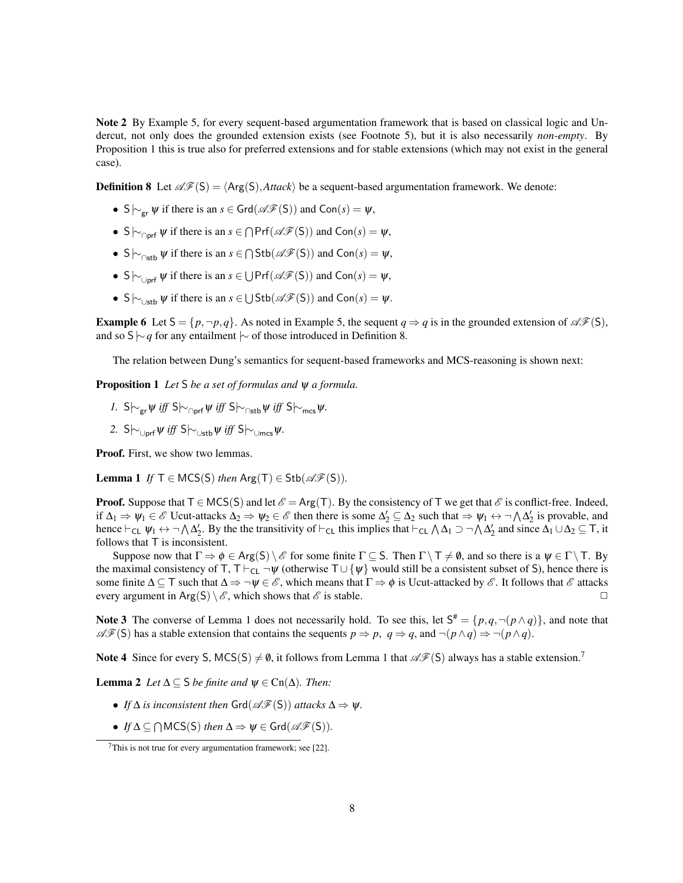Note 2 By Example 5, for every sequent-based argumentation framework that is based on classical logic and Undercut, not only does the grounded extension exists (see Footnote 5), but it is also necessarily *non-empty*. By Proposition 1 this is true also for preferred extensions and for stable extensions (which may not exist in the general case).

**Definition 8** Let  $\mathscr{AF}(S) = \langle \text{Arg}(S), \text{Attack} \rangle$  be a sequent-based argumentation framework. We denote:

- $S \sim_{\alpha} \psi$  if there is an *s* ∈ Grd( $\mathscr{AF}(S)$ ) and Con(*s*) =  $\psi$ ,
- S  $\vdash_{\cap$ <sub>Prf</sub>  $\psi$  if there is an *s* ∈  $\cap$  Prf( $\mathscr{AF}(S)$ ) and Con(*s*) =  $\psi$ ,
- S  $\vdash_{\cap$ stb  $\psi$  if there is an *s* ∈  $\cap$  Stb( $\mathscr{AF}(S)$ ) and Con(*s*) =  $\psi$ ,
- S  $\vdash_{\bigcup_{\text{prf}}} \psi$  if there is an *s* ∈  $\bigcup \text{Prf}(\mathscr{AF}(S))$  and Con(*s*) =  $\psi$ ,
- S  $\vdash_{\cup$ stb  $\psi$  if there is an *s* ∈  $\cup$  Stb( $\mathscr{AF}(S)$ ) and Con(*s*) =  $\psi$ .

**Example 6** Let  $S = \{p, \neg p, q\}$ . As noted in Example 5, the sequent  $q \Rightarrow q$  is in the grounded extension of  $\mathscr{AF}(S)$ , and so S |∼*q* for any entailment |∼ of those introduced in Definition 8.

The relation between Dung's semantics for sequent-based frameworks and MCS-reasoning is shown next:

Proposition 1 *Let* S *be a set of formulas and* ψ *a formula.*

- *1.* S|∼grψ *iff* S|∼∩prfψ *iff* S|∼∩stbψ *iff* S|∼mcsψ*.*
- 2. S $\sim$ <sub>⊥prf</sub>  $\psi$  *iff* S $\sim$ <sub>⊥stb</sub> $\psi$  *iff* S $\sim$ <sub>⊥mcs</sub>  $\psi$ .

Proof. First, we show two lemmas.

**Lemma 1** *If*  $T \in \text{MCS}(S)$  *then* Arg $(T) \in \text{Stb}(\mathscr{AF}(S))$ *.* 

**Proof.** Suppose that  $T \in MCS(S)$  and let  $\mathcal{E} = Arg(T)$ . By the consistency of T we get that  $\mathcal{E}$  is conflict-free. Indeed, if  $\Delta_1 \Rightarrow \psi_1 \in \mathscr{E}$  Ucut-attacks  $\Delta_2 \Rightarrow \psi_2 \in \mathscr{E}$  then there is some  $\Delta_2' \subseteq \Delta_2$  such that  $\Rightarrow \psi_1 \leftrightarrow \neg \wedge \Delta_2'$  is provable, and hence  $\vdash_{CL} \psi_1 \leftrightarrow \neg \wedge \Delta'_2$ . By the the transitivity of  $\vdash_{CL}$  this implies that  $\vdash_{CL} \wedge \Delta_1 \supset \neg \wedge \Delta'_2$  and since  $\Delta_1 \cup \Delta_2 \subseteq T$ , it follows that T is inconsistent.

Suppose now that  $\Gamma \Rightarrow \phi \in \text{Arg}(S) \setminus \mathscr{E}$  for some finite  $\Gamma \subseteq S$ . Then  $\Gamma \setminus \top \neq \emptyset$ , and so there is a  $\psi \in \Gamma \setminus \top$ . By the maximal consistency of T, T  $\vdash_{CL} \neg \psi$  (otherwise T∪ { $\psi$ } would still be a consistent subset of S), hence there is some finite  $\Delta \subseteq \top$  such that  $\Delta \Rightarrow \neg \psi \in \mathscr{E}$ , which means that  $\Gamma \Rightarrow \phi$  is Ucut-attacked by  $\mathscr{E}$ . It follows that  $\mathscr{E}$  attacks every argument in Arg(S)  $\& \mathscr{E}$ , which shows that  $\mathscr{E}$  is stable.

Note 3 The converse of Lemma 1 does not necessarily hold. To see this, let  $S^* = \{p, q, \neg(p \wedge q)\}\$ , and note that  $\mathscr{AF}(S)$  has a stable extension that contains the sequents  $p \Rightarrow p$ ,  $q \Rightarrow q$ , and  $\neg (p \land q) \Rightarrow \neg (p \land q)$ .

**Note 4** Since for every S, MCS(S)  $\neq \emptyset$ , it follows from Lemma 1 that  $\mathscr{AF}(S)$  always has a stable extension.<sup>7</sup>

**Lemma 2** *Let*  $\Delta \subseteq S$  *be finite and*  $\psi \in \text{Cn}(\Delta)$ *. Then:* 

- *If*  $\Delta$  *is inconsistent then* Grd( $\mathscr{AF}(S)$ ) *attacks*  $\Delta \Rightarrow \Psi$ .
- *If*  $\Delta \subseteq \bigcap \text{MCS}(S)$  *then*  $\Delta \Rightarrow \psi \in \text{Grd}(\mathscr{AF}(S))$ *.*

 $7$ This is not true for every argumentation framework; see [22].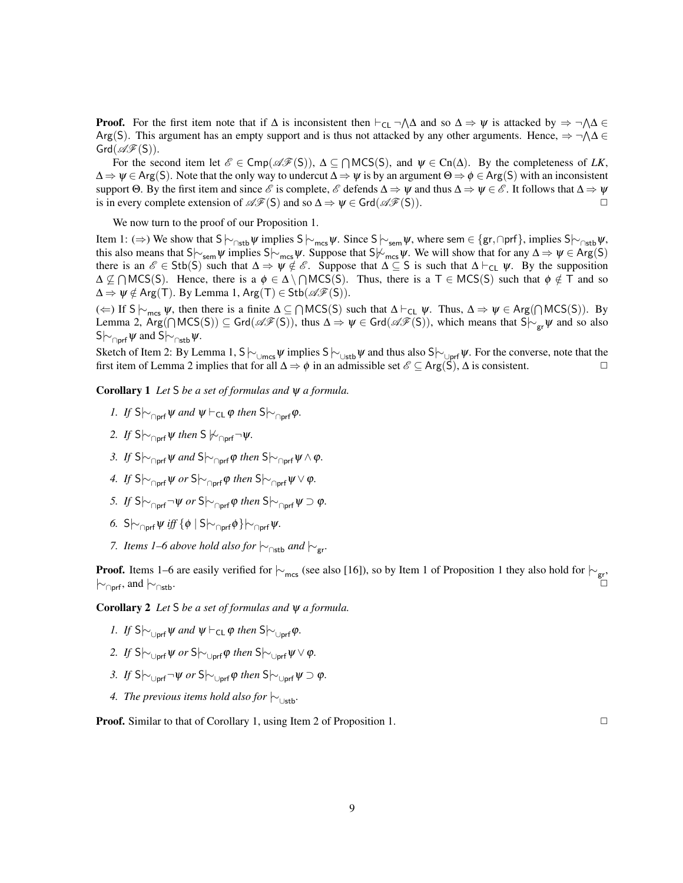**Proof.** For the first item note that if  $\Delta$  is inconsistent then  $\vdash_{CL} \neg \wedge \Delta$  and so  $\Delta \Rightarrow \psi$  is attacked by  $\Rightarrow \neg \wedge \Delta \in$ Arg(S). This argument has an empty support and is thus not attacked by any other arguments. Hence,  $\Rightarrow \neg \Lambda \Delta \in$  $Grd(\mathscr{AF}(S)).$ 

For the second item let  $\mathscr{E} \in \text{Cmp}(\mathscr{AF}(S))$ ,  $\Delta \subseteq \bigcap {\sf MCS}(S)$ , and  $\psi \in \text{Cn}(\Delta)$ . By the completeness of *LK*,  $\Delta \Rightarrow \psi \in \text{Arg}(S)$ . Note that the only way to undercut  $\Delta \Rightarrow \psi$  is by an argument  $\Theta \Rightarrow \phi \in \text{Arg}(S)$  with an inconsistent support Θ. By the first item and since  $\mathscr E$  is complete,  $\mathscr E$  defends  $\Delta \Rightarrow \psi$  and thus  $\Delta \Rightarrow \psi \in \mathscr E$ . It follows that  $\Delta \Rightarrow \psi$ is in every complete extension of  $\mathscr{AF}(S)$  and so  $\Delta \Rightarrow \psi \in \text{Grd}(\mathscr{AF}(S))$ .

We now turn to the proof of our Proposition 1.

Item 1: (⇒) We show that  $S \sim_{\text{Nstb}} \psi$  implies  $S \sim_{\text{mcs}} \psi$ . Since  $S \sim_{\text{sem}} \psi$ , where sem  $\in \{gr, \cap prf\}$ , implies  $S \sim_{\text{Nstb}} \psi$ , this also means that S $\vdash_{sem} \psi$  implies S $\vdash_{mcs} \psi$ . Suppose that S $\nvdash_{mcs} \psi$ . We will show that for any  $\Delta \Rightarrow \psi \in \text{Arg}(S)$ there is an  $\mathscr{E} \in \mathsf{Stb}(S)$  such that  $\Delta \Rightarrow \psi \notin \mathscr{E}$ . Suppose that  $\Delta \subseteq S$  is such that  $\Delta \vdash_{\mathsf{CL}} \psi$ . By the supposition  $\Delta \not\subseteq \bigcap {\sf MCS(S)}$ . Hence, there is a  $\phi \in \Delta \setminus \bigcap {\sf MCS(S)}$ . Thus, there is a  $\top \in {\sf MCS(S)}$  such that  $\phi \notin \top$  and so  $\Delta \Rightarrow \psi \notin \text{Arg}(\mathsf{T})$ . By Lemma 1, Arg(T)  $\in$  Stb( $\mathscr{AF}(S)$ ).

(  $\Leftarrow$ ) If S  $\vdash_{\mathsf{mcs}} \psi$ , then there is a finite  $\Delta \subseteq \bigcap \mathsf{MCS}(S)$  such that  $\Delta \vdash_{\mathsf{CL}} \psi$ . Thus,  $\Delta \Rightarrow \psi \in \mathsf{Arg}(\bigcap \mathsf{MCS}(S))$ . By Lemma 2, Arg( $\bigcap {\sf MCS}(S)$ )  $\subseteq$  Grd( $\mathscr{AF}(S)$ ), thus  $\Delta \Rightarrow \psi \in \text{Grd}(\mathscr{AF}(S))$ , which means that  $S \sim_{gr} \psi$  and so also  $S|_{\sim}$ <sub>∩prf</sub>  $\psi$  and  $S|_{\sim}$ <sub>∩stb</sub>  $\psi$ .

Sketch of Item 2: By Lemma 1, S $\vdash_{\cup_{\text{mcs}}} \psi$  implies S $\vdash_{\cup_{\text{stb}}} \psi$  and thus also S $\vdash_{\cup_{\text{prf}}} \psi$ . For the converse, note that the first item of Lemma 2 implies that for all  $\Delta \Rightarrow \phi$  in an admissible set  $\mathscr{E} \subseteq \text{Arg}(S)$ ,  $\Delta$  is consistent.

Corollary 1 *Let* S *be a set of formulas and* ψ *a formula.*

- *1. If*  $S \sim_{\text{Oorf}} \psi$  *and*  $\psi \vdash_{\text{CL}} \phi$  *then*  $S \sim_{\text{Oorf}} \phi$ *.*
- *2. If*  $S \sim_{\text{Oprf}} \psi$  *then*  $S \not\sim_{\text{Oprf}} \neg \psi$ .
- *3. If*  $S \sim \bigcap_{\text{Corf}} \psi$  *and*  $S \sim \bigcap_{\text{Corf}} \phi$  *then*  $S \sim \bigcap_{\text{Corf}} \psi \wedge \phi$ *.*
- *4. If*  $S \sim \int$   $\int$  *or*  $S \sim \int$   $\int$  *orf*  $\phi$  *then*  $S \sim \int$   $\int$   $\int$   $\phi$ *y*  $\phi$ *.*
- *5. If*  $S \sim \text{O}_{\text{C} \text{or}} \neg \psi$  *or*  $S \sim \text{O}_{\text{orf}} \psi$  ⇒  $\phi$ *.*
- *6.* S|∼∩prfψ *iff* {φ | S|∼∩prfφ}|∼∩prfψ*.*
- *7. Items 1–6 above hold also for*  $\sim$ <sub>∩stb</sub> *and*  $\sim$ <sub>gr</sub>.

**Proof.** Items 1–6 are easily verified for  $\sim_{\text{mcs}}$  (see also [16]), so by Item 1 of Proposition 1 they also hold for  $\sim_{\text{gr}}$ ,  $\vdash_{\cap \mathsf{prf}}$ , and  $\vdash_{\cap \mathsf{stb}}$ .

Corollary 2 *Let* S *be a set of formulas and* ψ *a formula.*

- *1. If*  $S \sim \text{Unif } \Psi$  *and*  $\Psi \vdash_{CL} \phi$  *then*  $S \sim \text{Unif } \phi$ *.*
- 2. *If*  $S \sim \text{Liprf} \Psi$  *or*  $S \sim \text{Liprf} \Psi$  *then*  $S \sim \text{Liprf} \Psi \vee \Psi$ .
- *3. If*  $S \sim \frac{1}{\sqrt{2}}$  *v or*  $S \sim \frac{1}{\sqrt{2}}$  *o then*  $S \sim \frac{1}{\sqrt{2}}$  *ψ* ⊃ *φ*.
- *4. The previous items hold also for*  $\sim_{\text{Vert}}$ .

**Proof.** Similar to that of Corollary 1, using Item 2 of Proposition 1.  $\Box$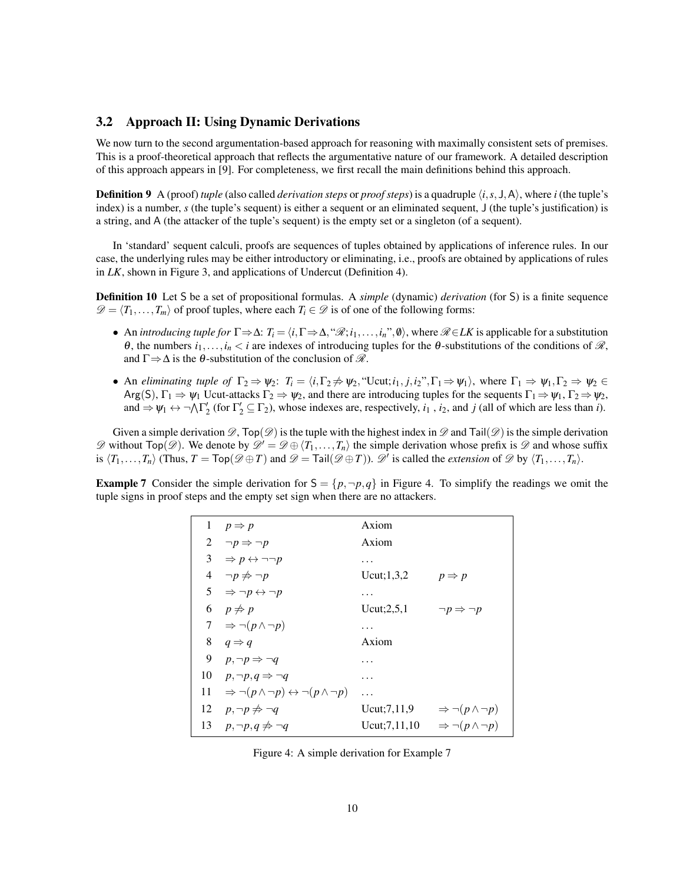### 3.2 Approach II: Using Dynamic Derivations

We now turn to the second argumentation-based approach for reasoning with maximally consistent sets of premises. This is a proof-theoretical approach that reflects the argumentative nature of our framework. A detailed description of this approach appears in [9]. For completeness, we first recall the main definitions behind this approach.

**Definition 9** A (proof) *tuple* (also called *derivation steps* or *proof steps*) is a quadruple  $\langle i, s, J, A \rangle$ , where *i* (the tuple's index) is a number, *s* (the tuple's sequent) is either a sequent or an eliminated sequent, J (the tuple's justification) is a string, and A (the attacker of the tuple's sequent) is the empty set or a singleton (of a sequent).

In 'standard' sequent calculi, proofs are sequences of tuples obtained by applications of inference rules. In our case, the underlying rules may be either introductory or eliminating, i.e., proofs are obtained by applications of rules in *LK*, shown in Figure 3, and applications of Undercut (Definition 4).

Definition 10 Let S be a set of propositional formulas. A *simple* (dynamic) *derivation* (for S) is a finite sequence  $\mathscr{D} = \langle T_1, \ldots, T_m \rangle$  of proof tuples, where each  $T_i \in \mathscr{D}$  is of one of the following forms:

- An *introducing tuple for*  $\Gamma \Rightarrow \Delta$ :  $T_i = \langle i, \Gamma \Rightarrow \Delta, \mathscr{R}; i_1, \ldots, i_n, \ldots, \emptyset \rangle$ , where  $\mathscr{R} \in LK$  is applicable for a substitution θ, the numbers  $i_1, \ldots, i_n < i$  are indexes of introducing tuples for the θ-substitutions of the conditions of  $\mathcal{R}$ , and  $\Gamma \Rightarrow \Delta$  is the  $\theta$ -substitution of the conclusion of  $\mathcal{R}$ .
- An *eliminating tuple of*  $\Gamma_2 \Rightarrow \psi_2$ :  $T_i = \langle i, \Gamma_2 \not\Rightarrow \psi_2$ , "Ucut;  $i_1, j, i_2$ ",  $\Gamma_1 \Rightarrow \psi_1$ , where  $\Gamma_1 \Rightarrow \psi_1, \Gamma_2 \Rightarrow \psi_2 \in$ Arg(S),  $\Gamma_1 \Rightarrow \psi_1$  Ucut-attacks  $\Gamma_2 \Rightarrow \psi_2$ , and there are introducing tuples for the sequents  $\Gamma_1 \Rightarrow \psi_1$ ,  $\Gamma_2 \Rightarrow \psi_2$ , and  $\Rightarrow \psi_1 \leftrightarrow \neg \wedge \Gamma'_2$  (for  $\Gamma'_2 \subseteq \Gamma_2$ ), whose indexes are, respectively,  $i_1$ ,  $i_2$ , and  $j$  (all of which are less than  $i$ ).

Given a simple derivation  $\mathscr{D}$ , Top( $\mathscr{D}$ ) is the tuple with the highest index in  $\mathscr{D}$  and Tail( $\mathscr{D}$ ) is the simple derivation  $\mathscr{D}$  without Top( $\mathscr{D}$ ). We denote by  $\mathscr{D}' = \mathscr{D} \oplus \langle T_1,\ldots,T_n \rangle$  the simple derivation whose prefix is  $\mathscr{D}$  and whose suffix is  $\langle T_1,\ldots,T_n \rangle$  (Thus,  $T = \text{Top}(\mathscr{D} \oplus T)$  and  $\mathscr{D} = \text{Tail}(\mathscr{D} \oplus T)$ ).  $\mathscr{D}'$  is called the *extension* of  $\mathscr{D}$  by  $\langle T_1,\ldots,T_n \rangle$ .

**Example 7** Consider the simple derivation for  $S = \{p, \neg p, q\}$  in Figure 4. To simplify the readings we omit the tuple signs in proof steps and the empty set sign when there are no attackers.

| 1  | $p \Rightarrow p$                                                         | Axiom           |                                     |
|----|---------------------------------------------------------------------------|-----------------|-------------------------------------|
| 2  | $\neg p \Rightarrow \neg p$                                               | Axiom           |                                     |
|    | 3 $\Rightarrow p \leftrightarrow \neg \neg p$                             | .               |                                     |
| 4  | $\neg p \nRightarrow \neg p$                                              | Ucut; $1,3,2$   | $p \Rightarrow p$                   |
|    | 5 $\Rightarrow \neg p \leftrightarrow \neg p$                             | .               |                                     |
| 6  | $p \not\Rightarrow p$                                                     | Ucut; $2, 5, 1$ | $\neg p \Rightarrow \neg p$         |
|    | 7 $\Rightarrow \neg (p \land \neg p)$                                     | .               |                                     |
| 8  | $q \Rightarrow q$                                                         | Axiom           |                                     |
| 9  | $p, \neg p \Rightarrow \neg q$                                            | .               |                                     |
| 10 | $p, \neg p, q \Rightarrow \neg q$                                         | .               |                                     |
| 11 | $\Rightarrow \neg (p \land \neg p) \leftrightarrow \neg (p \land \neg p)$ |                 |                                     |
| 12 | $p, \neg p \nRightarrow \neg q$                                           | Ucut; 7, 11, 9  | $\Rightarrow \neg (p \land \neg p)$ |
| 13 | $p, \neg p, q \not\Rightarrow \neg q$                                     | Ucut; 7, 11, 10 | $\Rightarrow \neg (p \land \neg p)$ |

Figure 4: A simple derivation for Example 7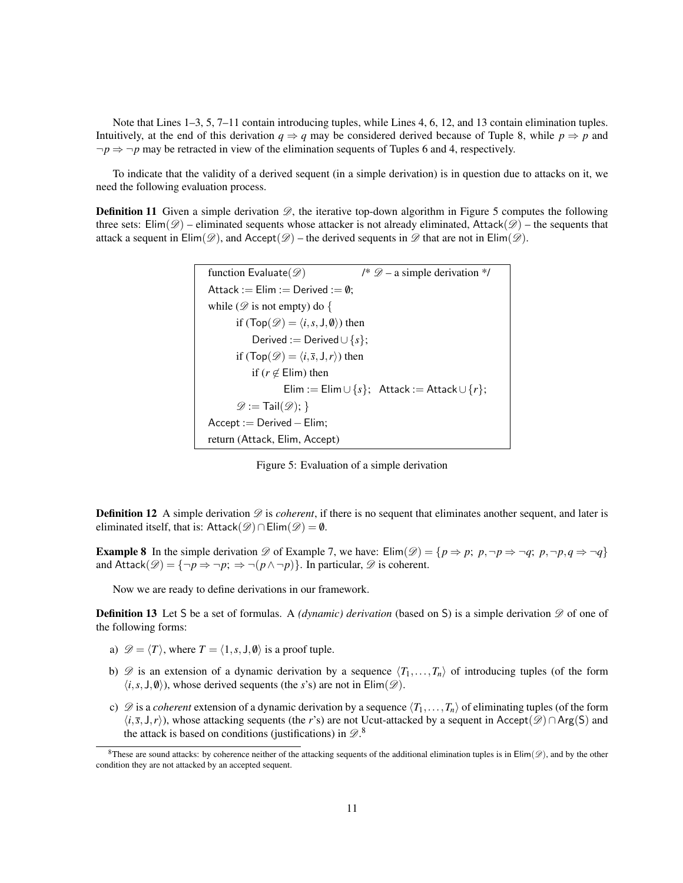Note that Lines  $1-3$ ,  $5$ ,  $7-11$  contain introducing tuples, while Lines 4, 6, 12, and 13 contain elimination tuples. Intuitively, at the end of this derivation  $q \Rightarrow q$  may be considered derived because of Tuple 8, while  $p \Rightarrow p$  and ¬*p* ⇒ ¬*p* may be retracted in view of the elimination sequents of Tuples 6 and 4, respectively.

To indicate that the validity of a derived sequent (in a simple derivation) is in question due to attacks on it, we need the following evaluation process.

**Definition 11** Given a simple derivation  $\mathscr{D}$ , the iterative top-down algorithm in Figure 5 computes the following three sets: Elim $(\mathscr{D})$  – eliminated sequents whose attacker is not already eliminated, Attack $(\mathscr{D})$  – the sequents that attack a sequent in  $\text{Elim}(\mathscr{D})$ , and  $\text{Accept}(\mathscr{D})$  – the derived sequents in  $\mathscr{D}$  that are not in  $\text{Elim}(\mathscr{D})$ .

```
function Evaluate(\mathcal{D}) \rightarrow /* \mathcal{D} – a simple derivation */
Attack := Elim := Derived := \emptyset;
while (\mathscr{D} is not empty) do {
        if (Top(\mathcal{D}) = \langle i, s, J, \emptyset \rangle) then
             Derived := Derived∪ {s};
        if (Top(\mathcal{D}) = \langle i,\overline{s},J,r \rangle) then
             if (r \notin Elim) then
                       Elim := Elim∪\{s\}; Attack := Attack∪\{r\};
         \mathscr{D} := \text{Tail}(\mathscr{D});Accept := Derived−Elim;
return (Attack, Elim, Accept)
```
Figure 5: Evaluation of a simple derivation

**Definition 12** A simple derivation  $\mathscr{D}$  is *coherent*, if there is no sequent that eliminates another sequent, and later is eliminated itself, that is: Attack( $\mathcal{D} \cap \text{Elim}(\mathcal{D}) = \emptyset$ .

**Example 8** In the simple derivation  $\mathscr D$  of Example 7, we have: Elim $(\mathscr D) = \{p \Rightarrow p; p, \neg p \Rightarrow \neg q; p, \neg p, q \Rightarrow \neg q\}$ and Attack( $\mathcal{D}$ ) = { $\neg p \Rightarrow \neg p$ ;  $\Rightarrow \neg (p \land \neg p)$ }. In particular,  $\mathcal{D}$  is coherent.

Now we are ready to define derivations in our framework.

**Definition 13** Let S be a set of formulas. A *(dynamic) derivation* (based on S) is a simple derivation  $\mathcal{D}$  of one of the following forms:

- a)  $\mathcal{D} = \langle T \rangle$ , where  $T = \langle 1, s, J, \emptyset \rangle$  is a proof tuple.
- b)  $\mathscr{D}$  is an extension of a dynamic derivation by a sequence  $\langle T_1, \ldots, T_n \rangle$  of introducing tuples (of the form  $\langle i, s, J, \emptyset \rangle$ , whose derived sequents (the *s*'s) are not in Elim( $\mathscr{D}$ ).
- c)  $\mathscr{D}$  is a *coherent* extension of a dynamic derivation by a sequence  $\langle T_1,\ldots,T_n\rangle$  of eliminating tuples (of the form h*i*,*s*,J,*r*i), whose attacking sequents (the *r*'s) are not Ucut-attacked by a sequent in Accept(D)∩Arg(S) and the attack is based on conditions (justifications) in  $\mathscr{D}$ .<sup>8</sup>

<sup>&</sup>lt;sup>8</sup>These are sound attacks: by coherence neither of the attacking sequents of the additional elimination tuples is in  $\text{Elim}(\mathscr{D})$ , and by the other condition they are not attacked by an accepted sequent.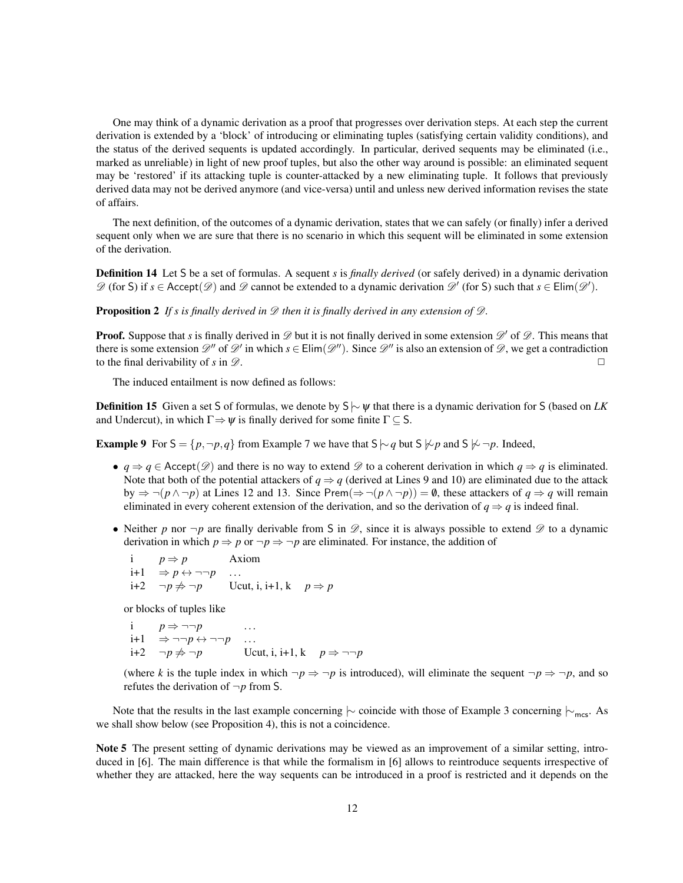One may think of a dynamic derivation as a proof that progresses over derivation steps. At each step the current derivation is extended by a 'block' of introducing or eliminating tuples (satisfying certain validity conditions), and the status of the derived sequents is updated accordingly. In particular, derived sequents may be eliminated (i.e., marked as unreliable) in light of new proof tuples, but also the other way around is possible: an eliminated sequent may be 'restored' if its attacking tuple is counter-attacked by a new eliminating tuple. It follows that previously derived data may not be derived anymore (and vice-versa) until and unless new derived information revises the state of affairs.

The next definition, of the outcomes of a dynamic derivation, states that we can safely (or finally) infer a derived sequent only when we are sure that there is no scenario in which this sequent will be eliminated in some extension of the derivation.

Definition 14 Let S be a set of formulas. A sequent *s* is *finally derived* (or safely derived) in a dynamic derivation  $\mathscr{D}$  (for S) if  $s \in \text{Accept}(\mathscr{D})$  and  $\mathscr{D}$  cannot be extended to a dynamic derivation  $\mathscr{D}'$  (for S) such that  $s \in \text{Elim}(\mathscr{D}')$ .

**Proposition 2** If s is finally derived in  $\mathscr{D}$  then it is finally derived in any extension of  $\mathscr{D}$ .

**Proof.** Suppose that *s* is finally derived in  $\mathscr{D}$  but it is not finally derived in some extension  $\mathscr{D}'$  of  $\mathscr{D}$ . This means that there is some extension  $\mathscr{D}''$  of  $\mathscr{D}'$  in which  $s \in \text{Elim}(\mathscr{D}'')$ . Since  $\mathscr{D}''$  is also an extension of  $\mathscr{D}$ , we get a contradiction to the final derivability of *s* in  $\mathcal{D}$ .

The induced entailment is now defined as follows:

Definition 15 Given a set S of formulas, we denote by S|∼ψ that there is a dynamic derivation for S (based on *LK* and Undercut), in which  $\Gamma \Rightarrow \psi$  is finally derived for some finite  $\Gamma \subseteq S$ .

**Example 9** For  $S = \{p, \neg p, q\}$  from Example 7 we have that  $S \sim q$  but  $S \not\sim p$  and  $S \not\sim \neg p$ . Indeed,

- $q \Rightarrow q \in \text{Accept}(\mathcal{D})$  and there is no way to extend  $\mathcal D$  to a coherent derivation in which  $q \Rightarrow q$  is eliminated. Note that both of the potential attackers of  $q \Rightarrow q$  (derived at Lines 9 and 10) are eliminated due to the attack by  $\Rightarrow \neg(p \land \neg p)$  at Lines 12 and 13. Since Prem( $\Rightarrow \neg(p \land \neg p) = \emptyset$ , these attackers of *q*  $\Rightarrow$  *q* will remain eliminated in every coherent extension of the derivation, and so the derivation of  $q \Rightarrow q$  is indeed final.
- Neither *p* nor  $\neg p$  are finally derivable from S in  $\mathscr{D}$ , since it is always possible to extend  $\mathscr{D}$  to a dynamic derivation in which  $p \Rightarrow p$  or  $\neg p \Rightarrow \neg p$  are eliminated. For instance, the addition of

i  $p \Rightarrow p$  Axiom i+1  $\Rightarrow p \leftrightarrow \neg \neg p$  ... i+2  $\neg p \nleftrightarrow \neg p$  Ucut, i, i+1, k  $p \Rightarrow p$ 

or blocks of tuples like

i *p* ⇒ ¬¬*p* i+1  $\Rightarrow \neg \neg p \leftrightarrow \neg \neg p$  ... i+2  $\neg p \nArr p$  Ucut, i, i+1, k  $p \Rightarrow \neg \neg p$ 

(where *k* is the tuple index in which  $\neg p \Rightarrow \neg p$  is introduced), will eliminate the sequent  $\neg p \Rightarrow \neg p$ , and so refutes the derivation of  $\neg p$  from S.

Note that the results in the last example concerning  $\sim$  coincide with those of Example 3 concerning  $\sim$ <sub>mcs</sub>. As we shall show below (see Proposition 4), this is not a coincidence.

Note 5 The present setting of dynamic derivations may be viewed as an improvement of a similar setting, introduced in [6]. The main difference is that while the formalism in [6] allows to reintroduce sequents irrespective of whether they are attacked, here the way sequents can be introduced in a proof is restricted and it depends on the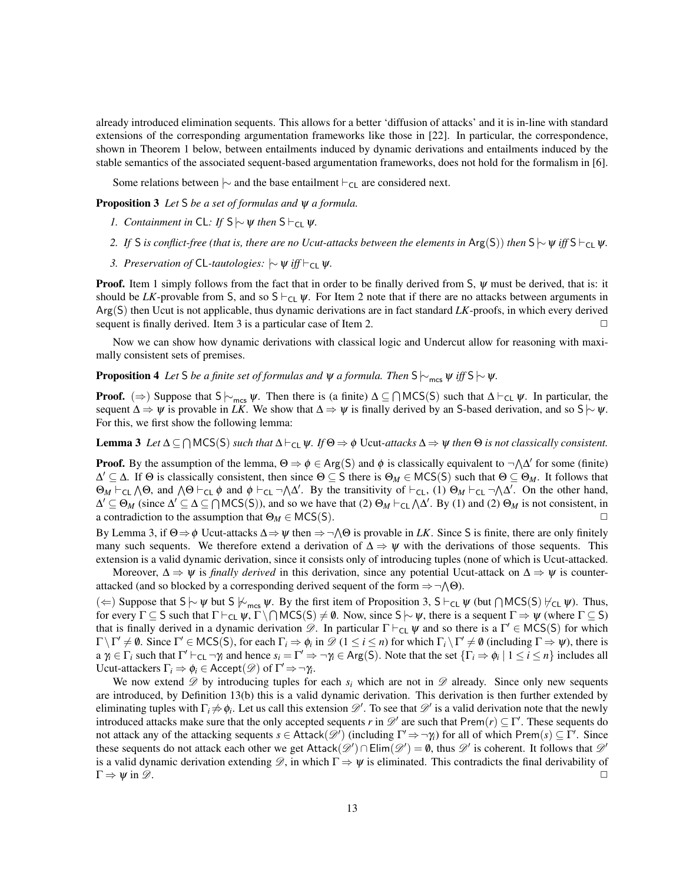already introduced elimination sequents. This allows for a better 'diffusion of attacks' and it is in-line with standard extensions of the corresponding argumentation frameworks like those in [22]. In particular, the correspondence, shown in Theorem 1 below, between entailments induced by dynamic derivations and entailments induced by the stable semantics of the associated sequent-based argumentation frameworks, does not hold for the formalism in [6].

Some relations between  $\sim$  and the base entailment  $\vdash_{\mathsf{CL}}$  are considered next.

Proposition 3 *Let* S *be a set of formulas and* ψ *a formula.*

- *1. Containment in* CL: *If*  $S \sim \psi$  *then*  $S \vdash_{C} \psi$ *.*
- *2. If* S *is conflict-free (that is, there are no Ucut-attacks between the elements in* Arg(S)) *then* S  $\sim$   $\psi$  *iff* S  $\vdash$ <sub>CL</sub>  $\psi$ *.*
- *3. Preservation of* CL*-tautologies:* |∼ψ *iff* `CLψ*.*

**Proof.** Item 1 simply follows from the fact that in order to be finally derived from  $S$ ,  $\psi$  must be derived, that is: it should be *LK*-provable from S, and so  $S \vdash_{CL} \psi$ . For Item 2 note that if there are no attacks between arguments in Arg(S) then Ucut is not applicable, thus dynamic derivations are in fact standard *LK*-proofs, in which every derived sequent is finally derived. Item 3 is a particular case of Item 2.  $\Box$ 

Now we can show how dynamic derivations with classical logic and Undercut allow for reasoning with maximally consistent sets of premises.

**Proposition 4** *Let* S *be a finite set of formulas and*  $\psi$  *a formula. Then*  $S \sim_{mcs} \psi$  *iff*  $S \sim \psi$ *.* 

**Proof.** (⇒) Suppose that  $S \sim_{\text{mcs}} \psi$ . Then there is (a finite)  $\Delta \subseteq \bigcap {\sf MCS}(S)$  such that  $\Delta \vdash_{\text{CL}} \psi$ . In particular, the sequent  $\Delta \Rightarrow \psi$  is provable in *LK*. We show that  $\Delta \Rightarrow \psi$  is finally derived by an S-based derivation, and so S  $\sim \psi$ . For this, we first show the following lemma:

**Lemma 3** Let  $\Delta \subseteq \bigcap \text{MCS}(S)$  such that  $\Delta \vdash_{\text{CL}} \psi$ . If  $\Theta \Rightarrow \phi$  Ucut-attacks  $\Delta \Rightarrow \psi$  then  $\Theta$  is not classically consistent.

**Proof.** By the assumption of the lemma,  $\Theta \Rightarrow \phi \in \text{Arg}(S)$  and  $\phi$  is classically equivalent to  $\neg \Lambda \Delta'$  for some (finite)  $Δ' ⊆ Δ$ . If  $Θ$  is classically consistent, then since  $Θ ⊆ S$  there is  $Θ_M ∈ \mathsf{MCS}(S)$  such that  $Θ ⊆ Θ_M$ . It follows that  $\Theta_M \vdash_{\mathsf{CL}} \bigwedge \Theta$ , and  $\bigwedge \Theta \vdash_{\mathsf{CL}} \phi$  and  $\phi \vdash_{\mathsf{CL}} \neg \bigwedge \Delta'$ . By the transitivity of  $\vdash_{\mathsf{CL}}$ , (1)  $\Theta_M \vdash_{\mathsf{CL}} \neg \bigwedge \Delta'$ . On the other hand,  $\Delta' \subseteq \Theta_M$  (since  $\Delta' \subseteq \Delta \subseteq \bigcap {\sf MCS(S)}$ ), and so we have that  $(2) \Theta_M \vdash_{\mathsf{CL}} \Delta' \Delta'$ . By (1) and (2)  $\Theta_M$  is not consistent, in a contradiction to the assumption that  $\Theta_M \in \text{MCS}(S)$ .

By Lemma 3, if  $\Theta \Rightarrow \phi$  Ucut-attacks  $\Delta \Rightarrow \psi$  then  $\Rightarrow \neg \wedge \Theta$  is provable in *LK*. Since S is finite, there are only finitely many such sequents. We therefore extend a derivation of  $\Delta \Rightarrow \psi$  with the derivations of those sequents. This extension is a valid dynamic derivation, since it consists only of introducing tuples (none of which is Ucut-attacked.

Moreover,  $\Delta \Rightarrow \psi$  is *finally derived* in this derivation, since any potential Ucut-attack on  $\Delta \Rightarrow \psi$  is counterattacked (and so blocked by a corresponding derived sequent of the form  $\Rightarrow \neg \wedge \Theta$ ).

(  $\Leftarrow$  Suppose that S  $\sim \psi$  but S  $\mathcal{V}_{\text{mcs}} \psi$ . By the first item of Proposition 3, S  $\vdash_{\text{CL}} \psi$  (but  $\bigcap \text{MCS}(S) \not\vdash_{\text{CL}} \psi$ ). Thus, for every  $\Gamma \subseteq S$  such that  $\Gamma \vdash_{\mathsf{CL}} \psi, \Gamma \setminus \bigcap \mathsf{MCS}(S) \neq \emptyset$ . Now, since  $S \sim \psi$ , there is a sequent  $\Gamma \Rightarrow \psi$  (where  $\Gamma \subseteq S$ ) that is finally derived in a dynamic derivation  $\mathscr{D}$ . In particular  $\Gamma \vdash_{CL} \psi$  and so there is a  $\Gamma' \in \mathsf{MCS}(S)$  for which  $\Gamma \setminus \Gamma' \neq \emptyset$ . Since  $\Gamma' \in \mathsf{MCS}(S)$ , for each  $\Gamma_i \Rightarrow \phi_i$  in  $\mathscr{D}$  (1  $\leq i \leq n$ ) for which  $\Gamma_i \setminus \Gamma' \neq \emptyset$  (including  $\Gamma \Rightarrow \psi$ ), there is a  $\gamma_i \in \Gamma_i$  such that  $\Gamma' \vdash_{CL} \neg \gamma_i$  and hence  $s_i = \Gamma' \Rightarrow \neg \gamma_i \in \text{Arg}(S)$ . Note that the set  $\{\Gamma_i \Rightarrow \phi_i \mid 1 \leq i \leq n\}$  includes all Ucut-attackers  $\Gamma_i \Rightarrow \phi_i \in \text{Accept}(\mathscr{D})$  of  $\Gamma' \Rightarrow \neg \gamma_i$ .

We now extend  $\mathscr D$  by introducing tuples for each  $s_i$  which are not in  $\mathscr D$  already. Since only new sequents are introduced, by Definition 13(b) this is a valid dynamic derivation. This derivation is then further extended by eliminating tuples with  $\Gamma_i \neq \phi_i$ . Let us call this extension  $\mathscr{D}'$ . To see that  $\mathscr{D}'$  is a valid derivation note that the newly introduced attacks make sure that the only accepted sequents *r* in  $\mathscr{D}'$  are such that Prem $(r) \subseteq \Gamma'$ . These sequents do not attack any of the attacking sequents  $s \in$  Attack( $\mathscr{D}'$ ) (including  $\Gamma' \Rightarrow \neg \gamma_i$ ) for all of which Prem( $s$ )  $\subseteq \Gamma'$ . Since these sequents do not attack each other we get  $texttext{Att}(D') \cap \text{Elim}(D') = \emptyset$ , thus  $D'$  is coherent. It follows that  $D'$ is a valid dynamic derivation extending  $\mathscr{D}$ , in which  $\Gamma \Rightarrow \psi$  is eliminated. This contradicts the final derivability of  $\Gamma \Rightarrow \psi$  in  $\mathscr{D}$ .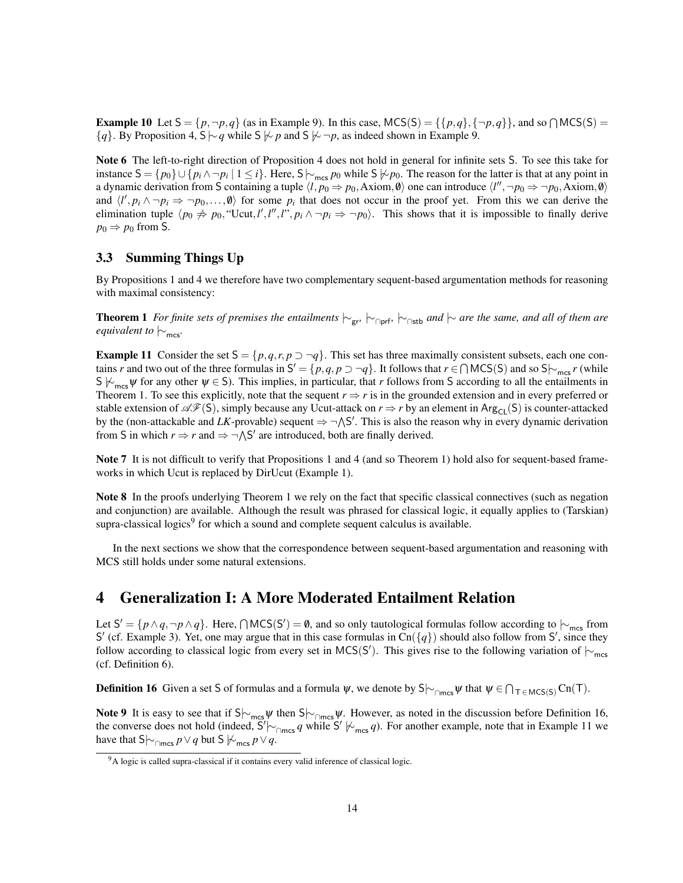**Example 10** Let  $S = \{p, \neg p, q\}$  (as in Example 9). In this case,  $MCS(S) = \{\{p,q\}, \{\neg p,q\}\}\$ , and so  $\bigcap MCS(S) = \{p, q\}$ *{q*}. By Proposition 4, S  $\sim$  *q* while S  $\not\sim$  *p* and S  $\not\sim$  −*p*, as indeed shown in Example 9.

Note 6 The left-to-right direction of Proposition 4 does not hold in general for infinite sets S. To see this take for instance  $S = \{p_0\} \cup \{p_i \land \neg p_i \mid 1 \leq i\}$ . Here,  $S \sim_{\text{mcs}} p_0$  while  $S \not\sim p_0$ . The reason for the latter is that at any point in a dynamic derivation from S containing a tuple  $\langle l, p_0 \Rightarrow p_0, Axiom, \emptyset \rangle$  one can introduce  $\langle l'', \neg p_0 \Rightarrow \neg p_0, Axiom, \emptyset \rangle$ and  $\langle l', p_i \wedge \neg p_i \Rightarrow \neg p_0, \dots, \emptyset \rangle$  for some  $p_i$  that does not occur in the proof yet. From this we can derive the elimination tuple  $\langle p_0 \nleftrightarrow p_0$ , "Ucut, *l'*, *l"*, *l"*,  $p_i \wedge \neg p_i \Rightarrow \neg p_0$ . This shows that it is impossible to finally derive  $p_0 \Rightarrow p_0$  from S.

### 3.3 Summing Things Up

By Propositions 1 and 4 we therefore have two complementary sequent-based argumentation methods for reasoning with maximal consistency:

**Theorem 1** *For finite sets of premises the entailments*  $\vdash_{gr} \vdash_{\cap prf} \vdash_{\cap stb}$  *and*  $\vdash$  *are the same, and all of them are equivalent to*  $\sim$ <sub>mcs</sub>.

**Example 11** Consider the set  $S = \{p, q, r, p \supset \neg q\}$ . This set has three maximally consistent subsets, each one contains *r* and two out of the three formulas in  $S' = \{p, q, p \supset \neg q\}$ . It follows that  $r \in \bigcap {\sf MCS}(S)$  and so  $S \sim_{\text{mcs}} r$  (while S 6|∼mcsψ for any other ψ ∈ S). This implies, in particular, that *r* follows from S according to all the entailments in Theorem 1. To see this explicitly, note that the sequent  $r \Rightarrow r$  is in the grounded extension and in every preferred or stable extension of  $\mathscr{AF}(S)$ , simply because any Ucut-attack on  $r \Rightarrow r$  by an element in Arg<sub>CL</sub>(S) is counter-attacked by the (non-attackable and *LK*-provable) sequent  $\Rightarrow \neg \wedge S'$ . This is also the reason why in every dynamic derivation from S in which  $r \Rightarrow r$  and  $\Rightarrow \neg \wedge S'$  are introduced, both are finally derived.

Note 7 It is not difficult to verify that Propositions 1 and 4 (and so Theorem 1) hold also for sequent-based frameworks in which Ucut is replaced by DirUcut (Example 1).

Note 8 In the proofs underlying Theorem 1 we rely on the fact that specific classical connectives (such as negation and conjunction) are available. Although the result was phrased for classical logic, it equally applies to (Tarskian) supra-classical logics<sup>9</sup> for which a sound and complete sequent calculus is available.

In the next sections we show that the correspondence between sequent-based argumentation and reasoning with MCS still holds under some natural extensions.

### 4 Generalization I: A More Moderated Entailment Relation

Let  $S' = \{p \land q, \neg p \land q\}$ . Here,  $\bigcap \text{MCS}(S') = \emptyset$ , and so only tautological formulas follow according to  $\big|_{\neg \text{mes}}$  from S' (cf. Example 3). Yet, one may argue that in this case formulas in  $\text{Cn}(\lbrace q \rbrace)$  should also follow from S', since they follow according to classical logic from every set in MCS(S'). This gives rise to the following variation of  $\vdash_{\sf mes}$ (cf. Definition 6).

**Definition 16** Given a set S of formulas and a formula  $\psi$ , we denote by S $\vdash_{\bigcap_{\text{mcc}}}\psi$  that  $\psi \in \bigcap_{\tau \in \text{MCS}(S)}\text{Cn(T)}.$ 

Note 9 It is easy to see that if S $\vdash_{\mathsf{mcs}} \psi$  then S $\vdash_{\mathsf{mcs}} \psi$ . However, as noted in the discussion before Definition 16, the converse does not hold (indeed,  $S' \sim_{\text{mcs}} q$  while  $S' \not\sim_{\text{mcs}} q$ ). For another example, note that in Example 11 we have that  $S|_{\sim}$ <sub>∩mcs</sub>  $p \vee q$  but  $S \not\vdash_{\sf{mcs}} p \vee q$ .

<sup>&</sup>lt;sup>9</sup>A logic is called supra-classical if it contains every valid inference of classical logic.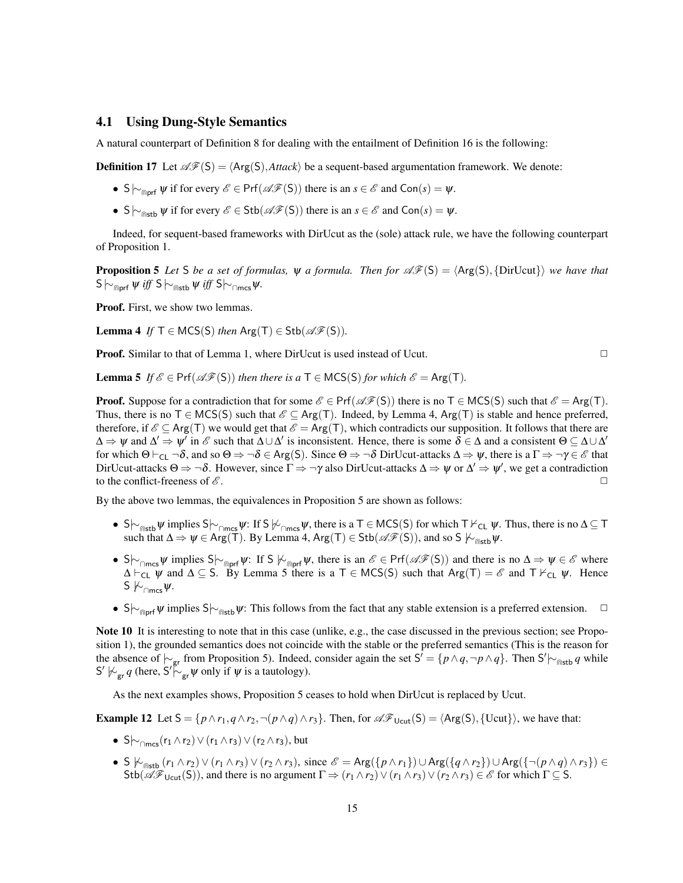### 4.1 Using Dung-Style Semantics

A natural counterpart of Definition 8 for dealing with the entailment of Definition 16 is the following:

**Definition 17** Let  $\mathscr{AF}(S) = \langle \text{Arg}(S), \text{Attack} \rangle$  be a sequent-based argumentation framework. We denote:

- S  $\sim_{\text{maxf}} \psi$  if for every  $\mathscr{E} \in \text{Prf}(\mathscr{AF}(S))$  there is an  $s \in \mathscr{E}$  and Con( $s$ ) =  $\psi$ .
- S  $\vdash_{\mathsf{math}} \psi$  if for every  $\mathscr{E} \in \mathsf{Stb}(\mathscr{AF}(S))$  there is an  $s \in \mathscr{E}$  and  $\mathsf{Con}(s) = \psi$ .

Indeed, for sequent-based frameworks with DirUcut as the (sole) attack rule, we have the following counterpart of Proposition 1.

**Proposition 5** Let S be a set of formulas,  $\psi$  a formula. Then for  $\mathscr{AF}(S) = \langle Arg(S), \{DirUcut\}\rangle$  we have that  $S \sim_{\text{short}} \psi \text{ iff } S \sim_{\text{mstb}} \psi \text{ iff } S \sim_{\text{mncs}} \psi.$ 

Proof. First, we show two lemmas.

**Lemma 4** *If*  $T \in \text{MCS}(S)$  *then* Arg $(T) \in \text{Stb}(\mathcal{AF}(S))$ *.* 

**Proof.** Similar to that of Lemma 1, where DirUcut is used instead of Ucut. □

**Lemma 5** *If*  $\mathscr{E} \in Pr(f(\mathscr{A}\mathscr{F}(S))$  *then there is a*  $T \in MCS(S)$  *for which*  $\mathscr{E} = Arg(T)$ *.* 

**Proof.** Suppose for a contradiction that for some  $\mathscr{E} \in Prf(\mathscr{A}\mathscr{F}(S))$  there is no  $T \in MCS(S)$  such that  $\mathscr{E} = Arg(T)$ . Thus, there is no  $T \in MCS(S)$  such that  $\mathscr{E} \subseteq \text{Arg}(T)$ . Indeed, by Lemma 4,  $\text{Arg}(T)$  is stable and hence preferred, therefore, if  $\mathscr{E} \subseteq \text{Arg}(T)$  we would get that  $\mathscr{E} = \text{Arg}(T)$ , which contradicts our supposition. It follows that there are  $\Delta \Rightarrow \psi$  and  $\Delta' \Rightarrow \psi'$  in  $\mathscr E$  such that  $\Delta \cup \Delta'$  is inconsistent. Hence, there is some  $\delta \in \Delta$  and a consistent  $\Theta \subseteq \Delta \cup \Delta'$ for which Θ  $\vdash_{CL} \neg \delta$ , and so Θ  $\Rightarrow \neg \delta \in \text{Arg}(S)$ . Since Θ  $\Rightarrow \neg \delta$  DirUcut-attacks  $\Delta \Rightarrow \psi$ , there is a  $\Gamma \Rightarrow \neg \gamma \in \mathcal{E}$  that DirUcut-attacks  $\Theta \Rightarrow \neg \delta$ . However, since  $\Gamma \Rightarrow \neg \gamma$  also DirUcut-attacks  $\Delta \Rightarrow \psi$  or  $\Delta' \Rightarrow \psi'$ , we get a contradiction to the conflict-freeness of  $\mathscr E$ .

By the above two lemmas, the equivalences in Proposition 5 are shown as follows:

- S $\vdash_{\text{mstb}} \psi$  implies S $\vdash_{\text{~}\cap\text{mcs}} \psi$ : If S  $\not\vdash_{\cap\text{mcs}} \psi$ , there is a T ∈ MCS(S) for which T  $\vdash_{\text{CL}} \psi$ . Thus, there is no  $\Delta \subseteq \top$ such that  $\Delta \Rightarrow \psi \in \text{Arg}(\mathsf{T})$ . By Lemma 4,  $\text{Arg}(\mathsf{T}) \in \text{Stb}(\mathscr{AF}(S))$ , and so S  $\nvDash_{\text{mstb}} \psi$ .
- S $\vdash_{\cap \text{mes}} \psi$  implies S $\vdash_{\text{Caprf}} \psi$ : If S  $\not\vdash_{\text{Caprf}} \psi$ , there is an  $\mathscr{E} \in \text{Prf}(\mathscr{AF}(S))$  and there is no  $\Delta \Rightarrow \psi \in \mathscr{E}$  where  $\Delta \vdash_{CL} \psi$  and  $\Delta \subseteq S$ . By Lemma 5 there is a T  $\in MCS(S)$  such that  $Arg(T) = \mathscr{E}$  and  $T \nvDash_{CL} \psi$ . Hence S  $\nvDash_{\cap \text{mcs}} \psi$ .
- S $\vdash_{\text{morf}} \psi$  implies S $\vdash_{\text{meth}} \psi$ : This follows from the fact that any stable extension is a preferred extension.  $\Box$

Note 10 It is interesting to note that in this case (unlike, e.g., the case discussed in the previous section; see Proposition 1), the grounded semantics does not coincide with the stable or the preferred semantics (This is the reason for the absence of  $\sim_{gr}$  from Proposition 5). Indeed, consider again the set  $S' = \{p \land q, \neg p \land q\}$ . Then  $S' \sim_{mstb} q$  while  $S' \not\vdash_{\text{gr}} q$  (here,  $S' \not\upharpoonright_{\text{gr}} \psi$  only if  $\psi$  is a tautology).

As the next examples shows, Proposition 5 ceases to hold when DirUcut is replaced by Ucut.

**Example 12** Let  $S = \{p \wedge r_1, q \wedge r_2, \neg(p \wedge q) \wedge r_3\}$ . Then, for  $\mathscr{AF}_{Ucut}(S) = \langle \text{Arg}(S), \{\text{Ucut}\}\rangle$ , we have that:

- S $\sim$ <sub>Omcs</sub>(r<sub>1</sub> ∧r<sub>2</sub>)  $\vee$  (r<sub>1</sub> ∧r<sub>3</sub>)  $\vee$  (r<sub>2</sub> ∧r<sub>3</sub>), but
- S  $\forall$ <sub>instb</sub>  $(r_1 \land r_2) \lor (r_1 \land r_3) \lor (r_2 \land r_3)$ , since  $\mathscr{E} = \text{Arg}(\{p \land r_1\}) \cup \text{Arg}(\{q \land r_2\}) \cup \text{Arg}(\{\neg (p \land q) \land r_3\}) \in$  $\text{Stb}(\mathscr{AF}_{\text{Ucut}}(S))$ , and there is no argument  $\Gamma \Rightarrow (r_1 \wedge r_2) \vee (r_1 \wedge r_3) \vee (r_2 \wedge r_3) \in \mathscr{E}$  for which  $\Gamma \subseteq S$ .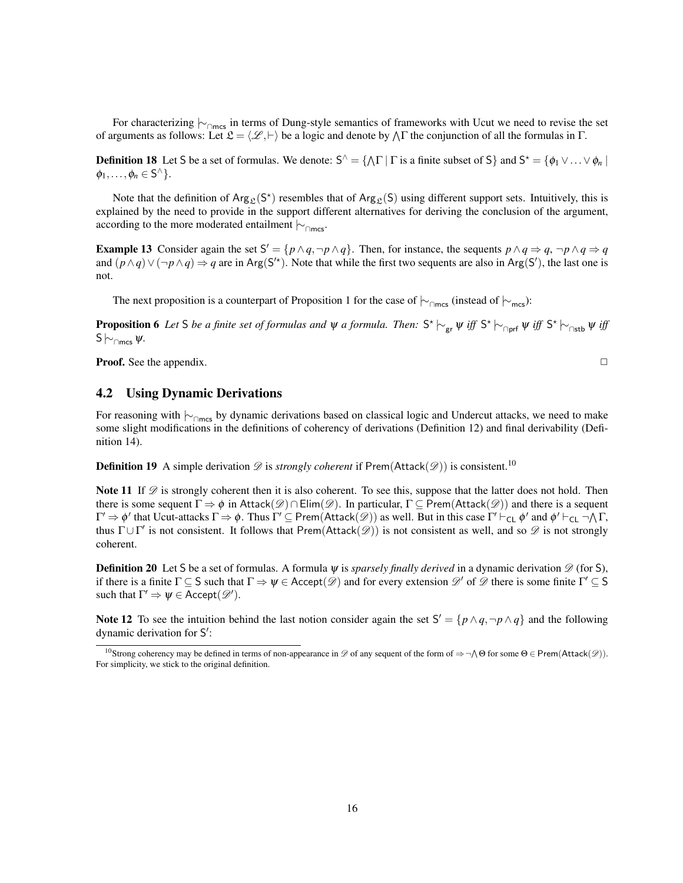For characterizing  $\vdash_{\cap \text{mcs}}$  in terms of Dung-style semantics of frameworks with Ucut we need to revise the set of arguments as follows: Let  $\mathfrak{L} = \langle \mathcal{L}, \vdash \rangle$  be a logic and denote by  $\wedge \Gamma$  the conjunction of all the formulas in  $\Gamma$ .

**Definition 18** Let S be a set of formulas. We denote:  $S^{\wedge} = \{ \wedge \Gamma \mid \Gamma \text{ is a finite subset of } S \}$  and  $S^{\star} = \{ \phi_1 \vee \ldots \vee \phi_n \mid S \in S \}$  $\phi_1,\ldots,\phi_n\in S^\wedge$  }.

Note that the definition of  $Arg_{\mathcal{L}}(S^*)$  resembles that of  $Arg_{\mathcal{L}}(S)$  using different support sets. Intuitively, this is explained by the need to provide in the support different alternatives for deriving the conclusion of the argument, according to the more moderated entailment  $\vdash_{\cap \mathsf{mcs}}$ .

**Example 13** Consider again the set  $S' = \{p \land q, \neg p \land q\}$ . Then, for instance, the sequents  $p \land q \Rightarrow q$ ,  $\neg p \land q \Rightarrow q$ and  $(p \land q) \lor (\neg p \land q) \Rightarrow q$  are in Arg(S<sup>/\*</sup>). Note that while the first two sequents are also in Arg(S'), the last one is not.

The next proposition is a counterpart of Proposition 1 for the case of  $\vdash_{\cap \text{mcs}}$  (instead of  $\vdash_{\text{mcs}}$ ):

**Proposition 6** Let S be a finite set of formulas and  $\psi$  a formula. Then:  $S^* \vdash_{gr} \psi$  iff  $S^* \vdash_{\cap prf} \psi$  iff  $S^* \vdash_{\cap stb} \psi$  iff  $S \sim_{\cap \text{mcs}} \psi$ .

**Proof.** See the appendix.  $\Box$ 

#### 4.2 Using Dynamic Derivations

For reasoning with  $\vdash_{\cap\text{mcs}}$  by dynamic derivations based on classical logic and Undercut attacks, we need to make some slight modifications in the definitions of coherency of derivations (Definition 12) and final derivability (Definition 14).

**Definition 19** A simple derivation  $\mathcal{D}$  is *strongly coherent* if Prem(Attack( $\mathcal{D}$ )) is consistent.<sup>10</sup>

Note 11 If  $\mathscr D$  is strongly coherent then it is also coherent. To see this, suppose that the latter does not hold. Then there is some sequent  $\Gamma \Rightarrow \phi$  in Attack $(\mathscr{D}) \cap \text{Elim}(\mathscr{D})$ . In particular,  $\Gamma \subseteq \text{ Prem}(\text{Attack}(\mathscr{D}))$  and there is a sequent  $\Gamma' \Rightarrow \phi'$  that Ucut-attacks  $\Gamma \Rightarrow \phi$ . Thus  $\Gamma' \subseteq \text{Prem}(\text{Attack}(\mathscr{D}))$  as well. But in this case  $\Gamma' \vdash_{\text{CL}} \phi'$  and  $\phi' \vdash_{\text{CL}} \neg \wedge \Gamma$ , thus  $\Gamma \cup \Gamma'$  is not consistent. It follows that Prem(Attack( $\mathscr{D})$ ) is not consistent as well, and so  $\mathscr{D}$  is not strongly coherent.

**Definition 20** Let S be a set of formulas. A formula  $\psi$  is *sparsely finally derived* in a dynamic derivation  $\mathscr{D}$  (for S), if there is a finite  $\Gamma \subseteq S$  such that  $\Gamma \Rightarrow \psi \in \text{Accept}(\mathscr{D})$  and for every extension  $\mathscr{D}'$  of  $\mathscr{D}$  there is some finite  $\Gamma' \subseteq S$ such that  $\Gamma' \Rightarrow \psi \in \mathsf{Accept}(\mathscr{D}')$ .

Note 12 To see the intuition behind the last notion consider again the set  $S' = \{p \land q, \neg p \land q\}$  and the following dynamic derivation for S':

<sup>&</sup>lt;sup>10</sup>Strong coherency may be defined in terms of non-appearance in  $\mathscr{D}$  of any sequent of the form of  $\Rightarrow \neg \wedge \Theta$  for some  $\Theta \in \text{Prem}(Attack(\mathscr{D}))$ . For simplicity, we stick to the original definition.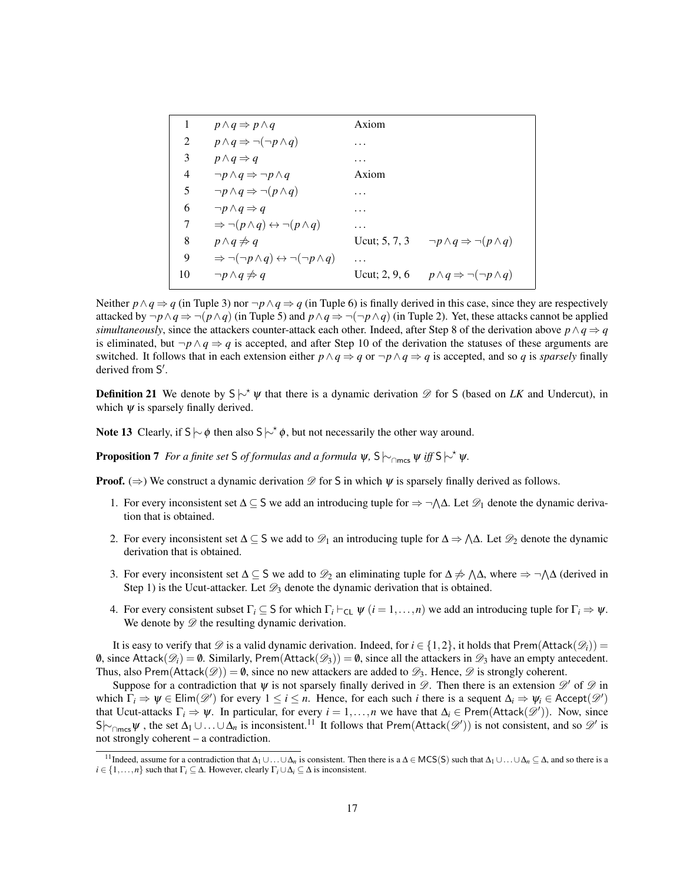| 1  | $p \wedge q \Rightarrow p \wedge q$                                     | Axiom           |                                                |
|----|-------------------------------------------------------------------------|-----------------|------------------------------------------------|
| 2  | $p \wedge q \Rightarrow \neg(\neg p \wedge q)$                          | $\cdots$        |                                                |
| 3  | $p \wedge q \Rightarrow q$                                              | $\cdots$        |                                                |
| 4  | $\neg p \wedge q \Rightarrow \neg p \wedge q$                           | Axiom           |                                                |
| 5  | $\neg p \land q \Rightarrow \neg (p \land q)$                           | .               |                                                |
| 6  | $\neg p \wedge q \Rightarrow q$                                         | .               |                                                |
| 7  | $\Rightarrow \neg (p \land q) \leftrightarrow \neg (p \land q)$         | $\cdots$        |                                                |
| 8  | $p \wedge q \neq q$                                                     | Ucut; $5, 7, 3$ | $\neg p \land q \Rightarrow \neg (p \land q)$  |
| 9  | $\Rightarrow \neg(\neg p \land q) \leftrightarrow \neg(\neg p \land q)$ | .               |                                                |
| 10 | $\neg p \land q \not\Rightarrow q$                                      | Ucut; $2, 9, 6$ | $p \wedge q \Rightarrow \neg(\neg p \wedge q)$ |

Neither  $p \land q \Rightarrow q$  (in Tuple 3) nor  $\neg p \land q \Rightarrow q$  (in Tuple 6) is finally derived in this case, since they are respectively attacked by  $\neg p \land q \Rightarrow \neg (p \land q)$  (in Tuple 5) and  $p \land q \Rightarrow \neg (\neg p \land q)$  (in Tuple 2). Yet, these attacks cannot be applied *simultaneously*, since the attackers counter-attack each other. Indeed, after Step 8 of the derivation above  $p \land q \Rightarrow q$ is eliminated, but  $\neg p \land q \Rightarrow q$  is accepted, and after Step 10 of the derivation the statuses of these arguments are switched. It follows that in each extension either  $p \land q \Rightarrow q$  or  $\neg p \land q \Rightarrow q$  is accepted, and so *q* is *sparsely* finally derived from S'.

**Definition 21** We denote by  $S \sim^* \psi$  that there is a dynamic derivation  $\mathscr D$  for S (based on *LK* and Undercut), in which  $\psi$  is sparsely finally derived.

Note 13 Clearly, if S  $\sim \phi$  then also S  $\sim^{\star} \phi$ , but not necessarily the other way around.

**Proposition 7** *For a finite set* S *of formulas and a formula*  $\psi$ , S  $\sim_{\cap \text{mcs}} \psi$  *iff* S  $\sim^{\star} \psi$ .

**Proof.** ( $\Rightarrow$ ) We construct a dynamic derivation  $\mathcal{D}$  for S in which  $\psi$  is sparsely finally derived as follows.

- 1. For every inconsistent set  $\Delta \subseteq S$  we add an introducing tuple for  $\Rightarrow \neg \Lambda \Delta$ . Let  $\mathscr{D}_1$  denote the dynamic derivation that is obtained.
- 2. For every inconsistent set  $\Delta \subseteq S$  we add to  $\mathscr{D}_1$  an introducing tuple for  $\Delta \Rightarrow \Lambda \Delta$ . Let  $\mathscr{D}_2$  denote the dynamic derivation that is obtained.
- 3. For every inconsistent set  $\Delta \subseteq S$  we add to  $\mathcal{D}_2$  an eliminating tuple for  $\Delta \neq \Lambda \Delta$ , where  $\Rightarrow \neg \Lambda \Delta$  (derived in Step 1) is the Ucut-attacker. Let  $\mathcal{D}_3$  denote the dynamic derivation that is obtained.
- 4. For every consistent subset  $\Gamma_i \subseteq S$  for which  $\Gamma_i \vdash_{\mathsf{CL}} \psi$  ( $i = 1, \ldots, n$ ) we add an introducing tuple for  $\Gamma_i \Rightarrow \psi$ . We denote by  $\mathscr{D}$  the resulting dynamic derivation.

It is easy to verify that  $\mathscr D$  is a valid dynamic derivation. Indeed, for  $i \in \{1,2\}$ , it holds that Prem(Attack( $\mathscr D_i$ )) = 0, since Attack( $\mathcal{D}_i$ ) = 0. Similarly, Prem(Attack( $\mathcal{D}_3$ )) = 0, since all the attackers in  $\mathcal{D}_3$  have an empty antecedent. Thus, also Prem(Attack( $\mathscr{D}$ )) = 0, since no new attackers are added to  $\mathscr{D}_3$ . Hence,  $\mathscr{D}$  is strongly coherent.

Suppose for a contradiction that  $\psi$  is not sparsely finally derived in  $\mathscr{D}$ . Then there is an extension  $\mathscr{D}'$  of  $\mathscr{D}$  in which  $\Gamma_i \Rightarrow \psi \in \text{Elim}(\mathscr{D}')$  for every  $1 \leq i \leq n$ . Hence, for each such *i* there is a sequent  $\Delta_i \Rightarrow \psi_i \in \text{Accept}(\mathscr{D}')$ that Ucut-attacks  $\Gamma_i \Rightarrow \psi$ . In particular, for every  $i = 1, ..., n$  we have that  $\Delta_i \in \text{Prem}(\text{Attack}(\mathcal{D}'))$ . Now, since S $\vdash_{\cap \text{mcs}} \psi$ , the set  $\Delta_1 \cup ... \cup \Delta_n$  is inconsistent.<sup>11</sup> It follows that Prem(Attack( $\mathscr{D}'$ )) is not consistent, and so  $\mathscr{D}'$  is not strongly coherent – a contradiction.

<sup>&</sup>lt;sup>11</sup>Indeed, assume for a contradiction that  $\Delta_1 \cup \ldots \cup \Delta_n$  is consistent. Then there is a  $\Delta \in \mathsf{MCS}(S)$  such that  $\Delta_1 \cup \ldots \cup \Delta_n \subseteq \Delta$ , and so there is a  $i \in \{1, \ldots, n\}$  such that  $\Gamma_i \subseteq \Delta$ . However, clearly  $\Gamma_i \cup \Delta_i \subseteq \Delta$  is inconsistent.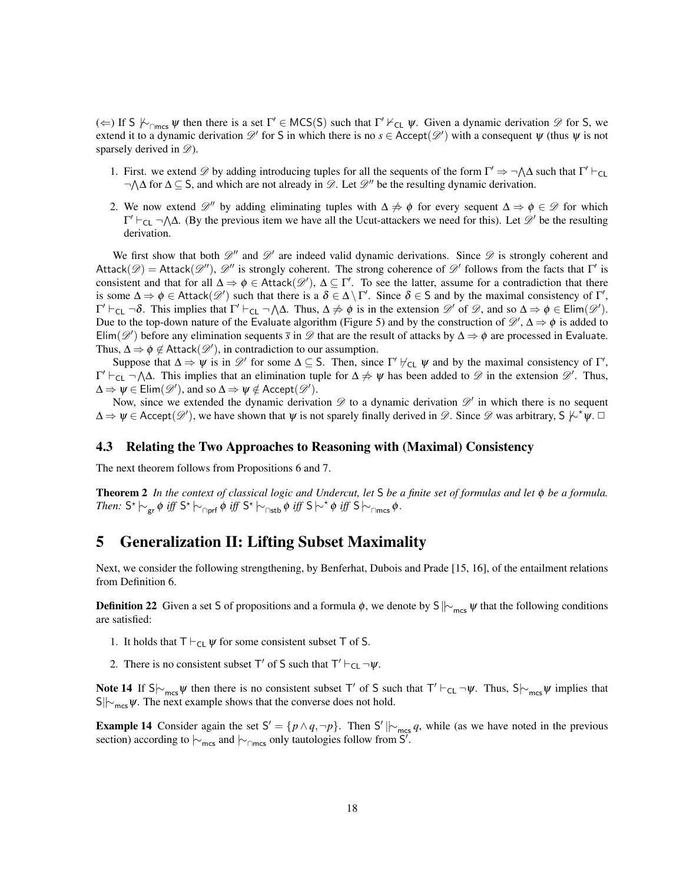( $\Leftarrow$ ) If S  $\mu_{\text{c}}$  w then there is a set  $\Gamma' \in \text{MCS}(S)$  such that  $\Gamma' \nvdash_{\text{CL}} \psi$ . Given a dynamic derivation  $\mathscr{D}$  for S, we extend it to a dynamic derivation  $\mathscr{D}'$  for S in which there is no  $s \in \text{Accept}(\mathscr{D}')$  with a consequent  $\psi$  (thus  $\psi$  is not sparsely derived in  $\mathcal{D}$ ).

- 1. First. we extend  $\mathscr{D}$  by adding introducing tuples for all the sequents of the form  $\Gamma' \Rightarrow \neg \Lambda \Delta$  such that  $\Gamma' \vdash_{CL}$  $\neg \wedge \Delta$  for  $\Delta \subseteq S$ , and which are not already in  $\mathscr{D}$ . Let  $\mathscr{D}''$  be the resulting dynamic derivation.
- 2. We now extend  $\mathscr{D}^{\prime\prime}$  by adding eliminating tuples with  $\Delta \neq \phi$  for every sequent  $\Delta \Rightarrow \phi \in \mathscr{D}$  for which  $\Gamma' \vdash_{\text{CL}} \neg \Lambda \Delta$ . (By the previous item we have all the Ucut-attackers we need for this). Let  $\mathscr{D}'$  be the resulting derivation.

We first show that both  $\mathscr{D}$ <sup>*'*</sup> and  $\mathscr{D}$ <sup>'</sup> are indeed valid dynamic derivations. Since  $\mathscr{D}$  is strongly coherent and Attack( $\mathscr{D}$ ) = Attack( $\mathscr{D}'$ ),  $\mathscr{D}''$  is strongly coherent. The strong coherence of  $\mathscr{D}'$  follows from the facts that  $\Gamma'$  is consistent and that for all  $\Delta \Rightarrow \phi \in \text{Attack}(\mathcal{D}'), \Delta \subseteq \Gamma'.$  To see the latter, assume for a contradiction that there is some  $\Delta \Rightarrow \phi \in \text{Attack}(\mathscr{D}')$  such that there is a  $\delta \in \Delta \setminus \Gamma'$ . Since  $\delta \in \mathsf{S}$  and by the maximal consistency of  $\Gamma'$ ,  $\Gamma' \vdash_{\mathsf{CL}} \neg \delta$ . This implies that  $\Gamma' \vdash_{\mathsf{CL}} \neg \Lambda \Delta$ . Thus,  $\Delta \neq \phi$  is in the extension  $\mathscr{D}'$  of  $\mathscr{D}$ , and so  $\Delta \Rightarrow \phi \in \mathsf{Elim}(\mathscr{D}')$ . Due to the top-down nature of the Evaluate algorithm (Figure 5) and by the construction of  $\mathscr{D}', \Delta \Rightarrow \phi$  is added to Elim( $\mathscr{D}'$ ) before any elimination sequents  $\bar{s}$  in  $\mathscr{D}$  that are the result of attacks by  $\Delta \Rightarrow \phi$  are processed in Evaluate. Thus,  $\Delta \Rightarrow \phi \not\in \text{Attack}(\mathscr{D}')$ , in contradiction to our assumption.

Suppose that  $\Delta \Rightarrow \psi$  is in  $\mathscr{D}'$  for some  $\Delta \subseteq S$ . Then, since  $\Gamma' \not\vdash_{CL} \psi$  and by the maximal consistency of  $\Gamma'$ ,  $Γ' \vdash_{\text{CL}} \neg \land \Delta$ . This implies that an elimination tuple for  $\Delta \neq \psi$  has been added to  $\mathscr{D}$  in the extension  $\mathscr{D}'$ . Thus,  $\Delta \Rightarrow \psi \in \mathsf{Elim}(\mathscr{D}'),$  and so  $\Delta \Rightarrow \psi \notin \mathsf{Accept}(\mathscr{D}').$ 

Now, since we extended the dynamic derivation  $\mathscr{D}$  to a dynamic derivation  $\mathscr{D}'$  in which there is no sequent  $\Delta \to \psi \in \text{Accept}(\mathscr{D}')$ , we have shown that  $\psi$  is not sparely finally derived in  $\mathscr{D}$ . Since  $\mathscr{D}$  was arbitrary,  $S \not\vdash^{\star} \psi$ .

#### 4.3 Relating the Two Approaches to Reasoning with (Maximal) Consistency

The next theorem follows from Propositions 6 and 7.

Theorem 2 *In the context of classical logic and Undercut, let* S *be a finite set of formulas and let* φ *be a formula.*  $\mathit{Then: } S^{\star} \sim_{gr} \phi \mathit{ iff } S^{\star} \sim_{\cap \mathsf{prf}} \phi \mathit{ iff } S^{\star} \sim_{\cap \mathsf{stb}} \phi \mathit{ iff } S \sim^{\star} \phi \mathit{ iff } S \sim_{\cap \mathsf{mcs}} \phi.$ 

### 5 Generalization II: Lifting Subset Maximality

Next, we consider the following strengthening, by Benferhat, Dubois and Prade [15, 16], of the entailment relations from Definition 6.

**Definition 22** Given a set S of propositions and a formula  $\phi$ , we denote by S  $\vert\vert_{\text{c}^{\text{max}}} \psi$  that the following conditions are satisfied:

- 1. It holds that  $T \vdash_{CL} \psi$  for some consistent subset T of S.
- 2. There is no consistent subset T' of S such that  $T' \vdash_{CL} \neg \psi$ .

Note 14 If S $\vdash_{mcs} \psi$  then there is no consistent subset T' of S such that T'  $\vdash_{CL} \neg \psi$ . Thus, S $\vdash_{mcs} \psi$  implies that S $|\sim$ <sub>mcs</sub>ψ. The next example shows that the converse does not hold.

**Example 14** Consider again the set  $S' = \{p \land q, \neg p\}$ . Then  $S' \rvert \nvert_{\text{mes } q}$ , while (as we have noted in the previous section) according to  $\vdash_{\mathsf{mcs}}$  and  $\vdash_{\cap \mathsf{mcs}}$  only tautologies follow from S'.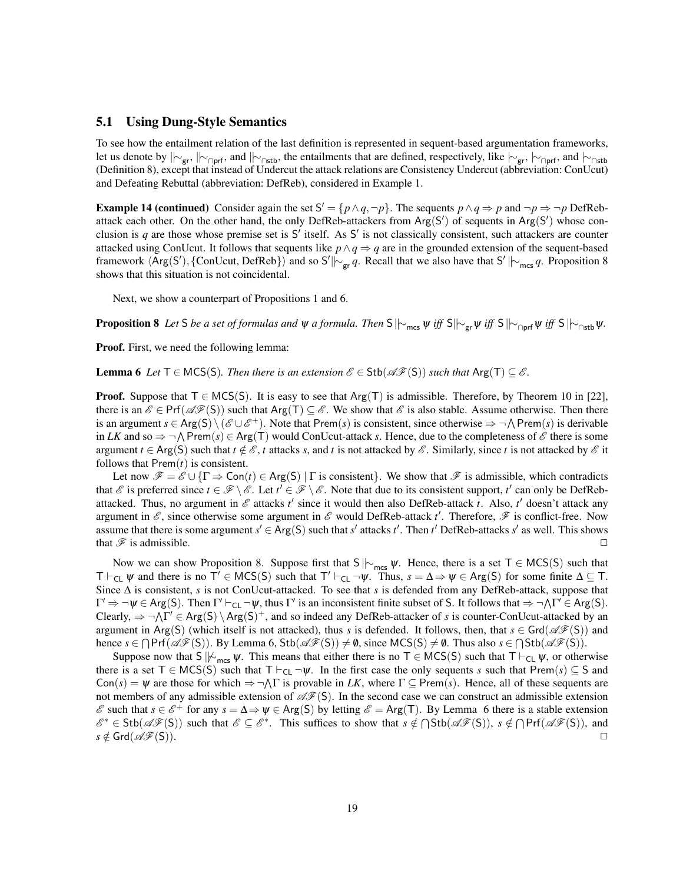#### 5.1 Using Dung-Style Semantics

To see how the entailment relation of the last definition is represented in sequent-based argumentation frameworks, let us denote by  $\vert\vert_{\sim_{\text{gr}}}$ ,  $\vert\vert_{\sim_{\text{forb}}}$ , and  $\vert\vert_{\sim_{\text{fstb}}}$ , the entailments that are defined, respectively, like  $\vert_{\sim_{\text{gr}}}$ ,  $\vert_{\sim_{\text{forb}}}$ , and  $\vert_{\sim_{\text{fstb}}}$ (Definition 8), except that instead of Undercut the attack relations are Consistency Undercut (abbreviation: ConUcut) and Defeating Rebuttal (abbreviation: DefReb), considered in Example 1.

**Example 14 (continued)** Consider again the set  $S' = \{p \land q, \neg p\}$ . The sequents  $p \land q \Rightarrow p$  and  $\neg p \Rightarrow \neg p$  DefRebattack each other. On the other hand, the only DefReb-attackers from  $Arg(S')$  of sequents in  $Arg(S')$  whose conclusion is  $q$  are those whose premise set is  $S'$  itself. As  $S'$  is not classically consistent, such attackers are counter attacked using ConUcut. It follows that sequents like  $p \land q \Rightarrow q$  are in the grounded extension of the sequent-based framework  $\langle \text{Arg}(S')$ ,  $\{\text{ConUcut}, \text{DefReb}\}\rangle$  and so  $S'$ || $\sim_{gr} q$ . Recall that we also have that  $S'$ || $\sim_{mcs} q$ . Proposition 8 shows that this situation is not coincidental.

Next, we show a counterpart of Propositions 1 and 6.

**Proposition 8** Let S be a set of formulas and  $\psi$  a formula. Then S  $\vert \vert_{\vert_{\text{max}}} \psi$  *iff* S  $\vert \vert_{\vert_{\text{max}}} \psi$  *iff* S  $\vert \vert_{\vert_{\text{max}}} \psi$ .

Proof. First, we need the following lemma:

**Lemma 6** *Let*  $T \in \text{MCS}(S)$ *. Then there is an extension*  $\mathscr{E} \in \text{Stb}(\mathscr{AF}(S))$  *such that*  $\text{Arg}(T) \subseteq \mathscr{E}$ *.* 

**Proof.** Suppose that  $T \in \text{MCS}(S)$ . It is easy to see that  $\text{Arg}(T)$  is admissible. Therefore, by Theorem 10 in [22], there is an  $\mathscr{E} \in Pr(f(\mathscr{A} \mathscr{F}(S))$  such that  $Arg(T) \subseteq \mathscr{E}$ . We show that  $\mathscr{E}$  is also stable. Assume otherwise. Then there is an argument  $s \in \text{Arg}(S) \setminus (\mathscr{E} \cup \mathscr{E}^+)$ . Note that Prem(*s*) is consistent, since otherwise  $\Rightarrow \neg \bigwedge \text{Perm}(s)$  is derivable in *LK* and so  $\Rightarrow \neg \bigwedge \text{Perm}(s) \in \text{Arg}(\mathsf{T})$  would ConUcut-attack *s*. Hence, due to the completeness of  $\mathscr{E}$  there is some argument  $t \in \text{Arg}(S)$  such that  $t \notin \mathcal{E}$ , t attacks s, and t is not attacked by  $\mathcal{E}$ . Similarly, since t is not attacked by  $\mathcal{E}$  it follows that Prem(*t*) is consistent.

Let now  $\mathscr{F} = \mathscr{E} \cup \{ \Gamma \Rightarrow \text{Con}(t) \in \text{Arg}(S) \mid \Gamma \text{ is consistent} \}$ . We show that  $\mathscr{F}$  is admissible, which contradicts that  $\mathscr E$  is preferred since  $t \in \mathscr F \setminus \mathscr E$ . Let  $t' \in \mathscr F \setminus \mathscr E$ . Note that due to its consistent support,  $t'$  can only be DefRebattacked. Thus, no argument in  $\mathcal E$  attacks  $t'$  since it would then also DefReb-attack  $t$ . Also,  $t'$  doesn't attack any argument in  $\mathscr E$ , since otherwise some argument in  $\mathscr E$  would DefReb-attack  $t'$ . Therefore,  $\mathscr F$  is conflict-free. Now assume that there is some argument  $s' \in \text{Arg}(S)$  such that  $s'$  attacks  $t'$ . Then  $t'$  DefReb-attacks  $s'$  as well. This shows that  $\mathscr F$  is admissible.

Now we can show Proposition 8. Suppose first that  $S \Vdash_{\text{mcs}} \psi$ . Hence, there is a set  $T \in \text{MCS}(S)$  such that  $T \vdash_{CL} \psi$  and there is no  $T' \in MCS(S)$  such that  $T' \vdash_{CL} \neg \psi$ . Thus,  $s = \Delta \Rightarrow \psi \in Arg(S)$  for some finite  $\Delta \subseteq T$ . Since ∆ is consistent, *s* is not ConUcut-attacked. To see that *s* is defended from any DefReb-attack, suppose that  $\Gamma' \Rightarrow \neg \psi \in \text{Arg}(S)$ . Then  $\Gamma' \vdash_{\text{CL}} \neg \psi$ , thus  $\Gamma'$  is an inconsistent finite subset of S. It follows that  $\Rightarrow \neg \Lambda \Gamma' \in \text{Arg}(S)$ . Clearly,  $\Rightarrow \neg \Lambda \Gamma' \in \text{Arg}(S) \setminus \text{Arg}(S)^+$ , and so indeed any DefReb-attacker of *s* is counter-ConUcut-attacked by an argument in Arg(S) (which itself is not attacked), thus *s* is defended. It follows, then, that  $s \in \text{Grd}(\mathcal{AF}(S))$  and hence  $s \in \bigcap \Pr(\mathscr{A}\mathscr{F}(S))$ . By Lemma 6, Stb $(\mathscr{A}\mathscr{F}(S)) \neq \emptyset$ , since MCS(S)  $\neq \emptyset$ . Thus also  $s \in \bigcap \text{Stb}(\mathscr{A}\mathscr{F}(S))$ .

Suppose now that S  $|\psi_{\text{mes}} \psi|$ . This means that either there is no T ∈ MCS(S) such that T  $\vdash_{CL} \psi$ , or otherwise there is a set  $T \in MCS(S)$  such that  $T \vdash_{CL} \neg \psi$ . In the first case the only sequents *s* such that Prem(*s*)  $\subseteq$  S and Con(s) =  $\psi$  are those for which  $\Rightarrow \neg \wedge \Gamma$  is provable in *LK*, where  $\Gamma \subseteq \text{ Prem}(s)$ . Hence, all of these sequents are not members of any admissible extension of  $\mathscr{AF}(S)$ . In the second case we can construct an admissible extension  $\mathscr E$  such that  $s \in \mathscr E^+$  for any  $s = \Delta \Rightarrow \psi \in \text{Arg}(S)$  by letting  $\mathscr E = \text{Arg}(T)$ . By Lemma 6 there is a stable extension  $\mathscr{E}^* \in \text{Stb}(\mathscr{AF}(S))$  such that  $\mathscr{E} \subseteq \mathscr{E}^*$ . This suffices to show that  $s \notin \bigcap \text{Stb}(\mathscr{AF}(S))$ ,  $s \notin \bigcap \text{Prf}(\mathscr{AF}(S))$ , and  $s \notin \text{Grd}(\mathscr{AF}(S)).$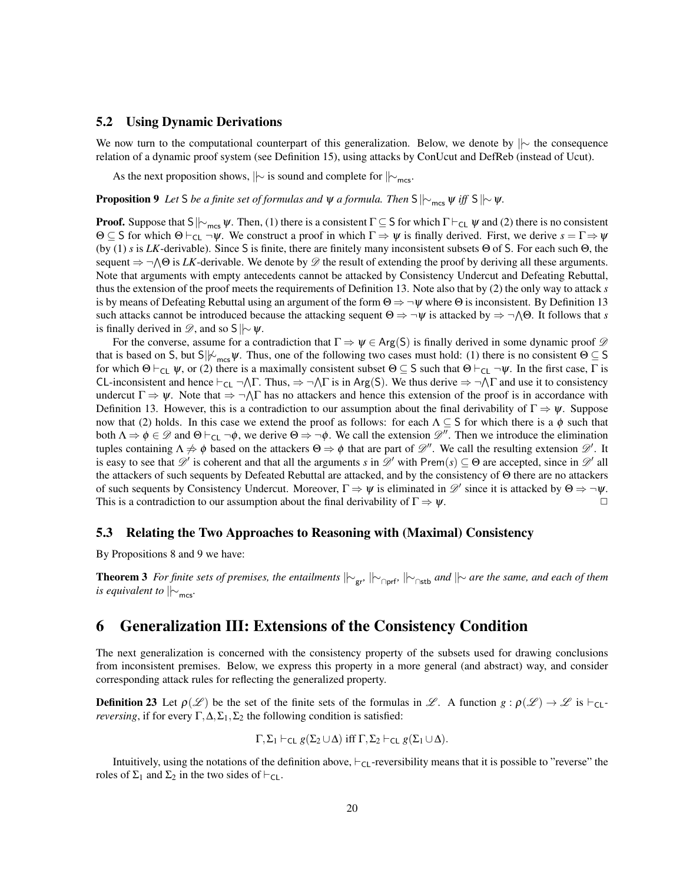### 5.2 Using Dynamic Derivations

We now turn to the computational counterpart of this generalization. Below, we denote by  $|\sim$  the consequence relation of a dynamic proof system (see Definition 15), using attacks by ConUcut and DefReb (instead of Ucut).

As the next proposition shows,  $||\sim$  is sound and complete for  $||\sim$ <sub>mcs</sub>.

**Proposition 9** *Let* S *be a finite set of formulas and*  $\psi$  *a formula. Then* S  $\vert \sim_{m \infty} \psi$  *iff* S  $\vert \sim \psi$ *.* 

**Proof.** Suppose that  $S \sim_{\text{mes}} \psi$ . Then, (1) there is a consistent  $\Gamma \subseteq S$  for which  $\Gamma \vdash_{\text{CL}} \psi$  and (2) there is no consistent  $Θ ⊆ S$  for which  $Θ ⊢_{CL} ⊕ ψ$ . We construct a proof in which  $Γ ⇒ ψ$  is finally derived. First, we derive  $s = Γ ⇒ ψ$ (by (1) *s* is *LK*-derivable). Since S is finite, there are finitely many inconsistent subsets Θ of S. For each such Θ, the sequent  $\Rightarrow \neg \wedge \Theta$  is *LK*-derivable. We denote by  $\mathscr{D}$  the result of extending the proof by deriving all these arguments. Note that arguments with empty antecedents cannot be attacked by Consistency Undercut and Defeating Rebuttal, thus the extension of the proof meets the requirements of Definition 13. Note also that by (2) the only way to attack *s* is by means of Defeating Rebuttal using an argument of the form  $\Theta \Rightarrow \neg \psi$  where  $\Theta$  is inconsistent. By Definition 13 such attacks cannot be introduced because the attacking sequent  $\Theta \Rightarrow \neg \psi$  is attacked by  $\Rightarrow \neg \wedge \Theta$ . It follows that *s* is finally derived in  $\mathscr{D}$ , and so S  $|\sim \psi$ .

For the converse, assume for a contradiction that  $\Gamma \Rightarrow \psi \in \text{Arg}(S)$  is finally derived in some dynamic proof  $\mathscr{D}$ that is based on S, but  $S|\nvDash_{\text{mcs}}\psi$ . Thus, one of the following two cases must hold: (1) there is no consistent  $\Theta \subseteq S$ for which Θ  $\vdash_{CL} \psi$ , or (2) there is a maximally consistent subset Θ  $\subseteq$  S such that Θ  $\vdash_{CL} \neg \psi$ . In the first case, Γ is CL-inconsistent and hence  $\vdash_{CL} \neg \wedge \Gamma$ . Thus,  $\Rightarrow \neg \wedge \Gamma$  is in Arg(S). We thus derive  $\Rightarrow \neg \wedge \Gamma$  and use it to consistency undercut  $\Gamma \Rightarrow \psi$ . Note that  $\Rightarrow \neg \wedge \Gamma$  has no attackers and hence this extension of the proof is in accordance with Definition 13. However, this is a contradiction to our assumption about the final derivability of  $\Gamma \Rightarrow \psi$ . Suppose now that (2) holds. In this case we extend the proof as follows: for each  $Λ ⊆ S$  for which there is a φ such that both  $\Lambda \Rightarrow \phi \in \mathscr{D}$  and  $\Theta \vdash_{\mathsf{CL}} \neg \phi$ , we derive  $\Theta \Rightarrow \neg \phi$ . We call the extension  $\mathscr{D}^{\prime\prime}$ . Then we introduce the elimination tuples containing  $\Lambda \neq \phi$  based on the attackers  $\Theta \Rightarrow \phi$  that are part of  $\mathscr{D}'$ . We call the resulting extension  $\mathscr{D}'$ . It is easy to see that  $\mathscr{D}'$  is coherent and that all the arguments *s* in  $\mathscr{D}'$  with Prem(*s*)  $\subseteq \Theta$  are accepted, since in  $\mathscr{D}'$  all the attackers of such sequents by Defeated Rebuttal are attacked, and by the consistency of Θ there are no attackers of such sequents by Consistency Undercut. Moreover,  $\Gamma \Rightarrow \psi$  is eliminated in  $\mathscr{D}'$  since it is attacked by  $\Theta \Rightarrow \neg \psi$ . This is a contradiction to our assumption about the final derivability of  $\Gamma \Rightarrow \psi$ .

#### 5.3 Relating the Two Approaches to Reasoning with (Maximal) Consistency

By Propositions 8 and 9 we have:

Theorem 3 *For finite sets of premises, the entailments* ||∼gr*,* ||∼∩prf*,* ||∼∩stb *and* ||∼ *are the same, and each of them is equivalent to*  $\vert \sim_{\text{mes}}$ *.* 

### 6 Generalization III: Extensions of the Consistency Condition

The next generalization is concerned with the consistency property of the subsets used for drawing conclusions from inconsistent premises. Below, we express this property in a more general (and abstract) way, and consider corresponding attack rules for reflecting the generalized property.

**Definition 23** Let  $\rho(\mathscr{L})$  be the set of the finite sets of the formulas in  $\mathscr{L}$ . A function  $g : \rho(\mathscr{L}) \to \mathscr{L}$  is  $\vdash_{CL}$ *reversing*, if for every  $\Gamma$ ,  $\Delta$ ,  $\Sigma$ <sub>1</sub>,  $\Sigma$ <sub>2</sub> the following condition is satisfied:

$$
\Gamma
$$
,  $\Sigma_1 \vdash_{\mathsf{CL}} g(\Sigma_2 \cup \Delta)$  iff  $\Gamma$ ,  $\Sigma_2 \vdash_{\mathsf{CL}} g(\Sigma_1 \cup \Delta)$ .

Intuitively, using the notations of the definition above,  $\vdash_{CL}$ -reversibility means that it is possible to "reverse" the roles of  $\Sigma_1$  and  $\Sigma_2$  in the two sides of  $\vdash_{\mathsf{CL}}$ .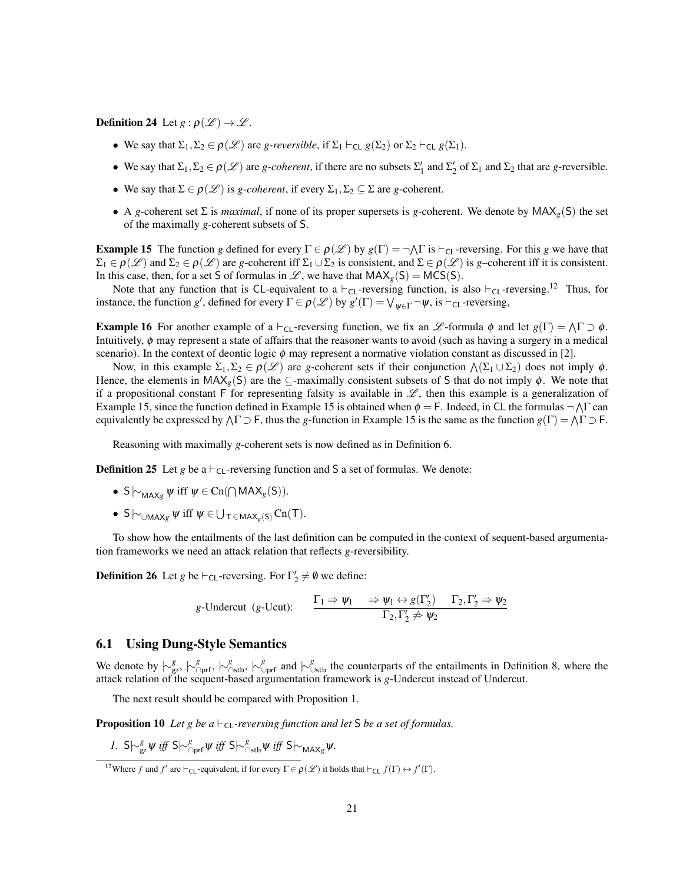**Definition 24** Let  $g : \rho(\mathcal{L}) \to \mathcal{L}$ .

- We say that  $\Sigma_1, \Sigma_2 \in \rho(\mathscr{L})$  are *g-reversible*, if  $\Sigma_1 \vdash_{\text{CL}} g(\Sigma_2)$  or  $\Sigma_2 \vdash_{\text{CL}} g(\Sigma_1)$ .
- We say that  $\Sigma_1, \Sigma_2 \in \rho(\mathscr{L})$  are *g-coherent*, if there are no subsets  $\Sigma'_1$  and  $\Sigma'_2$  of  $\Sigma_1$  and  $\Sigma_2$  that are *g*-reversible.
- We say that  $\Sigma \in \rho(\mathcal{L})$  is *g-coherent*, if every  $\Sigma_1, \Sigma_2 \subseteq \Sigma$  are *g*-coherent.
- A *g*-coherent set  $\Sigma$  is *maximal*, if none of its proper supersets is *g*-coherent. We denote by  $MAX_g(S)$  the set of the maximally *g*-coherent subsets of S.

**Example 15** The function *g* defined for every  $\Gamma \in \rho(\mathcal{L})$  by  $g(\Gamma) = \neg \Lambda \Gamma$  is  $\vdash_{\text{CL}}$ -reversing. For this *g* we have that  $\Sigma_1 \in \rho(\mathscr{L})$  and  $\Sigma_2 \in \rho(\mathscr{L})$  are *g*-coherent iff  $\Sigma_1 \cup \Sigma_2$  is consistent, and  $\Sigma \in \rho(\mathscr{L})$  is *g*-coherent iff it is consistent. In this case, then, for a set S of formulas in  $\mathscr{L}$ , we have that  $MAX_g(S) = MCS(S)$ .

Note that any function that is CL-equivalent to a  $\vdash_{CL}$ -reversing function, is also  $\vdash_{CL}$ -reversing.<sup>12</sup> Thus, for instance, the function *g*', defined for every  $\Gamma \in \rho(\mathcal{L})$  by  $g'(\Gamma) = \bigvee_{\psi \in \Gamma} \neg \psi$ , is  $\vdash_{\text{CL}}$ -reversing,

**Example 16** For another example of a  $\vdash_{CL}$ -reversing function, we fix an  $\mathscr{L}$ -formula  $\phi$  and let  $g(\Gamma) = \Lambda \Gamma \supset \phi$ . Intuitively,  $\phi$  may represent a state of affairs that the reasoner wants to avoid (such as having a surgery in a medical scenario). In the context of deontic logic  $\phi$  may represent a normative violation constant as discussed in [2].

Now, in this example  $\Sigma_1, \Sigma_2 \in \rho(\mathscr{L})$  are *g*-coherent sets if their conjunction  $\Lambda(\Sigma_1 \cup \Sigma_2)$  does not imply  $\phi$ . Hence, the elements in  $MAX_g(S)$  are the  $\subseteq$ -maximally consistent subsets of S that do not imply  $\phi$ . We note that if a propositional constant F for representing falsity is available in  $\mathscr{L}$ , then this example is a generalization of Example 15, since the function defined in Example 15 is obtained when  $\phi = F$ . Indeed, in CL the formulas  $\neg \Lambda \Gamma$  can equivalently be expressed by  $\land \Gamma \supset \mathsf{F}$ , thus the *g*-function in Example 15 is the same as the function  $g(\Gamma) = \land \Gamma \supset \mathsf{F}$ .

Reasoning with maximally *g*-coherent sets is now defined as in Definition 6.

**Definition 25** Let *g* be a  $\vdash_{CL}$ -reversing function and S a set of formulas. We denote:

- S  $\vdash_{\mathsf{MAX}_g} \psi$  iff  $\psi \in \mathrm{Cn}(\bigcap \mathsf{MAX}_g(S)).$
- $S \sim_{\bigcup_{\text{MAX}_g} \psi}$  iff  $\psi \in \bigcup_{\tau \in \text{MAX}_g(S)} Cn(\tau)$ .

To show how the entailments of the last definition can be computed in the context of sequent-based argumentation frameworks we need an attack relation that reflects *g*-reversibility.

**Definition 26** Let *g* be  $\vdash_{CL}$ -reversing. For  $\Gamma'_2 \neq \emptyset$  we define:

$$
g\text{-Undercut }(g\text{-Ucut}): \qquad \frac{\Gamma_1 \Rightarrow \psi_1 \quad \Rightarrow \psi_1 \leftrightarrow g(\Gamma'_2) \qquad \Gamma_2, \Gamma'_2 \Rightarrow \psi_2}{\Gamma_2, \Gamma'_2 \not\Rightarrow \psi_2}
$$

### 6.1 Using Dung-Style Semantics

We denote by  $\vdash_{gr}^g, \vdash_{\bigcap_{prf}}^g, \vdash_{\bigcap_{rf}^g}^g, \vdash_{\bigcup_{prf}}^g$  and  $\vdash_{\bigcup_{rf}^g}^g$  the counterparts of the entailments in Definition 8, where the attack relation of the sequent-based argumentation framework is *g*-Undercut instead of Undercut.

The next result should be compared with Proposition 1.

**Proposition 10** Let g be a  $\vdash_{\mathsf{CL}}$ -reversing function and let S be a set of formulas.

*1.* S $\sim$ <sup>*g*</sup><sub>*s*</sub>  $\psi$  *iff* S $\sim$ <sub>*⊦*</sub><sup>*8*</sup><sub>∩stb</sub></sub>  $\psi$  *iff* S $\sim$ <sub>MAX*g*</sub>  $\psi$ *.* 

<sup>&</sup>lt;sup>12</sup>Where *f* and *f'* are  $\vdash_{CL}$ -equivalent, if for every  $\Gamma \in \rho(\mathcal{L})$  it holds that  $\vdash_{CL} f(\Gamma) \leftrightarrow f'(\Gamma)$ .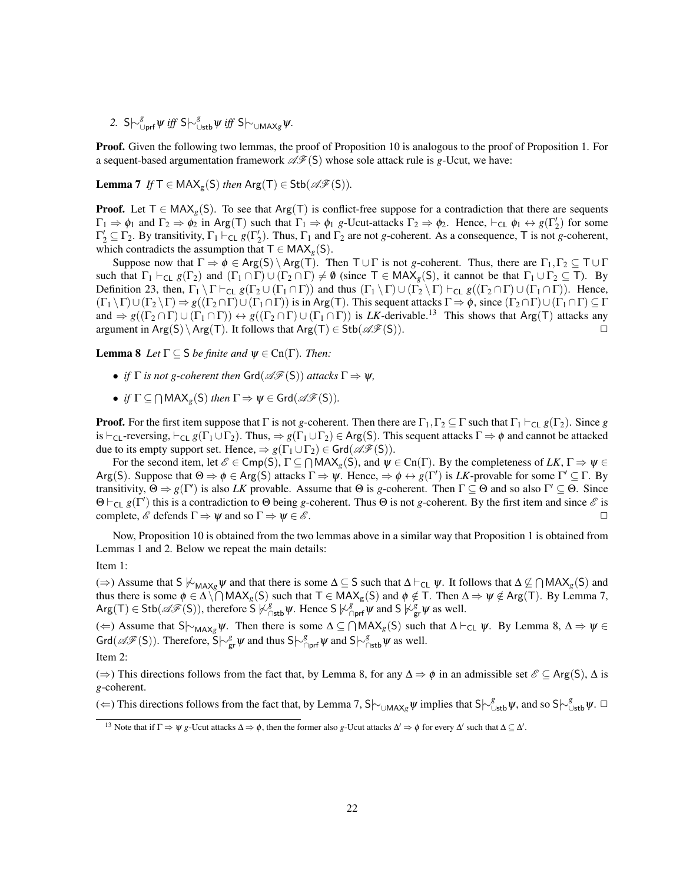2. S $\sim$ <sup>*g*</sup><sub>∪prf</sub>  $\psi$  *iff* S $\sim$ <sub>∪MAX*g*</sub>  $\psi$ *.* 

**Proof.** Given the following two lemmas, the proof of Proposition 10 is analogous to the proof of Proposition 1. For a sequent-based argumentation framework  $\mathscr{AF}(S)$  whose sole attack rule is *g*-Ucut, we have:

**Lemma 7** *If*  $T \in MAX_{\alpha}(S)$  *then*  $Arg(T) \in Stb(\mathscr{AF}(S))$ *.* 

**Proof.** Let  $T \in MAX_g(S)$ . To see that  $Arg(T)$  is conflict-free suppose for a contradiction that there are sequents  $\Gamma_1 \Rightarrow \phi_1$  and  $\Gamma_2 \Rightarrow \phi_2$  in Arg(T) such that  $\Gamma_1 \Rightarrow \phi_1$  *g*-Ucut-attacks  $\Gamma_2 \Rightarrow \phi_2$ . Hence,  $\vdash_{CL} \phi_1 \leftrightarrow g(\Gamma'_2)$  for some  $\Gamma'_2 \subseteq \Gamma_2$ . By transitivity,  $\Gamma_1 \vdash_{\mathsf{CL}} g(\Gamma'_2)$ . Thus,  $\Gamma_1$  and  $\Gamma_2$  are not *g*-coherent. As a consequence, T is not *g*-coherent, which contradicts the assumption that  $T \in MAX_{\rho}(S)$ .

Suppose now that  $\Gamma \Rightarrow \phi \in \text{Arg}(S) \setminus \text{Arg}(T)$ . Then  $T \cup \Gamma$  is not *g*-coherent. Thus, there are  $\Gamma_1, \Gamma_2 \subseteq T \cup \Gamma$ such that  $\Gamma_1 \vdash_{CL} g(\Gamma_2)$  and  $(\Gamma_1 \cap \Gamma) \cup (\Gamma_2 \cap \Gamma) \neq \emptyset$  (since  $\top \in MAX_g(S)$ , it cannot be that  $\Gamma_1 \cup \Gamma_2 \subseteq \top$ ). By Definition 23, then,  $\Gamma_1 \setminus \Gamma \vdash_{\mathsf{CL}} g(\Gamma_2 \cup (\Gamma_1 \cap \Gamma))$  and thus  $(\Gamma_1 \setminus \Gamma) \cup (\Gamma_2 \setminus \Gamma) \vdash_{\mathsf{CL}} g((\Gamma_2 \cap \Gamma) \cup (\Gamma_1 \cap \Gamma))$ . Hence,  $(\Gamma_1 \setminus \Gamma) \cup (\Gamma_2 \setminus \Gamma) \Rightarrow g((\Gamma_2 \cap \Gamma) \cup (\Gamma_1 \cap \Gamma))$  is in Arg(T). This sequent attacks  $\Gamma \Rightarrow \phi$ , since  $(\Gamma_2 \cap \Gamma) \cup (\Gamma_1 \cap \Gamma) \subseteq \Gamma$ and  $\Rightarrow g((\Gamma_2 \cap \Gamma) \cup (\Gamma_1 \cap \Gamma)) \leftrightarrow g((\Gamma_2 \cap \Gamma) \cup (\Gamma_1 \cap \Gamma))$  is *LK*-derivable.<sup>13</sup> This shows that Arg(T) attacks any argument in Arg(S) \ Arg(T). It follows that Arg(T)  $\in$  Stb( $\mathscr{AF}(S)$ ).

**Lemma 8** *Let*  $\Gamma \subseteq S$  *be finite and*  $\psi \in \text{Cn}(\Gamma)$ *. Then:* 

- *if*  $\Gamma$  *is not g-coherent then*  $\text{Grd}(\mathscr{AF}(S))$  *attacks*  $\Gamma \Rightarrow \psi$ *,*
- *if*  $\Gamma \subseteq \bigcap \text{MAX}_g(S)$  *then*  $\Gamma \Rightarrow \psi \in \text{Grd}(\mathscr{AF}(S))$ *.*

**Proof.** For the first item suppose that  $\Gamma$  is not *g*-coherent. Then there are  $\Gamma_1, \Gamma_2 \subseteq \Gamma$  such that  $\Gamma_1 \vdash_{CL} g(\Gamma_2)$ . Since *g* is  $\vdash_{CL}$ -reversing,  $\vdash_{CL} g(\Gamma_1 \cup \Gamma_2)$ . Thus,  $\Rightarrow g(\Gamma_1 \cup \Gamma_2) \in \text{Arg}(S)$ . This sequent attacks  $\Gamma \Rightarrow \phi$  and cannot be attacked due to its empty support set. Hence,  $\Rightarrow g(\Gamma_1 \cup \Gamma_2) \in \text{Grd}(\mathscr{AF}(S)).$ 

For the second item, let  $\mathscr{E} \in \mathsf{Cmp}(S)$ ,  $\Gamma \subseteq \bigcap \mathsf{MAX}_g(S)$ , and  $\psi \in \mathsf{Cn}(\Gamma)$ . By the completeness of *LK*,  $\Gamma \Rightarrow \psi \in$ Arg(S). Suppose that  $\Theta \Rightarrow \phi \in \text{Arg}(S)$  attacks  $\Gamma \Rightarrow \psi$ . Hence,  $\Rightarrow \phi \leftrightarrow g(\Gamma')$  is *LK*-provable for some  $\Gamma' \subseteq \Gamma$ . By transitivity,  $\Theta \Rightarrow g(\Gamma')$  is also *LK* provable. Assume that  $\Theta$  is *g*-coherent. Then  $\Gamma \subseteq \Theta$  and so also  $\Gamma' \subseteq \Theta$ . Since  $\Theta \vdash_{\text{CL}} g(\Gamma')$  this is a contradiction to  $\Theta$  being *g*-coherent. Thus  $\Theta$  is not *g*-coherent. By the first item and since  $\mathscr E$  is complete,  $\mathscr E$  defends  $\Gamma \Rightarrow \psi$  and so  $\Gamma \Rightarrow \psi \in \mathscr E$ .

Now, Proposition 10 is obtained from the two lemmas above in a similar way that Proposition 1 is obtained from Lemmas 1 and 2. Below we repeat the main details:

Item 1:

(⇒) Assume that  $S \nvDash_{\text{MAX}_g} \psi$  and that there is some  $\Delta \subseteq S$  such that  $\Delta \vdash_{\text{CL}} \psi$ . It follows that  $\Delta \not\subseteq \bigcap \text{MAX}_g(S)$  and thus there is some  $\phi \in \Delta \setminus \bigcap MAX_{g}(S)$  such that  $T \in MAX_{g}(S)$  and  $\phi \notin T$ . Then  $\Delta \Rightarrow \psi \notin Arg(T)$ . By Lemma 7,  $Arg(T) \in Stb(\mathscr{AF}(S))$ , therefore  $S \not\smile_{\text{Nstb}}^g \psi$ . Hence  $S \not\smile_{\text{Cprf}}^g \psi$  and  $S \not\smile_{gr}^g \psi$  as well.

(  $\Leftarrow$ ) Assume that S  $\vdash_{\mathsf{MAX}_g} \psi$ . Then there is some  $\Delta \subseteq \bigcap \mathsf{MAX}_g(\mathsf{S})$  such that  $\Delta \vdash_{\mathsf{CL}} \psi$ . By Lemma 8,  $\Delta \Rightarrow \psi \in$  $Grd(\mathscr{AF}(S))$ . Therefore,  $S\sim_{gr}^g \psi$  and thus  $S\sim_{\cap pr}^g \psi$  and  $S\sim_{\cap stb}^g \psi$  as well.

Item 2:

(⇒) This directions follows from the fact that, by Lemma 8, for any  $\Delta \Rightarrow \phi$  in an admissible set  $\mathscr{E} \subseteq \text{Arg}(S)$ ,  $\Delta$  is *g*-coherent.

(←) This directions follows from the fact that, by Lemma 7, S $\vdash_{\cup\mathsf{MAX}_g}^{\mathsf{C}} \psi$  implies that S $\vdash_{\cup\mathsf{stb}}^g \psi$ , and so S $\vdash_{\cup\mathsf{stb}}^g \psi$ .  $\Box$ 

<sup>&</sup>lt;sup>13</sup> Note that if  $\Gamma \Rightarrow \psi g$ -Ucut attacks  $\Delta \Rightarrow \phi$ , then the former also *g*-Ucut attacks  $\Delta' \Rightarrow \phi$  for every  $\Delta'$  such that  $\Delta \subseteq \Delta'$ .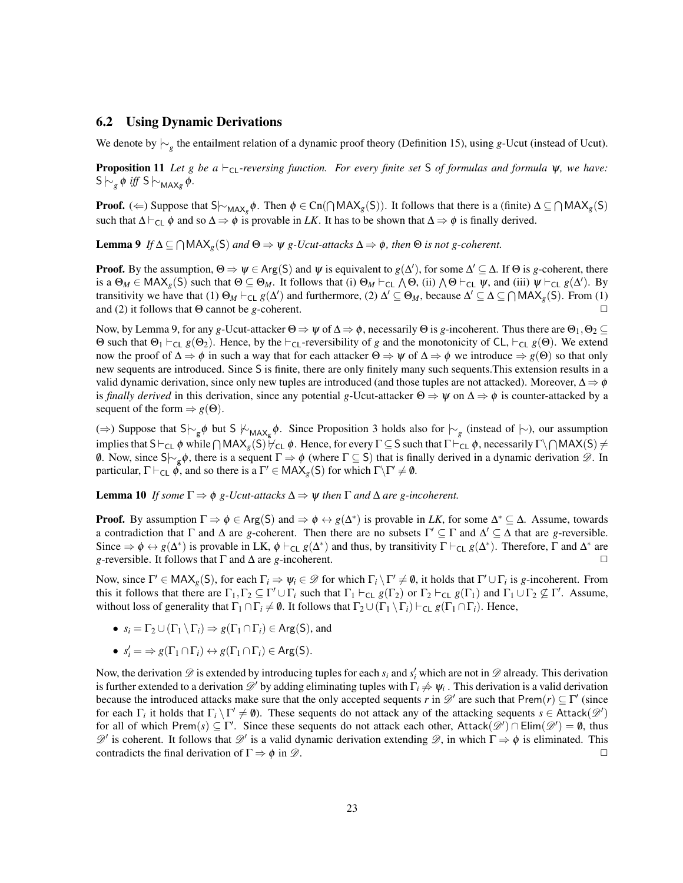### 6.2 Using Dynamic Derivations

We denote by  $\vdash_g$  the entailment relation of a dynamic proof theory (Definition 15), using *g*-Ucut (instead of Ucut).

**Proposition 11** Let g be a  $\vdash_{CL}$ -reversing function. For every finite set S of formulas and formula  $\psi$ , we have:  $S\,| ∼<sub>g</sub>$   $\phi$  *iff*  $S\,| ∼<sub>MAXg</sub>$   $\phi$ *.* 

**Proof.** ( $\Leftarrow$ ) Suppose that S $\vdash_{\mathsf{MAX}_g} \phi$ . Then  $\phi \in \mathrm{Cn}(\bigcap \mathsf{MAX}_g(S))$ . It follows that there is a (finite)  $\Delta \subseteq \bigcap \mathsf{MAX}_g(S)$ such that  $\Delta \vdash_{\mathsf{CL}} \phi$  and so  $\Delta \Rightarrow \phi$  is provable in *LK*. It has to be shown that  $\Delta \Rightarrow \phi$  is finally derived.

**Lemma 9** If  $\Delta \subseteq \bigcap \text{MAX}_{g}(S)$  and  $\Theta \Rightarrow \psi$  *g*-Ucut-attacks  $\Delta \Rightarrow \phi$ , then  $\Theta$  is not *g*-coherent.

**Proof.** By the assumption,  $\Theta \Rightarrow \psi \in \text{Arg}(S)$  and  $\psi$  is equivalent to  $g(\Delta')$ , for some  $\Delta' \subseteq \Delta$ . If  $\Theta$  is *g*-coherent, there is a  $\Theta_M \in \text{MAX}_g(S)$  such that  $\Theta \subseteq \Theta_M$ . It follows that (i)  $\Theta_M \vdash_{\text{CL}} \bigwedge \Theta$ , (ii)  $\bigwedge \Theta \vdash_{\text{CL}} \psi$ , and (iii)  $\psi \vdash_{\text{CL}} g(\Delta')$ . By transitivity we have that (1)  $\Theta_M \vdash_{CL} g(\Delta')$  and furthermore, (2)  $\Delta' \subseteq \Theta_M$ , because  $\Delta' \subseteq \Delta \subseteq \bigcap MAX_g(S)$ . From (1) and (2) it follows that  $\Theta$  cannot be *g*-coherent.

Now, by Lemma 9, for any *g*-Ucut-attacker  $\Theta \Rightarrow \psi$  of  $\Delta \Rightarrow \phi$ , necessarily  $\Theta$  is *g*-incoherent. Thus there are  $\Theta_1, \Theta_2 \subseteq$ Θ such that Θ<sub>1</sub>  $\vdash$ <sub>CL</sub> *g*(Θ<sub>2</sub>). Hence, by the  $\vdash$ <sub>CL</sub>-reversibility of *g* and the monotonicity of CL,  $\vdash$ <sub>CL</sub> *g*(Θ). We extend now the proof of  $\Delta \Rightarrow \phi$  in such a way that for each attacker  $\Theta \Rightarrow \psi$  of  $\Delta \Rightarrow \phi$  we introduce  $\Rightarrow g(\Theta)$  so that only new sequents are introduced. Since S is finite, there are only finitely many such sequents.This extension results in a valid dynamic derivation, since only new tuples are introduced (and those tuples are not attacked). Moreover,  $\Delta \Rightarrow \phi$ is *finally derived* in this derivation, since any potential *g*-Ucut-attacker  $\Theta \Rightarrow \psi$  on  $\Delta \Rightarrow \phi$  is counter-attacked by a sequent of the form  $\Rightarrow g(\Theta)$ .

(⇒) Suppose that S $\vdash_g \phi$  but S  $\not\models_{\text{MAX}_g} \phi$ . Since Proposition 3 holds also for  $\vdash_g$  (instead of  $\vdash$ ), our assumption implies that  $S\vdash_{\textsf{CL}}\phi$  while  $\bigcap\mathsf{MAX}_g(S)\not\vdash_{\textsf{CL}}\phi$ . Hence, for every  $\Gamma\subseteq S$  such that  $\Gamma\vdash_{\textsf{CL}}\phi$ , necessarily  $\Gamma\setminus\bigcap\mathsf{MAX}(S)\neq\emptyset$ 0. Now, since S $\vdash_g \phi$ , there is a sequent  $\Gamma \Rightarrow \phi$  (where  $\Gamma \subseteq S$ ) that is finally derived in a dynamic derivation  $\mathscr{D}$ . In particular,  $\Gamma \vdash_{\mathsf{CL}} \phi$ , and so there is a  $\Gamma' \in \mathsf{MAX}_g(\mathsf{S})$  for which  $\Gamma \backslash \Gamma' \neq \emptyset$ .

**Lemma 10** *If some*  $\Gamma \Rightarrow \phi$  *g*-*Ucut-attacks*  $\Delta \Rightarrow \psi$  *then*  $\Gamma$  *and*  $\Delta$  *are g-incoherent.* 

**Proof.** By assumption  $\Gamma \Rightarrow \phi \in \text{Arg}(S)$  and  $\Rightarrow \phi \leftrightarrow g(\Delta^*)$  is provable in *LK*, for some  $\Delta^* \subseteq \Delta$ . Assume, towards a contradiction that  $\Gamma$  and  $\Delta$  are *g*-coherent. Then there are no subsets  $\Gamma' \subseteq \Gamma$  and  $\Delta' \subseteq \Delta$  that are *g*-reversible. Since  $\Rightarrow \phi \leftrightarrow g(\Delta^*)$  is provable in LK,  $\phi \vdash_{\mathsf{CL}} g(\Delta^*)$  and thus, by transitivity  $\Gamma \vdash_{\mathsf{CL}} g(\Delta^*)$ . Therefore,  $\Gamma$  and  $\Delta^*$  are *g*-reversible. It follows that  $\Gamma$  and  $\Delta$  are *g*-incoherent.

Now, since  $\Gamma' \in MAX_g(S)$ , for each  $\Gamma_i \Rightarrow \psi_i \in \mathcal{D}$  for which  $\Gamma_i \setminus \Gamma' \neq \emptyset$ , it holds that  $\Gamma' \cup \Gamma_i$  is *g*-incoherent. From this it follows that there are  $\Gamma_1, \Gamma_2 \subseteq \Gamma' \cup \Gamma_i$  such that  $\Gamma_1 \vdash_{\mathsf{CL}} g(\Gamma_2)$  or  $\Gamma_2 \vdash_{\mathsf{CL}} g(\Gamma_1)$  and  $\Gamma_1 \cup \Gamma_2 \not\subseteq \Gamma'$ . Assume, without loss of generality that  $\Gamma_1 \cap \Gamma_i \neq \emptyset$ . It follows that  $\Gamma_2 \cup (\Gamma_1 \setminus \Gamma_i) \vdash_{\mathsf{CL}} g(\Gamma_1 \cap \Gamma_i)$ . Hence,

- $s_i = \Gamma_2 \cup (\Gamma_1 \setminus \Gamma_i) \Rightarrow g(\Gamma_1 \cap \Gamma_i) \in \text{Arg}(S)$ , and
- $s_i' = \Rightarrow g(\Gamma_1 \cap \Gamma_i) \leftrightarrow g(\Gamma_1 \cap \Gamma_i) \in \text{Arg}(S).$

Now, the derivation  $\mathscr D$  is extended by introducing tuples for each  $s_i$  and  $s'_i$  which are not in  $\mathscr D$  already. This derivation is further extended to a derivation  $\mathscr{D}'$  by adding eliminating tuples with  $\Gamma_i \neq \psi_i$ . This derivation is a valid derivation because the introduced attacks make sure that the only accepted sequents *r* in  $\mathscr{D}'$  are such that Prem $(r) \subseteq \Gamma'$  (since for each  $\Gamma_i$  it holds that  $\Gamma_i \setminus \Gamma' \neq \emptyset$ . These sequents do not attack any of the attacking sequents  $s \in$  Attack( $\mathscr{D}'$ ) for all of which Prem(s)  $\subseteq \Gamma'$ . Since these sequents do not attack each other, Attack( $\mathscr{D}'$ )  $\cap$  Elim( $\mathscr{D}'$ ) = 0, thus  $\mathscr{D}'$  is coherent. It follows that  $\mathscr{D}'$  is a valid dynamic derivation extending  $\mathscr{D}$ , in which  $\Gamma \Rightarrow \phi$  is eliminated. This contradicts the final derivation of  $\Gamma \Rightarrow \phi$  in  $\mathscr{D}$ .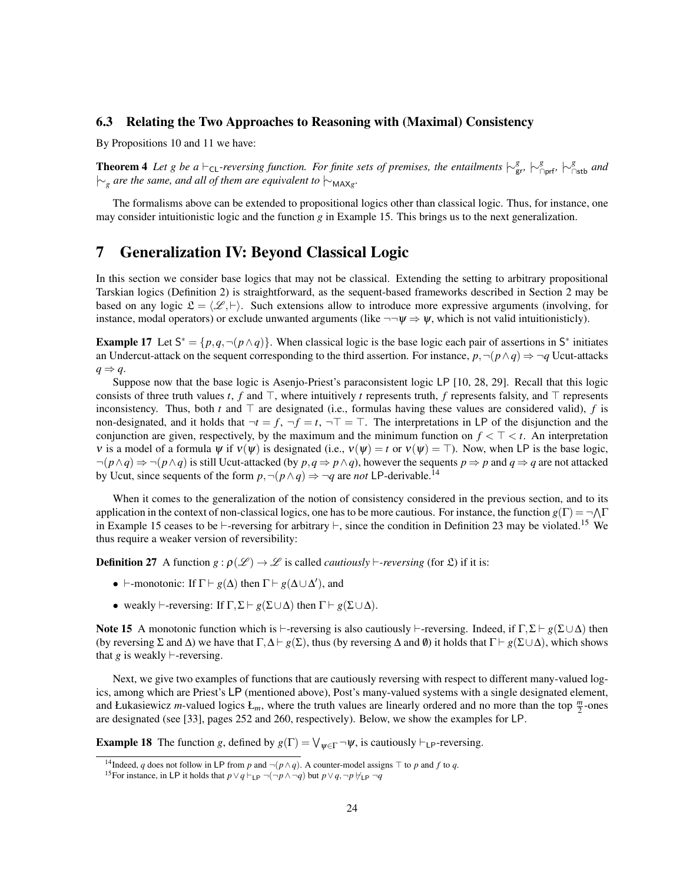#### 6.3 Relating the Two Approaches to Reasoning with (Maximal) Consistency

By Propositions 10 and 11 we have:

**Theorem 4** Let g be a  $\vdash$ <sub>CL</sub>-reversing function. For finite sets of premises, the entailments  $\vdash$ <sup>g</sup><sub>gr</sub>,  $\vdash$ <sup>8</sup><sub>∩prf</sub>,  $\vdash$ <sup>8</sup><sub>nstb</sub> and  $\mid\sim_{g}$  are the same, and all of them are equivalent to  $\mid\sim_{\text{MAX}_g}$ .

The formalisms above can be extended to propositional logics other than classical logic. Thus, for instance, one may consider intuitionistic logic and the function *g* in Example 15. This brings us to the next generalization.

### 7 Generalization IV: Beyond Classical Logic

In this section we consider base logics that may not be classical. Extending the setting to arbitrary propositional Tarskian logics (Definition 2) is straightforward, as the sequent-based frameworks described in Section 2 may be based on any logic  $\mathfrak{L} = \langle \mathscr{L}, \vdash \rangle$ . Such extensions allow to introduce more expressive arguments (involving, for instance, modal operators) or exclude unwanted arguments (like  $\neg\neg\psi \Rightarrow \psi$ , which is not valid intuitionisticly).

**Example 17** Let  $S^* = \{p, q, \neg(p \wedge q)\}\$ . When classical logic is the base logic each pair of assertions in  $S^*$  initiates an Undercut-attack on the sequent corresponding to the third assertion. For instance,  $p, \neg(p \land q) \Rightarrow \neg q$  Ucut-attacks  $q \Rightarrow q$ .

Suppose now that the base logic is Asenjo-Priest's paraconsistent logic LP [10, 28, 29]. Recall that this logic consists of three truth values *t*, *f* and  $\top$ , where intuitively *t* represents truth, *f* represents falsity, and  $\top$  represents inconsistency. Thus, both  $t$  and  $\top$  are designated (i.e., formulas having these values are considered valid),  $f$  is non-designated, and it holds that  $\neg t = f$ ,  $\neg f = t$ ,  $\neg T = T$ . The interpretations in LP of the disjunction and the conjunction are given, respectively, by the maximum and the minimum function on  $f < \top < t$ . An interpretation v is a model of a formula  $\psi$  if  $v(\psi)$  is designated (i.e.,  $v(\psi) = t$  or  $v(\psi) = \top$ ). Now, when LP is the base logic, ¬(*p*∧*q*) ⇒ ¬(*p*∧*q*) is still Ucut-attacked (by *p*,*q* ⇒ *p*∧*q*), however the sequents *p* ⇒ *p* and *q* ⇒ *q* are not attacked by Ucut, since sequents of the form  $p, \neg(p \land q) \Rightarrow \neg q$  are *not* LP-derivable.<sup>14</sup>

When it comes to the generalization of the notion of consistency considered in the previous section, and to its application in the context of non-classical logics, one has to be more cautious. For instance, the function  $g(\Gamma) = \neg \Lambda \Gamma$ in Example 15 ceases to be  $\vdash$ -reversing for arbitrary  $\vdash$ , since the condition in Definition 23 may be violated.<sup>15</sup> We thus require a weaker version of reversibility:

**Definition 27** A function  $g : \rho(\mathscr{L}) \to \mathscr{L}$  is called *cautiously*  $\vdash$ *-reversing* (for  $\mathfrak{L}$ ) if it is:

- $\vdash$ -monotonic: If  $\Gamma \vdash g(\Delta)$  then  $\Gamma \vdash g(\Delta \cup \Delta')$ , and
- weakly  $\vdash$ -reversing: If  $\Gamma$ ,  $\Sigma \vdash g(\Sigma \cup \Delta)$  then  $\Gamma \vdash g(\Sigma \cup \Delta)$ .

Note 15 A monotonic function which is  $\vdash$ -reversing is also cautiously  $\vdash$ -reversing. Indeed, if Γ,Σ  $\vdash$   $g(\Sigma \cup \Delta)$  then (by reversing  $\Sigma$  and  $\Delta$ ) we have that  $\Gamma, \Delta \vdash g(\Sigma)$ , thus (by reversing  $\Delta$  and  $\emptyset$ ) it holds that  $\Gamma \vdash g(\Sigma \cup \Delta)$ , which shows that *g* is weakly  $\vdash$ -reversing.

Next, we give two examples of functions that are cautiously reversing with respect to different many-valued logics, among which are Priest's LP (mentioned above), Post's many-valued systems with a single designated element, and Łukasiewicz *m*-valued logics  $L_m$ , where the truth values are linearly ordered and no more than the top  $\frac{m}{2}$ -ones are designated (see [33], pages 252 and 260, respectively). Below, we show the examples for LP.

**Example 18** The function *g*, defined by  $g(\Gamma) = \bigvee_{\psi \in \Gamma} \neg \psi$ , is cautiously  $\vdash_{\mathsf{LP}}$ -reversing.

<sup>&</sup>lt;sup>14</sup>Indeed, *q* does not follow in LP from *p* and  $\neg$ ( $p \land q$ ). A counter-model assigns  $\top$  to *p* and *f* to *q*.

<sup>&</sup>lt;sup>15</sup>For instance, in LP it holds that  $p \lor q \vdash_{\textsf{LP}} \neg(\neg p \land \neg q)$  but  $p \lor q, \neg p \not\models_{\textsf{LP}} \neg q$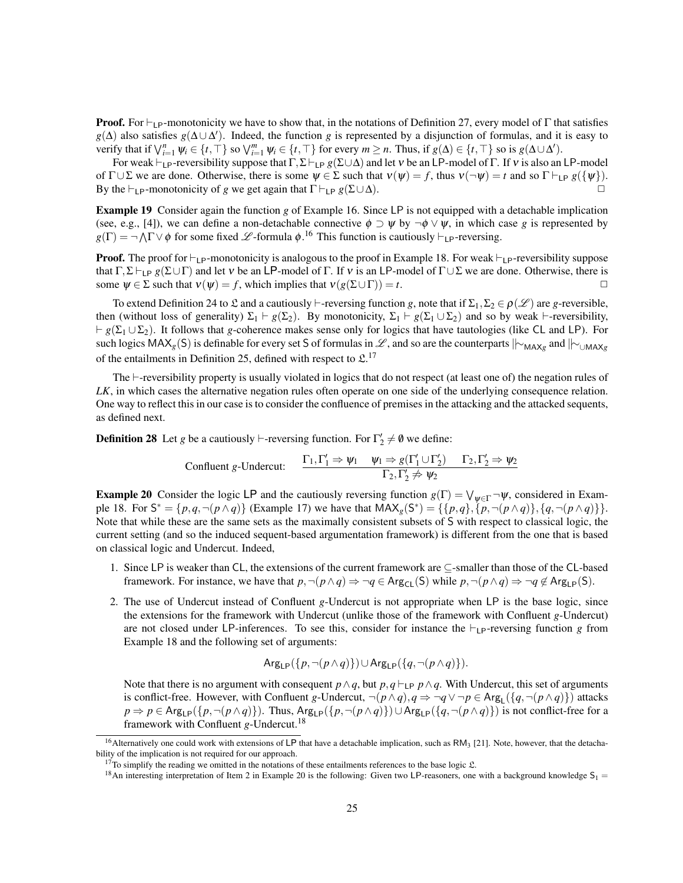**Proof.** For  $\vdash_{\mathsf{LP}}$ -monotonicity we have to show that, in the notations of Definition 27, every model of  $\Gamma$  that satisfies  $g(\Delta)$  also satisfies  $g(\Delta \cup \Delta')$ . Indeed, the function *g* is represented by a disjunction of formulas, and it is easy to verify that if  $\bigvee_{i=1}^{n} \psi_i \in \{t, \top\}$  so  $\bigvee_{i=1}^{m} \psi_i \in \{t, \top\}$  for every  $m \ge n$ . Thus, if  $g(\Delta) \in \{t, \top\}$  so is  $g(\Delta \cup \Delta')$ .

For weak  $\vdash_{\mathsf{LP}}$ -reversibility suppose that  $\Gamma, \Sigma \vdash_{\mathsf{LP}} g(\Sigma \cup \Delta)$  and let  $v$  be an LP-model of  $\Gamma$ . If  $v$  is also an LP-model of  $\Gamma \cup \Sigma$  we are done. Otherwise, there is some  $\psi \in \Sigma$  such that  $v(\psi) = f$ , thus  $v(\neg \psi) = t$  and so  $\Gamma \vdash_{\mathsf{LP}} g(\{\psi\}).$ By the  $\vdash_{\mathsf{LP}}$ -monotonicity of *g* we get again that  $\Gamma \vdash_{\mathsf{LP}} g(\Sigma \cup \Delta)$ .

Example 19 Consider again the function *g* of Example 16. Since LP is not equipped with a detachable implication (see, e.g., [4]), we can define a non-detachable connective  $\phi \supset \psi$  by  $\neg \phi \vee \psi$ , in which case *g* is represented by  $g(\Gamma) = \neg \Lambda \Gamma \vee \phi$  for some fixed  $\mathscr{L}$ -formula  $\phi$ .<sup>16</sup> This function is cautiously  $\vdash_{\mathsf{LP}}$ -reversing.

**Proof.** The proof for  $\vdash_{\mathsf{LP}}$ -monotonicity is analogous to the proof in Example 18. For weak  $\vdash_{\mathsf{LP}}$ -reversibility suppose that Γ, Σ $\vdash_{LP} g(\Sigma \cup \Gamma)$  and let v be an LP-model of Γ. If v is an LP-model of  $\Gamma \cup \Sigma$  we are done. Otherwise, there is some  $\psi \in \Sigma$  such that  $v(\psi) = f$ , which implies that  $v(g(\Sigma \cup \Gamma)) = t$ .

To extend Definition 24 to  $\mathfrak L$  and a cautiously  $\vdash$ -reversing function *g*, note that if  $\Sigma_1, \Sigma_2 \in \rho(\mathscr L)$  are *g*-reversible, then (without loss of generality)  $\Sigma_1 \vdash g(\Sigma_2)$ . By monotonicity,  $\Sigma_1 \vdash g(\Sigma_1 \cup \Sigma_2)$  and so by weak  $\vdash$ -reversibility,  $g(\Sigma_1 \cup \Sigma_2)$ . It follows that *g*-coherence makes sense only for logics that have tautologies (like CL and LP). For such logics MAX<sub>g</sub>(S) is definable for every set S of formulas in  $\mathscr L$ , and so are the counterparts  $\Vdash_{\mathsf{MAX}_g}$  and  $\Vdash_{\mathsf{UMAX}_g}$ of the entailments in Definition 25, defined with respect to  $\mathfrak{L}^{17}$ 

The  $\vdash$ -reversibility property is usually violated in logics that do not respect (at least one of) the negation rules of *LK*, in which cases the alternative negation rules often operate on one side of the underlying consequence relation. One way to reflect this in our case is to consider the confluence of premises in the attacking and the attacked sequents, as defined next.

**Definition 28** Let *g* be a cautiously  $\vdash$ -reversing function. For  $\Gamma'_2 \neq \emptyset$  we define:

$$
\text{Confluent } g\text{-Undercut:}\qquad \frac{\Gamma_1, \Gamma'_1 \Rightarrow \psi_1 \quad \psi_1 \Rightarrow g(\Gamma'_1 \cup \Gamma'_2) \quad \Gamma_2, \Gamma'_2 \Rightarrow \psi_2}{\Gamma_2, \Gamma'_2 \not\Rightarrow \psi_2}
$$

**Example 20** Consider the logic LP and the cautiously reversing function  $g(\Gamma) = \bigvee_{\psi \in \Gamma} \neg \psi$ , considered in Example 18. For  $S^* = \{p, q, \neg(p \wedge q)\}$  (Example 17) we have that  $MAX_g(S^*) = \{\{p, q\}, \{p, \neg(p \wedge q)\}, \{q, \neg(p \wedge q)\}\}.$ Note that while these are the same sets as the maximally consistent subsets of S with respect to classical logic, the current setting (and so the induced sequent-based argumentation framework) is different from the one that is based on classical logic and Undercut. Indeed,

- 1. Since LP is weaker than CL, the extensions of the current framework are ⊆-smaller than those of the CL-based framework. For instance, we have that  $p, \neg(p \land q) \Rightarrow \neg q \in \text{Arg}_{\mathsf{CL}}(\mathsf{S})$  while  $p, \neg(p \land q) \Rightarrow \neg q \notin \text{Arg}_{\mathsf{LP}}(\mathsf{S}).$
- 2. The use of Undercut instead of Confluent *g*-Undercut is not appropriate when LP is the base logic, since the extensions for the framework with Undercut (unlike those of the framework with Confluent *g*-Undercut) are not closed under LP-inferences. To see this, consider for instance the  $\vdash_{\text{LP}}$ -reversing function *g* from Example 18 and the following set of arguments:

$$
Arg_{LP}(\lbrace p, \neg(p \land q) \rbrace) \cup Arg_{LP}(\lbrace q, \neg(p \land q) \rbrace).
$$

Note that there is no argument with consequent *p*∧*q*, but *p*, $q \vdash_{\text{LP}} p \land q$ . With Undercut, this set of arguments is conflict-free. However, with Confluent *g*-Undercut,  $\neg(p \land q)$ ,  $q \Rightarrow \neg q \lor \neg p \in \text{Arg}_{\text{L}}(\{q, \neg(p \land q)\})$  attacks *p*  $\Rightarrow$  *p* ∈ Arg<sub>LP</sub>({*p*,¬(*p* ∧*q*)}). Thus, Arg<sub>LP</sub>({*p*,¬(*p* ∧*q*)})∪Arg<sub>LP</sub>({*q*,¬(*p* ∧*q*)}) is not conflict-free for a framework with Confluent *g*-Undercut.<sup>18</sup>

 $16$  Alternatively one could work with extensions of LP that have a detachable implication, such as RM<sub>3</sub> [21]. Note, however, that the detachability of the implication is not required for our approach.

<sup>&</sup>lt;sup>17</sup>To simplify the reading we omitted in the notations of these entailments references to the base logic  $\mathcal{L}$ .

<sup>&</sup>lt;sup>18</sup>An interesting interpretation of Item 2 in Example 20 is the following: Given two LP-reasoners, one with a background knowledge  $S_1$  =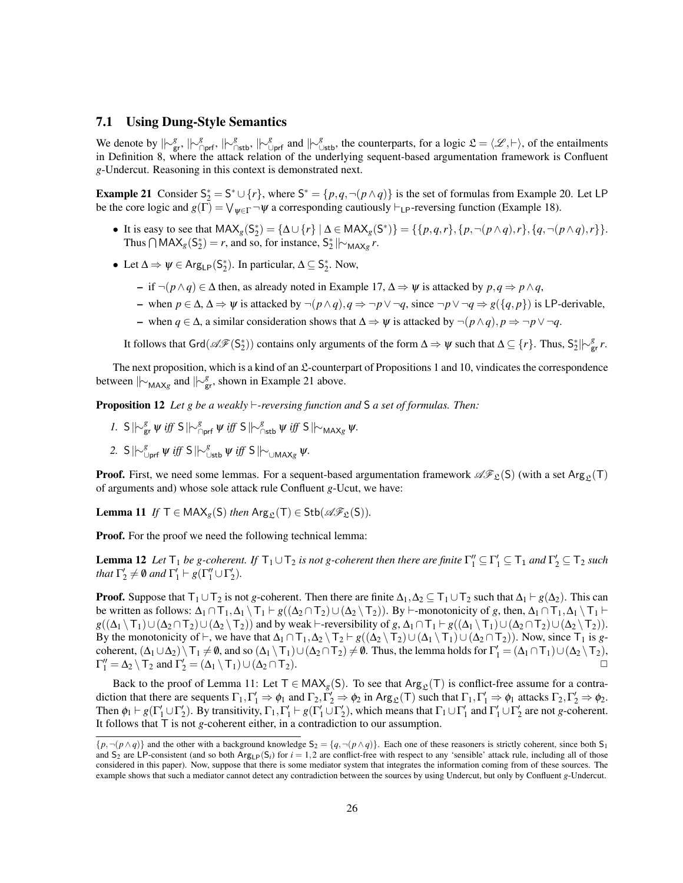### 7.1 Using Dung-Style Semantics

We denote by  $\vert \sim_{gr}^g, \vert \sim_{\rho \text{prf}}^g, \vert \sim_{\text{Jstb}}^g, \vert \sim_{\text{Jstb}}^g$  and  $\vert \sim_{\text{Jstb}}^g$ , the counterparts, for a logic  $\mathfrak{L} = \langle \mathscr{L}, \vdash \rangle$ , of the entailments in Definition 8, where the attack relation of the underlying sequent-based argumentation framework is Confluent *g*-Undercut. Reasoning in this context is demonstrated next.

**Example 21** Consider  $S_2^* = S^* \cup \{r\}$ , where  $S^* = \{p, q, \neg(p \wedge q)\}$  is the set of formulas from Example 20. Let LP be the core logic and  $g(\Gamma) = \bigvee_{\psi \in \Gamma} \neg \psi$  a corresponding cautiously  $\vdash_{\mathsf{LP}}$ -reversing function (Example 18).

- $\bullet$  It is easy to see that  $\text{MAX}_g(S_2^*) = {\Delta \cup \{r\} \mid \Delta \in \text{MAX}_g(S^*)\} = {\{p,q,r\}, \{p,\neg(p \land q),r\}, \{q,\neg(p \land q),r\}}.$ Thus  $\bigcap \text{MAX}_g(S_2^*) = r$ , and so, for instance,  $S_2^* \big| \sim_{\text{MAX}_g} r$ .
- Let  $\Delta \Rightarrow \psi \in \text{Arg}_{\text{LP}}(S_2^*)$ . In particular,  $\Delta \subseteq S_2^*$ . Now,
	- if ¬(*p*∧*q*) ∈ ∆ then, as already noted in Example 17, ∆ ⇒ ψ is attacked by *p*,*q* ⇒ *p*∧*q*,
	- when *p* ∈ ∆, ∆ ⇒ ψ is attacked by ¬(*p*∧*q*),*q* ⇒ ¬*p*∨ ¬*q*, since ¬*p*∨ ¬*q* ⇒ *g*({*q*, *p*}) is LP-derivable,
	- when *q* ∈ ∆, a similar consideration shows that ∆ ⇒ ψ is attacked by ¬(*p*∧*q*), *p* ⇒ ¬*p*∨ ¬*q*.

It follows that  $Grd(\mathscr{AF}(S_2^*))$  contains only arguments of the form  $\Delta \Rightarrow \psi$  such that  $\Delta \subseteq \{r\}$ . Thus,  $S_2^*||\sim_{gr}^g r$ .

The next proposition, which is a kind of an  $\mathfrak L$ -counterpart of Propositions 1 and 10, vindicates the correspondence between  $\vert \vert \sim_{\text{MAX}_g}$  and  $\vert \vert \sim_{gr}^g$ , shown in Example 21 above.

**Proposition 12** Let g be a weakly  $\vdash$ -reversing function and S a set of formulas. Then:

- *1.*  $S \mid \sim_{gr}^g \psi \text{ iff } S \mid \sim_{\cap \text{prf}}^g \psi \text{ iff } S \mid \sim_{\text{MAX}_g}^g \psi.$
- 2. S  $\big|\!\big|\!\big|\!\big|\!\bigtriangleup_{\bigcup\mathsf{prf}}^g \psi\mathsf{iff} \mathsf{S}\big|\big|\!\bigtriangleup_{\bigcup\mathsf{stb}}^g \psi\mathsf{iff} \mathsf{S}\big|\big|\!\bigtriangleup_{\bigcup\mathsf{MAX}_g} \psi.$

**Proof.** First, we need some lemmas. For a sequent-based argumentation framework  $\mathscr{AF}_{\mathfrak{L}}(S)$  (with a set Arg<sub>S</sub>(T) of arguments and) whose sole attack rule Confluent *g*-Ucut, we have:

**Lemma 11** *If*  $T \in MAX_{g}(S)$  *then*  $Arg_{\mathcal{R}}(T) \in Stb(\mathcal{AF}_{\mathcal{L}}(S))$ *.* 

Proof. For the proof we need the following technical lemma:

**Lemma 12** Let  $T_1$  be g-coherent. If  $T_1 \cup T_2$  is not g-coherent then there are finite  $\Gamma''_1 \subseteq \Gamma'_1 \subseteq T_1$  and  $\Gamma'_2 \subseteq T_2$  such *that*  $\Gamma'_2 \neq \emptyset$  *and*  $\Gamma'_1 \vdash g(\Gamma''_1 \cup \Gamma'_2)$ *.* 

**Proof.** Suppose that  $T_1 \cup T_2$  is not *g*-coherent. Then there are finite  $\Delta_1, \Delta_2 \subseteq T_1 \cup T_2$  such that  $\Delta_1 \vdash g(\Delta_2)$ . This can be written as follows:  $\Delta_1 \cap T_1, \Delta_1 \setminus T_1 \vdash g((\Delta_2 \cap T_2) \cup (\Delta_2 \setminus T_2))$ . By  $\vdash$ -monotonicity of *g*, then,  $\Delta_1 \cap T_1, \Delta_1 \setminus T_1 \vdash$  $g((\Delta_1 \setminus \mathsf{T}_1) \cup (\Delta_2 \cap \mathsf{T}_2) \cup (\Delta_2 \setminus \mathsf{T}_2))$  and by weak  $\vdash$ -reversibility of  $g, \Delta_1 \cap \mathsf{T}_1 \vdash g((\Delta_1 \setminus \mathsf{T}_1) \cup (\Delta_2 \cap \mathsf{T}_2) \cup (\Delta_2 \setminus \mathsf{T}_2)).$ By the monotonicity of  $\vdash$ , we have that  $\Delta_1 \cap T_1$ ,  $\Delta_2 \setminus T_2 \vdash g((\Delta_2 \setminus T_2) \cup (\Delta_1 \setminus T_1) \cup (\Delta_2 \cap T_2))$ . Now, since  $T_1$  is *g*coherent,  $(\Delta_1 \cup \Delta_2) \setminus T_1 \neq \emptyset$ , and so  $(\Delta_1 \setminus T_1) \cup (\Delta_2 \cap T_2) \neq \emptyset$ . Thus, the lemma holds for  $\Gamma'_1 = (\Delta_1 \cap T_1) \cup (\Delta_2 \setminus T_2)$ ,  $\Gamma_1'' = \Delta_2 \setminus \mathsf{T}_2$  and  $\Gamma_2' = (\Delta_1 \setminus \mathsf{T}_1) \cup (\Delta_2 \cap \mathsf{T}_2).$ 

Back to the proof of Lemma 11: Let  $T \in MAX_g(S)$ . To see that  $Arg_{\mathcal{L}}(T)$  is conflict-free assume for a contradiction that there are sequents  $\Gamma_1, \Gamma'_1 \Rightarrow \phi_1$  and  $\Gamma_2, \Gamma'_2 \Rightarrow \phi_2$  in  $\text{Arg}_{\mathcal{L}}(T)$  such that  $\Gamma_1, \Gamma'_1 \Rightarrow \phi_1$  attacks  $\Gamma_2, \Gamma'_2 \Rightarrow \phi_2$ . Then  $\phi_1 \vdash g(\Gamma'_1 \cup \Gamma'_2)$ . By transitivity,  $\Gamma_1, \Gamma'_1 \vdash g(\Gamma'_1 \cup \Gamma'_2)$ , which means that  $\Gamma_1 \cup \Gamma'_1$  and  $\Gamma'_1 \cup \Gamma'_2$  are not *g*-coherent. It follows that T is not *g*-coherent either, in a contradiction to our assumption.

 ${p, \neg (p \land q)}$  and the other with a background knowledge  $S_2 = {q, \neg (p \land q)}$ . Each one of these reasoners is strictly coherent, since both S<sub>1</sub> and  $S_2$  are LP-consistent (and so both  $Arg_{LP}(S_i)$  for  $i = 1, 2$  are conflict-free with respect to any 'sensible' attack rule, including all of those considered in this paper). Now, suppose that there is some mediator system that integrates the information coming from of these sources. The example shows that such a mediator cannot detect any contradiction between the sources by using Undercut, but only by Confluent *g*-Undercut.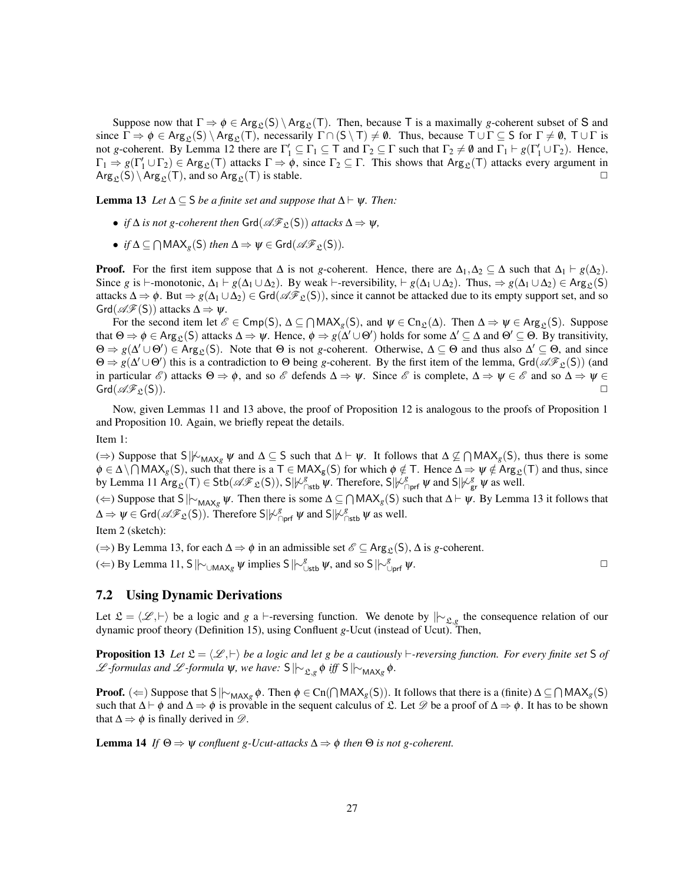Suppose now that  $\Gamma \Rightarrow \phi \in \text{Arg}_{\mathfrak{L}}(S) \setminus \text{Arg}_{\mathfrak{L}}(T)$ . Then, because T is a maximally *g*-coherent subset of S and since  $\Gamma \Rightarrow \phi \in \text{Arg}_{\mathfrak{L}}(S) \setminus \text{Arg}_{\mathfrak{L}}(T)$ , necessarily  $\Gamma \cap (S \setminus T) \neq \emptyset$ . Thus, because  $T \cup \Gamma \subseteq S$  for  $\Gamma \neq \emptyset$ ,  $T \cup \Gamma$  is not *g*-coherent. By Lemma 12 there are  $\Gamma'_1 \subseteq \Gamma_1 \subseteq \top$  and  $\Gamma_2 \subseteq \Gamma$  such that  $\Gamma_2 \neq \emptyset$  and  $\Gamma_1 \vdash g(\Gamma'_1 \cup \Gamma_2)$ . Hence,  $\Gamma_1 \Rightarrow g(\Gamma'_1 \cup \Gamma_2) \in \text{Arg}_{\mathfrak{L}}(T)$  attacks  $\Gamma \Rightarrow \phi$ , since  $\Gamma_2 \subseteq \Gamma$ . This shows that  $\text{Arg}_{\mathfrak{L}}(T)$  attacks every argument in  $Arg_{\mathcal{L}}(S) \setminus Arg_{\mathcal{L}}(T)$ , and so  $Arg_{\mathcal{L}}(T)$  is stable.

**Lemma 13** *Let*  $\Delta \subseteq S$  *be a finite set and suppose that*  $\Delta \vdash \psi$ *. Then:* 

- *if*  $\Delta$  *is not g-coherent then*  $\text{Grd}(\mathscr{AF}_{\mathcal{S}}(S))$  *attacks*  $\Delta \Rightarrow \Psi$ *,*
- *if*  $\Delta \subseteq \bigcap \text{MAX}_g(S)$  *then*  $\Delta \Rightarrow \psi \in \text{Grd}(\mathscr{AF}_{\mathfrak{L}}(S)).$

**Proof.** For the first item suppose that  $\Delta$  is not *g*-coherent. Hence, there are  $\Delta_1, \Delta_2 \subseteq \Delta$  such that  $\Delta_1 \vdash g(\Delta_2)$ . Since *g* is  $\vdash$ -monotonic,  $\Delta_1 \vdash g(\Delta_1 \cup \Delta_2)$ . By weak  $\vdash$ -reversibility,  $\vdash g(\Delta_1 \cup \Delta_2)$ . Thus,  $\Rightarrow g(\Delta_1 \cup \Delta_2) \in \text{Arg}_{\Omega}(S)$ attacks  $\Delta \Rightarrow \phi$ . But  $\Rightarrow g(\Delta_1 \cup \Delta_2) \in \text{Grd}(\mathscr{AF}_S(S))$ , since it cannot be attacked due to its empty support set, and so  $Grd(\mathcal{AF}(S))$  attacks  $\Delta \Rightarrow \psi$ .

For the second item let  $\mathscr{E} \in \mathsf{Cmp}(S)$ ,  $\Delta \subseteq \bigcap \mathsf{MAX}_g(S)$ , and  $\psi \in \mathsf{Cn}_{\mathfrak{L}}(\Delta)$ . Then  $\Delta \Rightarrow \psi \in \mathsf{Arg}_{\mathfrak{L}}(S)$ . Suppose that  $\Theta \Rightarrow \phi \in \text{Arg}_{\mathfrak{L}}(\mathsf{S})$  attacks  $\Delta \Rightarrow \psi$ . Hence,  $\phi \Rightarrow g(\Delta' \cup \Theta')$  holds for some  $\Delta' \subseteq \Delta$  and  $\Theta' \subseteq \Theta$ . By transitivity,  $\Theta \Rightarrow g(\Delta' \cup \Theta') \in \text{Arg}_{\mathcal{L}}(S)$ . Note that  $\Theta$  is not *g*-coherent. Otherwise,  $\Delta \subseteq \Theta$  and thus also  $\Delta' \subseteq \Theta$ , and since  $\Theta \Rightarrow g(\Delta' \cup \Theta')$  this is a contradiction to  $\Theta$  being *g*-coherent. By the first item of the lemma, Grd( $\mathscr{AF}_{\mathfrak{L}}(S)$ ) (and in particular  $\mathscr{E}$  ) attacks  $\Theta \Rightarrow \phi$ , and so  $\mathscr{E}$  defends  $\Delta \Rightarrow \psi$ . Since  $\mathscr{E}$  is complete,  $\Delta \Rightarrow \psi \in \mathscr{E}$  and so  $\Delta \Rightarrow \psi \in \mathscr{E}$  $\mathsf{Grd}(\mathscr{AF}_{\mathfrak{L}}(\mathsf{S})).$ 

Now, given Lemmas 11 and 13 above, the proof of Proposition 12 is analogous to the proofs of Proposition 1 and Proposition 10. Again, we briefly repeat the details.

Item 1:

(⇒) Suppose that  $S|\nvdash_{\mathsf{MAX}_g} \psi$  and  $\Delta \subseteq S$  such that  $\Delta \vdash \psi$ . It follows that  $\Delta \not\subseteq \bigcap \mathsf{MAX}_g(S)$ , thus there is some  $\phi \in \Delta \setminus \bigcap \text{MAX}_g(S)$ , such that there is a  $T \in \text{MAX}_g(S)$  for which  $\phi \notin T$ . Hence  $\Delta \Rightarrow \psi \notin \text{Arg}_{\mathcal{L}}(T)$  and thus, since by Lemma 11  $\text{Arg}_{\mathcal{L}}(T) \in \text{Stb}(\mathcal{AF}_{\mathcal{L}}(S)), S | \psi_{\text{Ostb}}^g \psi.$  Therefore,  $S | \psi_{\text{Oprf}}^g \psi \psi \rangle$  and  $S | \psi_{\text{gr}}^g \psi \psi$  as well.

(←) Suppose that S  $\vdash_{\text{MAX}_g} \psi$ . Then there is some  $\Delta \subseteq \bigcap \text{MAX}_g(S)$  such that  $\Delta \vdash \psi$ . By Lemma 13 it follows that  $\Delta \Rightarrow \psi \in \text{Grd}(\mathscr{AF}_{\mathfrak{L}}(S))$ . Therefore  $S|\nmid_{\text{prf}}^g \psi$  and  $S|\nmid_{\text{fstb}}^g \psi$  as well.

Item 2 (sketch):

(⇒) By Lemma 13, for each  $\Delta \Rightarrow \phi$  in an admissible set  $\mathscr{E} \subseteq \text{Arg}_{\mathfrak{S}}(S)$ ,  $\Delta$  is *g*-coherent.

(←) By Lemma 11, S  $\vert \sim_{\text{UMAX}_g} \psi$  implies S  $\vert \sim_{\text{Ustb}}^g \psi$ , and so S  $\vert \sim_{\text{Uprf}}^g \psi$ .

#### 7.2 Using Dynamic Derivations

Let  $\mathfrak{L} = \langle \mathscr{L}, \vdash \rangle$  be a logic and *g* a  $\vdash$ -reversing function. We denote by  $\|\vdash_{\mathfrak{L},g}$  the consequence relation of our dynamic proof theory (Definition 15), using Confluent *g*-Ucut (instead of Ucut). Then,

**Proposition 13** Let  $\mathcal{L} = \langle \mathcal{L}, \vdash \rangle$  be a logic and let g be a cautiously  $\vdash$ -reversing function. For every finite set S of  $\mathscr{L}$ -formulas and  $\mathscr{L}$ -formula  $\psi$ , we have:  $S \Vdash_{\mathfrak{L},g} \phi$  iff  $S \Vdash_{\mathsf{MAX}_g} \phi$ .

**Proof.** ( $\Leftarrow$ ) Suppose that S  $\Vdash_{\mathsf{MAX}_g} \phi$ . Then  $\phi \in \mathsf{Cn}(\bigcap \mathsf{MAX}_g(\mathsf{S}))$ . It follows that there is a (finite)  $\Delta \subseteq \bigcap \mathsf{MAX}_g(\mathsf{S})$ such that  $\Delta \vdash \phi$  and  $\Delta \Rightarrow \phi$  is provable in the sequent calculus of  $\mathfrak{L}$ . Let  $\mathscr{D}$  be a proof of  $\Delta \Rightarrow \phi$ . It has to be shown that  $\Delta \Rightarrow \phi$  is finally derived in  $\mathscr{D}$ .

**Lemma 14** *If*  $\Theta \Rightarrow \Psi$  *confluent g-Ucut-attacks*  $\Delta \Rightarrow \Phi$  *then*  $\Theta$  *is not g-coherent.*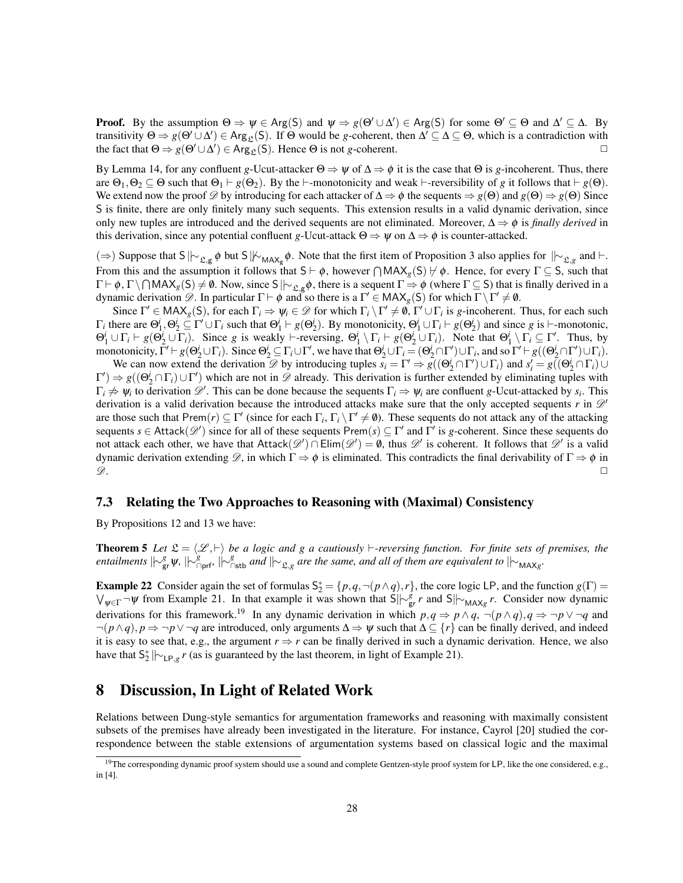**Proof.** By the assumption  $\Theta \Rightarrow \psi \in \text{Arg}(S)$  and  $\psi \Rightarrow g(\Theta' \cup \Delta') \in \text{Arg}(S)$  for some  $\Theta' \subseteq \Theta$  and  $\Delta' \subseteq \Delta$ . By transitivity  $\Theta \Rightarrow g(\Theta' \cup \Delta') \in \text{Arg}_{\mathcal{L}}(S)$ . If  $\Theta$  would be *g*-coherent, then  $\Delta' \subseteq \Delta \subseteq \Theta$ , which is a contradiction with the fact that  $\Theta \Rightarrow g(\Theta' \cup \Delta') \in \text{Arg}_{\mathfrak{L}}(S)$ . Hence  $\Theta$  is not *g*-coherent.

By Lemma 14, for any confluent *g*-Ucut-attacker  $\Theta \Rightarrow \psi$  of  $\Delta \Rightarrow \phi$  it is the case that  $\Theta$  is *g*-incoherent. Thus, there are  $\Theta_1, \Theta_2 \subseteq \Theta$  such that  $\Theta_1 \vdash g(\Theta_2)$ . By the  $\vdash$ -monotonicity and weak  $\vdash$ -reversibility of *g* it follows that  $\vdash g(\Theta)$ . We extend now the proof  $\mathcal{D}$  by introducing for each attacker of  $\Delta \Rightarrow \phi$  the sequents  $\Rightarrow g(\Theta)$  and  $g(\Theta) \Rightarrow g(\Theta)$  Since S is finite, there are only finitely many such sequents. This extension results in a valid dynamic derivation, since only new tuples are introduced and the derived sequents are not eliminated. Moreover, ∆ ⇒ φ is *finally derived* in this derivation, since any potential confluent *g*-Ucut-attack  $\Theta \Rightarrow \Psi$  on  $\Delta \Rightarrow \phi$  is counter-attacked.

(⇒) Suppose that  $S \Vdash_{\mathfrak{L}, g} \phi$  but  $S \Vdash_{\mathsf{MAX}_g} \phi$ . Note that the first item of Proposition 3 also applies for  $\Vdash_{\mathfrak{L}, g}$  and  $\vdash$ . From this and the assumption it follows that  $S \vdash \phi$ , however  $\bigcap MAX_g(S) \not\vdash \phi$ . Hence, for every  $\Gamma \subseteq S$ , such that  $\Gamma \vdash \phi, \Gamma \setminus \bigcap \text{MAX}_g(S) \neq \emptyset$ . Now, since  $S \Vdash_{\mathfrak{L}, g} \phi$ , there is a sequent  $\Gamma \Rightarrow \phi$  (where  $\Gamma \subseteq S$ ) that is finally derived in a dynamic derivation  $\mathscr{D}$ . In particular  $\Gamma \vdash \phi$  and so there is a  $\Gamma' \in MAX_g(\mathsf{S})$  for which  $\Gamma \setminus \Gamma' \neq \emptyset$ .

Since  $\Gamma' \in MAX_g(S)$ , for each  $\Gamma_i \Rightarrow \psi_i \in \mathcal{D}$  for which  $\Gamma_i \setminus \Gamma' \neq \emptyset$ ,  $\Gamma' \cup \Gamma_i$  is *g*-incoherent. Thus, for each such  $\Gamma_i$  there are  $\Theta_1^i$ ,  $\Theta_2^i \subseteq \Gamma' \cup \Gamma_i$  such that  $\Theta_1^i \vdash g(\Theta_2^i)$ . By monotonicity,  $\Theta_1^i \cup \Gamma_i \vdash g(\Theta_2^i)$  and since *g* is  $\vdash$ -monotonic,  $\Theta_1^i \cup \Gamma_i \vdash g(\Theta_2^i \cup \Gamma_i)$ . Since *g* is weakly  $\vdash$ -reversing,  $\Theta_1^i \setminus \Gamma_i \vdash g(\Theta_2^i \cup \Gamma_i)$ . Note that  $\Theta_1^i \setminus \Gamma_i \subseteq \Gamma'$ . Thus, by monotonicity,  $\overline{\Gamma}' \vdash g(\Theta_2^i \cup \Gamma_i)$ . Since  $\Theta_2^i \subseteq \Gamma_i \cup \Gamma'$ , we have that  $\Theta_2^i \cup \Gamma_i = (\Theta_2^i \cap \Gamma') \cup \Gamma_i$ , and so  $\overline{\Gamma}' \vdash g((\Theta_2^i \cap \Gamma') \cup \Gamma_i)$ .

We can now extend the derivation  $\mathscr{D}$  by introducing tuples  $s_i = \Gamma' \Rightarrow g((\Theta_2^i \cap \Gamma') \cup \Gamma_i)$  and  $s_i' = g((\Theta_2^i \cap \Gamma_i) \cup \Gamma_i)$  $\Gamma'$ )  $\Rightarrow$   $g((\Theta_2^i \cap \Gamma_i) \cup \Gamma')$  which are not in  $\mathscr D$  already. This derivation is further extended by eliminating tuples with  $\Gamma_i \neq \psi_i$  to derivation  $\mathscr{D}'$ . This can be done because the sequents  $\Gamma_i \Rightarrow \psi_i$  are confluent *g*-Ucut-attacked by  $s_i$ . This derivation is a valid derivation because the introduced attacks make sure that the only accepted sequents  $r$  in  $\mathscr{D}'$ are those such that Prem $(r) \subseteq \Gamma'$  (since for each  $\Gamma_i$ ,  $\Gamma_i \setminus \Gamma' \neq \emptyset$ ). These sequents do not attack any of the attacking sequents  $s \in$  Attack( $\mathscr{D}'$ ) since for all of these sequents Prem( $s$ )  $\subseteq \Gamma'$  and  $\Gamma'$  is *g*-coherent. Since these sequents do not attack each other, we have that  $Attack(\mathscr{D}') \cap Elim(\mathscr{D}') = \emptyset$ , thus  $\mathscr{D}'$  is coherent. It follows that  $\mathscr{D}'$  is a valid dynamic derivation extending  $\mathcal{D}$ , in which  $\Gamma \Rightarrow \phi$  is eliminated. This contradicts the final derivability of  $\Gamma \Rightarrow \phi$  in  $\mathscr{D}.$ 

### 7.3 Relating the Two Approaches to Reasoning with (Maximal) Consistency

By Propositions 12 and 13 we have:

**Theorem 5** Let  $\mathfrak{L} = \langle \mathcal{L}, \vdash \rangle$  be a logic and g a cautiously  $\vdash$ -reversing function. For finite sets of premises, the  $\epsilon$  *entailments*  $\big|\sim_{\mathsf{gr}}^g \psi$ ,  $\big|\sim_{\cap \mathsf{prf}}^g \big|\sim_{\cap \mathsf{stb}}^g$  *and*  $\big|\sim_{\mathfrak{L},g}$  *are the same, and all of them are equivalent to*  $\big|\sim_{\mathsf{MAX}_g}$ *.* 

**Example 22** Consider again the set of formulas  $S_2^* = \{p, q, \neg(p \land q), r\}$ , the core logic LP, and the function  $g(\Gamma)$ W<sub>Ψ∈Γ</sub>¬ψ from Example 21. In that example it was shown that S||∼<sup>*g*</sup><sub>g</sub>r *r* and S||∼<sub>MAX*g*</sub> *r*. Consider now dynamic derivations for this framework.<sup>19</sup> In any dynamic derivation in which  $p, q \Rightarrow p \wedge q, \neg(p \wedge q), q \Rightarrow \neg p \vee \neg q$  and  $\neg(p \land q)$ ,  $p \Rightarrow \neg p \lor \neg q$  are introduced, only arguments  $\Delta \Rightarrow \psi$  such that  $\Delta \subseteq \{r\}$  can be finally derived, and indeed it is easy to see that, e.g., the argument  $r \Rightarrow r$  can be finally derived in such a dynamic derivation. Hence, we also have that  $S_2^*$   $\vert \vert_{\text{L}_1\text{P},g}$  *r* (as is guaranteed by the last theorem, in light of Example 21).

### 8 Discussion, In Light of Related Work

Relations between Dung-style semantics for argumentation frameworks and reasoning with maximally consistent subsets of the premises have already been investigated in the literature. For instance, Cayrol [20] studied the correspondence between the stable extensions of argumentation systems based on classical logic and the maximal

<sup>&</sup>lt;sup>19</sup>The corresponding dynamic proof system should use a sound and complete Gentzen-style proof system for LP, like the one considered, e.g., in [4].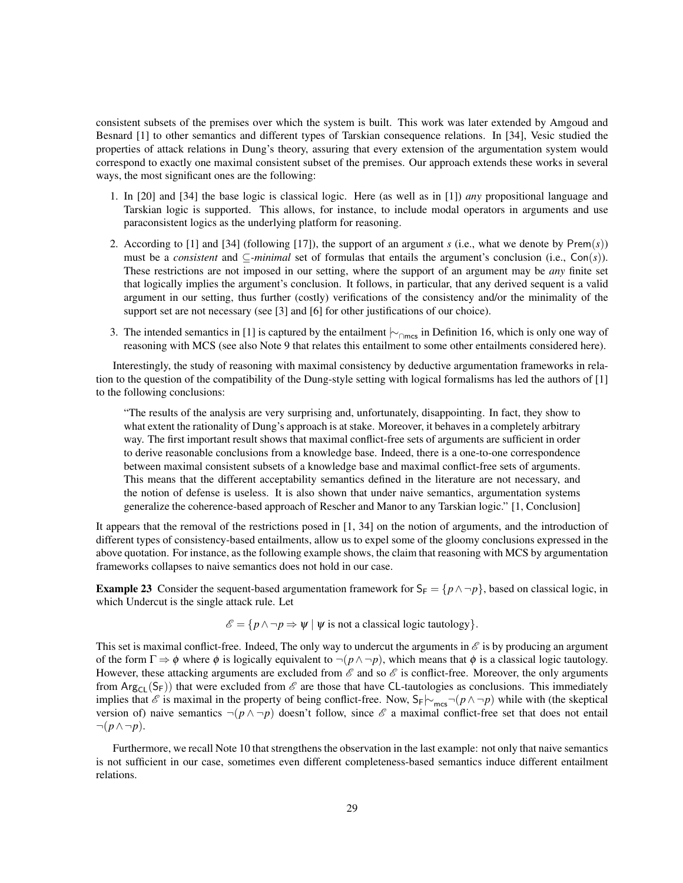consistent subsets of the premises over which the system is built. This work was later extended by Amgoud and Besnard [1] to other semantics and different types of Tarskian consequence relations. In [34], Vesic studied the properties of attack relations in Dung's theory, assuring that every extension of the argumentation system would correspond to exactly one maximal consistent subset of the premises. Our approach extends these works in several ways, the most significant ones are the following:

- 1. In [20] and [34] the base logic is classical logic. Here (as well as in [1]) *any* propositional language and Tarskian logic is supported. This allows, for instance, to include modal operators in arguments and use paraconsistent logics as the underlying platform for reasoning.
- 2. According to [1] and [34] (following [17]), the support of an argument *s* (i.e., what we denote by Prem(*s*)) must be a *consistent* and  $\subseteq$ *-minimal* set of formulas that entails the argument's conclusion (i.e., Con(s)). These restrictions are not imposed in our setting, where the support of an argument may be *any* finite set that logically implies the argument's conclusion. It follows, in particular, that any derived sequent is a valid argument in our setting, thus further (costly) verifications of the consistency and/or the minimality of the support set are not necessary (see [3] and [6] for other justifications of our choice).
- 3. The intended semantics in [1] is captured by the entailment  $\vdash_{\cap}$  in Definition 16, which is only one way of reasoning with MCS (see also Note 9 that relates this entailment to some other entailments considered here).

Interestingly, the study of reasoning with maximal consistency by deductive argumentation frameworks in relation to the question of the compatibility of the Dung-style setting with logical formalisms has led the authors of [1] to the following conclusions:

"The results of the analysis are very surprising and, unfortunately, disappointing. In fact, they show to what extent the rationality of Dung's approach is at stake. Moreover, it behaves in a completely arbitrary way. The first important result shows that maximal conflict-free sets of arguments are sufficient in order to derive reasonable conclusions from a knowledge base. Indeed, there is a one-to-one correspondence between maximal consistent subsets of a knowledge base and maximal conflict-free sets of arguments. This means that the different acceptability semantics defined in the literature are not necessary, and the notion of defense is useless. It is also shown that under naive semantics, argumentation systems generalize the coherence-based approach of Rescher and Manor to any Tarskian logic." [1, Conclusion]

It appears that the removal of the restrictions posed in [1, 34] on the notion of arguments, and the introduction of different types of consistency-based entailments, allow us to expel some of the gloomy conclusions expressed in the above quotation. For instance, as the following example shows, the claim that reasoning with MCS by argumentation frameworks collapses to naive semantics does not hold in our case.

**Example 23** Consider the sequent-based argumentation framework for  $S_F = \{p \land \neg p\}$ , based on classical logic, in which Undercut is the single attack rule. Let

 $\mathscr{E} = \{ p \land \neg p \Rightarrow \psi \mid \psi \text{ is not a classical logic tautology} \}.$ 

This set is maximal conflict-free. Indeed, The only way to undercut the arguments in  $\mathscr E$  is by producing an argument of the form  $\Gamma \Rightarrow \phi$  where  $\phi$  is logically equivalent to  $\neg(p \land \neg p)$ , which means that  $\phi$  is a classical logic tautology. However, these attacking arguments are excluded from  $\mathscr E$  and so  $\mathscr E$  is conflict-free. Moreover, the only arguments from Arg<sub>CL</sub>(S<sub>F</sub>)) that were excluded from  $\mathscr E$  are those that have CL-tautologies as conclusions. This immediately implies that  $\mathscr E$  is maximal in the property of being conflict-free. Now, S<sub>F</sub> $\vdash_{\mathsf{mcs}}\neg(p \wedge \neg p)$  while with (the skeptical version of) naive semantics  $\neg(p \land \neg p)$  doesn't follow, since  $\mathscr E$  a maximal conflict-free set that does not entail ¬(*p*∧ ¬*p*).

Furthermore, we recall Note 10 that strengthens the observation in the last example: not only that naive semantics is not sufficient in our case, sometimes even different completeness-based semantics induce different entailment relations.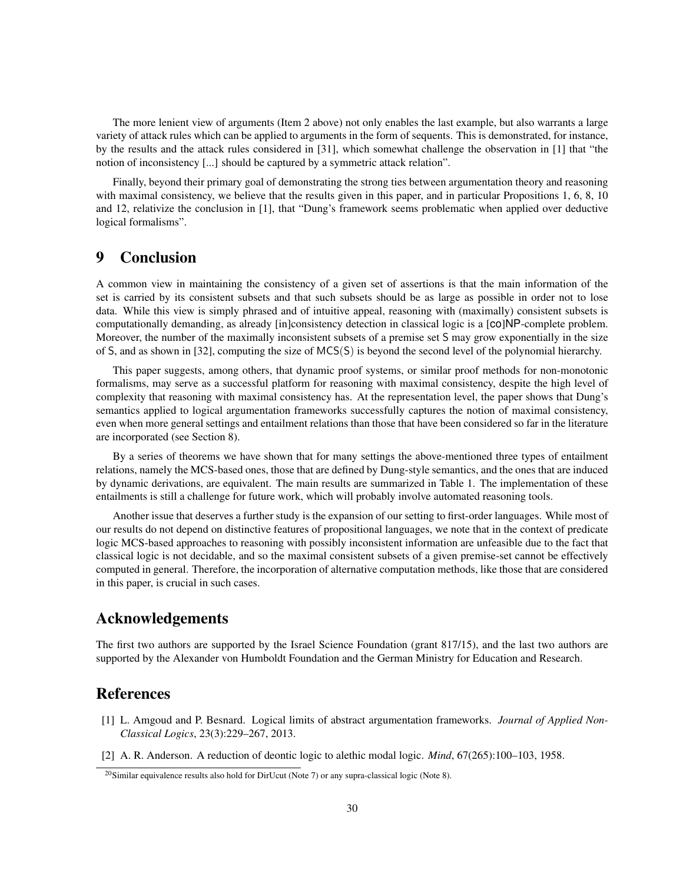The more lenient view of arguments (Item 2 above) not only enables the last example, but also warrants a large variety of attack rules which can be applied to arguments in the form of sequents. This is demonstrated, for instance, by the results and the attack rules considered in [31], which somewhat challenge the observation in [1] that "the notion of inconsistency [...] should be captured by a symmetric attack relation".

Finally, beyond their primary goal of demonstrating the strong ties between argumentation theory and reasoning with maximal consistency, we believe that the results given in this paper, and in particular Propositions 1, 6, 8, 10 and 12, relativize the conclusion in [1], that "Dung's framework seems problematic when applied over deductive logical formalisms".

### 9 Conclusion

A common view in maintaining the consistency of a given set of assertions is that the main information of the set is carried by its consistent subsets and that such subsets should be as large as possible in order not to lose data. While this view is simply phrased and of intuitive appeal, reasoning with (maximally) consistent subsets is computationally demanding, as already [in]consistency detection in classical logic is a [co]NP-complete problem. Moreover, the number of the maximally inconsistent subsets of a premise set S may grow exponentially in the size of S, and as shown in [32], computing the size of MCS(S) is beyond the second level of the polynomial hierarchy.

This paper suggests, among others, that dynamic proof systems, or similar proof methods for non-monotonic formalisms, may serve as a successful platform for reasoning with maximal consistency, despite the high level of complexity that reasoning with maximal consistency has. At the representation level, the paper shows that Dung's semantics applied to logical argumentation frameworks successfully captures the notion of maximal consistency, even when more general settings and entailment relations than those that have been considered so far in the literature are incorporated (see Section 8).

By a series of theorems we have shown that for many settings the above-mentioned three types of entailment relations, namely the MCS-based ones, those that are defined by Dung-style semantics, and the ones that are induced by dynamic derivations, are equivalent. The main results are summarized in Table 1. The implementation of these entailments is still a challenge for future work, which will probably involve automated reasoning tools.

Another issue that deserves a further study is the expansion of our setting to first-order languages. While most of our results do not depend on distinctive features of propositional languages, we note that in the context of predicate logic MCS-based approaches to reasoning with possibly inconsistent information are unfeasible due to the fact that classical logic is not decidable, and so the maximal consistent subsets of a given premise-set cannot be effectively computed in general. Therefore, the incorporation of alternative computation methods, like those that are considered in this paper, is crucial in such cases.

## Acknowledgements

The first two authors are supported by the Israel Science Foundation (grant 817/15), and the last two authors are supported by the Alexander von Humboldt Foundation and the German Ministry for Education and Research.

### References

- [1] L. Amgoud and P. Besnard. Logical limits of abstract argumentation frameworks. *Journal of Applied Non-Classical Logics*, 23(3):229–267, 2013.
- [2] A. R. Anderson. A reduction of deontic logic to alethic modal logic. *Mind*, 67(265):100–103, 1958.

<sup>&</sup>lt;sup>20</sup>Similar equivalence results also hold for DirUcut (Note 7) or any supra-classical logic (Note 8).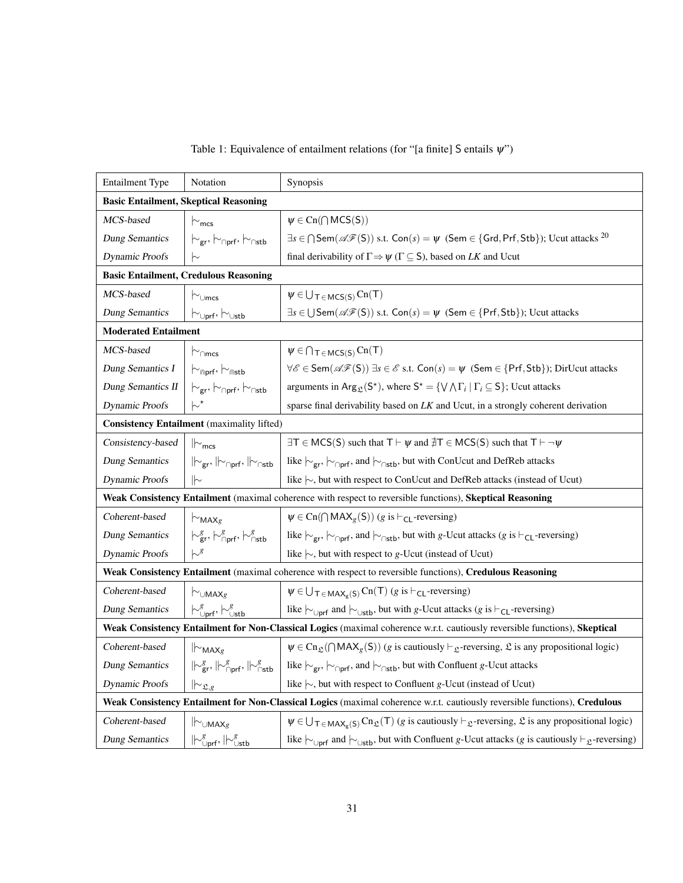| <b>Entailment Type</b>                                                                                                     | Notation                                                                                                                                                                                                                                                                                                                                                                                                                       | Synopsis                                                                                                                                                                           |
|----------------------------------------------------------------------------------------------------------------------------|--------------------------------------------------------------------------------------------------------------------------------------------------------------------------------------------------------------------------------------------------------------------------------------------------------------------------------------------------------------------------------------------------------------------------------|------------------------------------------------------------------------------------------------------------------------------------------------------------------------------------|
|                                                                                                                            | <b>Basic Entailment, Skeptical Reasoning</b>                                                                                                                                                                                                                                                                                                                                                                                   |                                                                                                                                                                                    |
| MCS-based                                                                                                                  | $\sim$ <sub>mcs</sub>                                                                                                                                                                                                                                                                                                                                                                                                          | $\psi \in \text{Cn}(\bigcap \text{MCS}(S))$                                                                                                                                        |
| <b>Dung Semantics</b>                                                                                                      | $\mathcal{h}_{\text{gr}}, \mathcal{h}_{\cap \text{prf}}, \mathcal{h}_{\cap \text{stb}}$                                                                                                                                                                                                                                                                                                                                        | $\exists s \in \bigcap \mathsf{Sem}(\mathscr{AF}(S))$ s.t. $\mathsf{Con}(s) = \psi$ (Sem $\in \{\mathsf{Grd}, \mathsf{Prf}, \mathsf{Stb}\}\)$ ; Ucut attacks $^{20}$               |
| Dynamic Proofs                                                                                                             |                                                                                                                                                                                                                                                                                                                                                                                                                                | final derivability of $\Gamma \Rightarrow \psi$ ( $\Gamma \subseteq S$ ), based on LK and Ucut                                                                                     |
| <b>Basic Entailment, Credulous Reasoning</b>                                                                               |                                                                                                                                                                                                                                                                                                                                                                                                                                |                                                                                                                                                                                    |
| MCS-based                                                                                                                  | $\sim$ Umcs                                                                                                                                                                                                                                                                                                                                                                                                                    | $\psi \in \bigcup_{T \in MCS(S)} Cn(T)$                                                                                                                                            |
| <b>Dung Semantics</b>                                                                                                      | $\sim_{\cup$ prf, $\sim_{\cup$ stb                                                                                                                                                                                                                                                                                                                                                                                             | $\exists s \in \bigcup \mathsf{Sem}(\mathscr{AF}(S))$ s.t. $\mathsf{Con}(s) = \psi$ (Sem $\in \{\mathsf{Prf}, \mathsf{Stb}\}\)$ ; Ucut attacks                                     |
| <b>Moderated Entailment</b>                                                                                                |                                                                                                                                                                                                                                                                                                                                                                                                                                |                                                                                                                                                                                    |
| MCS-based                                                                                                                  | $\vdash_{\cap \mathsf{mcs}}$                                                                                                                                                                                                                                                                                                                                                                                                   | $\psi \in \bigcap_{T \in MCS(S)} Cn(T)$                                                                                                                                            |
| Dung Semantics I                                                                                                           | $\sim$ <sub>mprf</sub> , $\sim$ <sub>mstb</sub>                                                                                                                                                                                                                                                                                                                                                                                | $\forall \mathcal{E} \in \text{Sem}(\mathcal{AF}(S)) \exists s \in \mathcal{E} \text{ s.t. } \text{Con}(s) = \psi \text{ (Sem } \in \{\text{Prf}, \text{Stb}\})$ ; DirUcut attacks |
| Dung Semantics II                                                                                                          | $\sim_{\text{gr}}, \sim_{\cap \text{prf}}, \sim_{\cap \text{stb}}$                                                                                                                                                                                                                                                                                                                                                             | arguments in Arg <sub>c</sub> (S <sup>*</sup> ), where $S^* = \{ \forall \wedge \Gamma_i   \Gamma_i \subseteq S \}$ ; Ucut attacks                                                 |
| Dynamic Proofs                                                                                                             | $\overline{\sim}^{\star}$                                                                                                                                                                                                                                                                                                                                                                                                      | sparse final derivability based on $LK$ and Ucut, in a strongly coherent derivation                                                                                                |
|                                                                                                                            | <b>Consistency Entailment</b> (maximality lifted)                                                                                                                                                                                                                                                                                                                                                                              |                                                                                                                                                                                    |
| Consistency-based                                                                                                          | $\mathbb{R}_{\text{mcs}}$                                                                                                                                                                                                                                                                                                                                                                                                      | $\exists T \in \text{MCS}(S)$ such that $T \vdash \psi$ and $\sharp T \in \text{MCS}(S)$ such that $T \vdash \neg \psi$                                                            |
| <b>Dung Semantics</b>                                                                                                      | $\ \Upsilon_{\rm gr},\ \Upsilon_{\rm ppf},\ \Upsilon_{\rm mstb}$                                                                                                                                                                                                                                                                                                                                                               | like $\mid_{\text{gr}}, \mid_{\text{topf}}$ , and $\mid_{\text{right}}$ , but with ConUcut and DefReb attacks                                                                      |
| Dynamic Proofs                                                                                                             | $\mathbb{R}$                                                                                                                                                                                                                                                                                                                                                                                                                   | like $\sim$ , but with respect to ConUcut and DefReb attacks (instead of Ucut)                                                                                                     |
|                                                                                                                            |                                                                                                                                                                                                                                                                                                                                                                                                                                | Weak Consistency Entailment (maximal coherence with respect to reversible functions), Skeptical Reasoning                                                                          |
| Coherent-based                                                                                                             | $\sim_{\text{MAX}_e}$                                                                                                                                                                                                                                                                                                                                                                                                          | $\psi \in \text{Cn}(\bigcap \text{MAX}_{g}(S))$ (g is $\vdash_{\text{CL}}$ -reversing)                                                                                             |
| <b>Dung Semantics</b>                                                                                                      | $\hspace{0.1 cm}\sim_{\hspace{0.1 cm} \mathrm{gr}}^{\hspace{0.1 cm} g}\hspace{0.1 cm},\hspace{0.1 cm}\hspace{0.1 cm}\hspace{0.1 cm}\sim_{\hspace{0.1 cm} \mathrm{Prf}}^{\hspace{0.1 cm} g},\hspace{0.1 cm}\hspace{0.1 cm}\hspace{0.1 cm}\hspace{0.1 cm}\hspace{0.1 cm}\hspace{0.1 cm}\hspace{0.1 cm}\hspace{0.1 cm}\hspace{0.1 cm}\hspace{0.1 cm}\hspace{0.1 cm}\hspace{0.1 cm}\hspace{0.1 cm}\hspace{0.1 cm}\hspace{0.1 cm}\$ | like $\sim_{\text{gr}}, \sim_{\cap \text{prf}},$ and $\sim_{\cap \text{stb}}$ , but with g-Ucut attacks (g is $\vdash_{\text{CL}}$ -reversing)                                     |
| Dynamic Proofs                                                                                                             |                                                                                                                                                                                                                                                                                                                                                                                                                                | like $\sim$ , but with respect to g-Ucut (instead of Ucut)                                                                                                                         |
| Weak Consistency Entailment (maximal coherence with respect to reversible functions), Credulous Reasoning                  |                                                                                                                                                                                                                                                                                                                                                                                                                                |                                                                                                                                                                                    |
| Coherent-based                                                                                                             | $\sim_{\cup \text{MAX}_g}$                                                                                                                                                                                                                                                                                                                                                                                                     | $\psi \in \bigcup_{\tau \in \text{MAX}_{g}(S)} \text{Cn}(T)$ (g is $\vdash_{\text{CL}}$ -reversing)                                                                                |
| <b>Dung Semantics</b>                                                                                                      | $\sim_{\cup \mathsf{prf}}^g, \sim_{\cup \mathsf{stb}}^g$                                                                                                                                                                                                                                                                                                                                                                       | like $\sim_{\cup$ prf and $\sim_{\cup$ stb, but with g-Ucut attacks (g is $\vdash_{\text{CL}}$ -reversing)                                                                         |
| Weak Consistency Entailment for Non-Classical Logics (maximal coherence w.r.t. cautiously reversible functions), Skeptical |                                                                                                                                                                                                                                                                                                                                                                                                                                |                                                                                                                                                                                    |
| Coherent-based                                                                                                             | $\ w_{\text{MAX},g}\ $                                                                                                                                                                                                                                                                                                                                                                                                         | $\psi \in C_{n,\mathcal{L}}(\bigcap MAX_{g}(S))$ (g is cautiously $\vdash_{\mathcal{L}}$ -reversing, $\mathcal{L}$ is any propositional logic)                                     |
| <b>Dung Semantics</b>                                                                                                      | $\ \sim_{\text{gr}}^g, \ \sim_{\cap \text{prf}}^g, \ \sim_{\cap \text{stb}}^g\ $                                                                                                                                                                                                                                                                                                                                               | like $\sim_{\text{gr}}, \sim_{\cap \text{prf}},$ and $\sim_{\cap \text{stb}}$ , but with Confluent g-Ucut attacks                                                                  |
| Dynamic Proofs                                                                                                             | $\  \sim_{\mathfrak{L},g}$                                                                                                                                                                                                                                                                                                                                                                                                     | like $\sim$ , but with respect to Confluent g-Ucut (instead of Ucut)                                                                                                               |
| Weak Consistency Entailment for Non-Classical Logics (maximal coherence w.r.t. cautiously reversible functions), Credulous |                                                                                                                                                                                                                                                                                                                                                                                                                                |                                                                                                                                                                                    |
| Coherent-based                                                                                                             | $\mathcal{V}_{\cup \text{MAX}g}$                                                                                                                                                                                                                                                                                                                                                                                               | $\psi \in \bigcup_{T \in MAX_g(S)} Cn_{\mathcal{L}}(T)$ (g is cautiously $\vdash_{\mathcal{L}}$ -reversing, $\mathcal{L}$ is any propositional logic)                              |
| <b>Dung Semantics</b>                                                                                                      | $\left\Vert \sim_{\cup \mathsf{prf}}^{g},\left\Vert \sim_{\cup \mathsf{stb}}^{g}\right\Vert$                                                                                                                                                                                                                                                                                                                                   | like $\sim_{\cup$ prf and $\sim_{\cup$ stb, but with Confluent g-Ucut attacks (g is cautiously $\vdash_{\mathfrak{L}}$ -reversing)                                                 |

# Table 1: Equivalence of entailment relations (for "[a finite] S entails  $\psi$ ")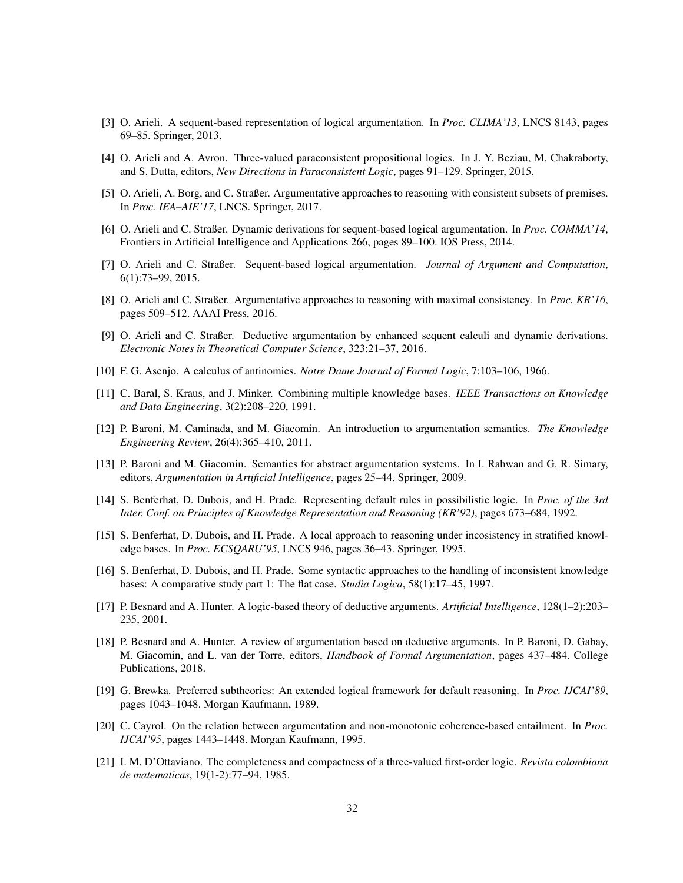- [3] O. Arieli. A sequent-based representation of logical argumentation. In *Proc. CLIMA'13*, LNCS 8143, pages 69–85. Springer, 2013.
- [4] O. Arieli and A. Avron. Three-valued paraconsistent propositional logics. In J. Y. Beziau, M. Chakraborty, and S. Dutta, editors, *New Directions in Paraconsistent Logic*, pages 91–129. Springer, 2015.
- [5] O. Arieli, A. Borg, and C. Straßer. Argumentative approaches to reasoning with consistent subsets of premises. In *Proc. IEA–AIE'17*, LNCS. Springer, 2017.
- [6] O. Arieli and C. Straßer. Dynamic derivations for sequent-based logical argumentation. In *Proc. COMMA'14*, Frontiers in Artificial Intelligence and Applications 266, pages 89–100. IOS Press, 2014.
- [7] O. Arieli and C. Straßer. Sequent-based logical argumentation. *Journal of Argument and Computation*, 6(1):73–99, 2015.
- [8] O. Arieli and C. Straßer. Argumentative approaches to reasoning with maximal consistency. In *Proc. KR'16*, pages 509–512. AAAI Press, 2016.
- [9] O. Arieli and C. Straßer. Deductive argumentation by enhanced sequent calculi and dynamic derivations. *Electronic Notes in Theoretical Computer Science*, 323:21–37, 2016.
- [10] F. G. Asenjo. A calculus of antinomies. *Notre Dame Journal of Formal Logic*, 7:103–106, 1966.
- [11] C. Baral, S. Kraus, and J. Minker. Combining multiple knowledge bases. *IEEE Transactions on Knowledge and Data Engineering*, 3(2):208–220, 1991.
- [12] P. Baroni, M. Caminada, and M. Giacomin. An introduction to argumentation semantics. *The Knowledge Engineering Review*, 26(4):365–410, 2011.
- [13] P. Baroni and M. Giacomin. Semantics for abstract argumentation systems. In I. Rahwan and G. R. Simary, editors, *Argumentation in Artificial Intelligence*, pages 25–44. Springer, 2009.
- [14] S. Benferhat, D. Dubois, and H. Prade. Representing default rules in possibilistic logic. In *Proc. of the 3rd Inter. Conf. on Principles of Knowledge Representation and Reasoning (KR'92)*, pages 673–684, 1992.
- [15] S. Benferhat, D. Dubois, and H. Prade. A local approach to reasoning under incosistency in stratified knowledge bases. In *Proc. ECSQARU'95*, LNCS 946, pages 36–43. Springer, 1995.
- [16] S. Benferhat, D. Dubois, and H. Prade. Some syntactic approaches to the handling of inconsistent knowledge bases: A comparative study part 1: The flat case. *Studia Logica*, 58(1):17–45, 1997.
- [17] P. Besnard and A. Hunter. A logic-based theory of deductive arguments. *Artificial Intelligence*, 128(1–2):203– 235, 2001.
- [18] P. Besnard and A. Hunter. A review of argumentation based on deductive arguments. In P. Baroni, D. Gabay, M. Giacomin, and L. van der Torre, editors, *Handbook of Formal Argumentation*, pages 437–484. College Publications, 2018.
- [19] G. Brewka. Preferred subtheories: An extended logical framework for default reasoning. In *Proc. IJCAI'89*, pages 1043–1048. Morgan Kaufmann, 1989.
- [20] C. Cayrol. On the relation between argumentation and non-monotonic coherence-based entailment. In *Proc. IJCAI'95*, pages 1443–1448. Morgan Kaufmann, 1995.
- [21] I. M. D'Ottaviano. The completeness and compactness of a three-valued first-order logic. *Revista colombiana de matematicas*, 19(1-2):77–94, 1985.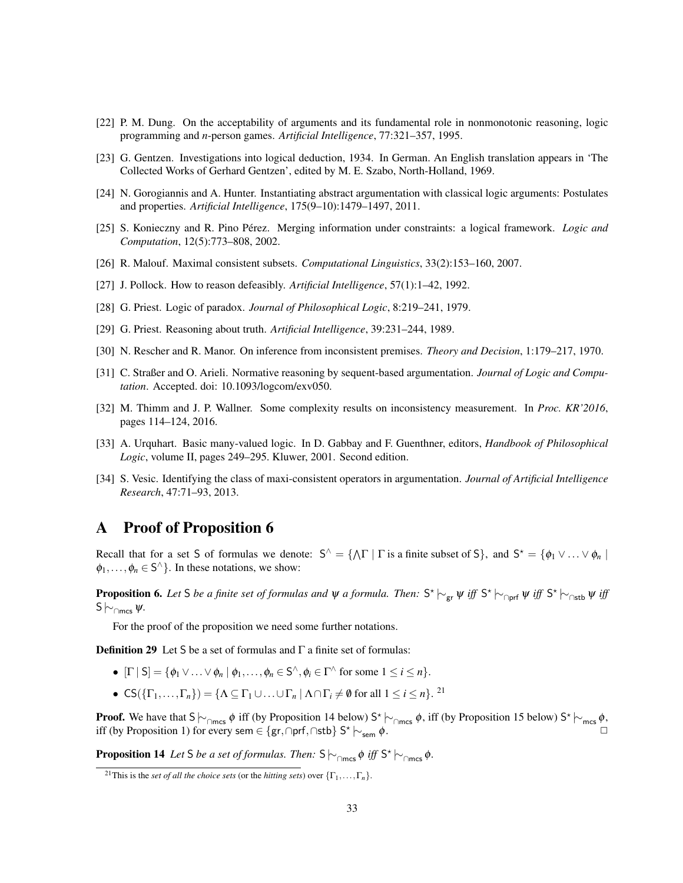- [22] P. M. Dung. On the acceptability of arguments and its fundamental role in nonmonotonic reasoning, logic programming and *n*-person games. *Artificial Intelligence*, 77:321–357, 1995.
- [23] G. Gentzen. Investigations into logical deduction, 1934. In German. An English translation appears in 'The Collected Works of Gerhard Gentzen', edited by M. E. Szabo, North-Holland, 1969.
- [24] N. Gorogiannis and A. Hunter. Instantiating abstract argumentation with classical logic arguments: Postulates and properties. *Artificial Intelligence*, 175(9–10):1479–1497, 2011.
- [25] S. Konieczny and R. Pino Pérez. Merging information under constraints: a logical framework. *Logic and Computation*, 12(5):773–808, 2002.
- [26] R. Malouf. Maximal consistent subsets. *Computational Linguistics*, 33(2):153–160, 2007.
- [27] J. Pollock. How to reason defeasibly. *Artificial Intelligence*, 57(1):1–42, 1992.
- [28] G. Priest. Logic of paradox. *Journal of Philosophical Logic*, 8:219–241, 1979.
- [29] G. Priest. Reasoning about truth. *Artificial Intelligence*, 39:231–244, 1989.
- [30] N. Rescher and R. Manor. On inference from inconsistent premises. *Theory and Decision*, 1:179–217, 1970.
- [31] C. Straßer and O. Arieli. Normative reasoning by sequent-based argumentation. *Journal of Logic and Computation*. Accepted. doi: 10.1093/logcom/exv050.
- [32] M. Thimm and J. P. Wallner. Some complexity results on inconsistency measurement. In *Proc. KR'2016*, pages 114–124, 2016.
- [33] A. Urquhart. Basic many-valued logic. In D. Gabbay and F. Guenthner, editors, *Handbook of Philosophical Logic*, volume II, pages 249–295. Kluwer, 2001. Second edition.
- [34] S. Vesic. Identifying the class of maxi-consistent operators in argumentation. *Journal of Artificial Intelligence Research*, 47:71–93, 2013.

### A Proof of Proposition 6

Recall that for a set S of formulas we denote:  $S^{\wedge} = \{ \wedge \Gamma \mid \Gamma \text{ is a finite subset of } S \}$ , and  $S^{\star} = \{ \phi_1 \vee \ldots \vee \phi_n \mid S \in S \}$  $\phi_1, \ldots, \phi_n \in S^{\wedge}$ . In these notations, we show:

**Proposition 6.** Let S be a finite set of formulas and  $\psi$  a formula. Then: S<sup>\*</sup>  $\vdash_{\forall g} \psi$  iff S<sup>\*</sup>  $\vdash_{\cap$ prf  $\psi$  iff S<sup>\*</sup>  $\vdash_{\cap sbb} \psi$  iff  $S \sim_{\cap \text{mcs}} \psi$ .

For the proof of the proposition we need some further notations.

**Definition 29** Let S be a set of formulas and  $\Gamma$  a finite set of formulas:

- $[\Gamma \mid S] = \{ \phi_1 \vee \ldots \vee \phi_n \mid \phi_1, \ldots, \phi_n \in S^\wedge, \phi_i \in \Gamma^\wedge \text{ for some } 1 \leq i \leq n \}.$
- $CS({\lbrace \Gamma_1,\ldots,\Gamma_n \rbrace}) = {\lbrace A \subseteq \Gamma_1 \cup \ldots \cup \Gamma_n \mid A \cap \Gamma_i \neq \emptyset \text{ for all } 1 \leq i \leq n \rbrace}.$ <sup>21</sup>

**Proof.** We have that  $S \sim_{\cap \text{mcs}} \phi$  iff (by Proposition 14 below)  $S^* \sim_{\cap \text{mcs}} \phi$ , iff (by Proposition 15 below)  $S^* \sim_{\text{mcs}} \phi$ , iff (by Proposition 1) for every sem ∈ {gr, ∩prf, ∩stb}  $S^* \vdash_{sem} \phi$ .  $\Box$ 

**Proposition 14** Let S be a set of formulas. Then:  $S \sim_{\cap \text{mcs}} \phi$  iff  $S^* \sim_{\cap \text{mcs}} \phi$ .

<sup>&</sup>lt;sup>21</sup>This is the *set of all the choice sets* (or the *hitting sets*) over  $\{\Gamma_1, \ldots, \Gamma_n\}$ .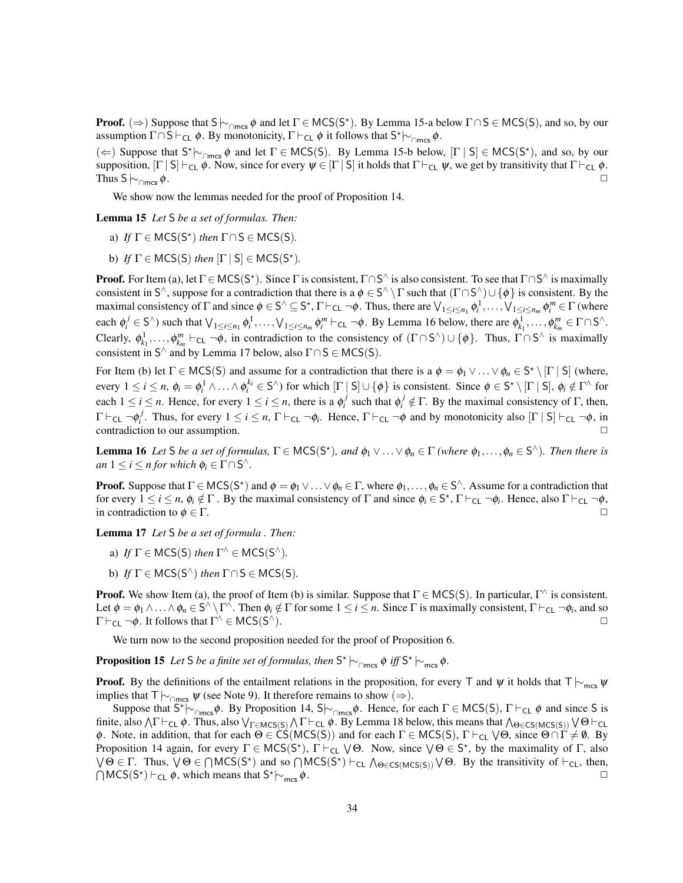**Proof.** ( $\Rightarrow$ ) Suppose that S  $\vdash_{\cap \text{mcs}} \phi$  and let  $\Gamma \in \text{MCS}(S^*)$ . By Lemma 15-a below  $\Gamma \cap S \in \text{MCS}(S)$ , and so, by our assumption  $\Gamma \cap S \vdash_{CL} \phi$ . By monotonicity,  $\Gamma \vdash_{CL} \phi$  it follows that  $S^{\star} \vdash_{\cap \text{mcs}} \phi$ .

(  $\Leftarrow$  ) Suppose that  $S^{\star}$   $\sim$   $\cap$   $\mathsf{mcs}$   $\phi$  and let  $\Gamma \in \mathsf{MCS}(S)$ . By Lemma 15-b below,  $[\Gamma \mid S] \in \mathsf{MCS}(S^{\star})$ , and so, by our supposition,  $[\Gamma \mid S] \vdash_{CL} \phi$ . Now, since for every  $\psi \in [\Gamma \mid S]$  it holds that  $\Gamma \vdash_{CL} \psi$ , we get by transitivity that  $\Gamma \vdash_{CL} \phi$ . Thus  $S \vdash_{\cap \text{mcs}} \phi$ .

We show now the lemmas needed for the proof of Proposition 14.

Lemma 15 *Let* S *be a set of formulas. Then:*

- a) *If*  $\Gamma \in \text{MCS}(S^*)$  *then*  $\Gamma \cap S \in \text{MCS}(S)$ *.*
- b) *If*  $\Gamma \in \text{MCS}(S)$  *then*  $[\Gamma | S] \in \text{MCS}(S^*)$ *.*

**Proof.** For Item (a), let  $\Gamma \in \mathsf{MCS}(S^*)$ . Since  $\Gamma$  is consistent,  $\Gamma \cap S^{\wedge}$  is also consistent. To see that  $\Gamma \cap S^{\wedge}$  is maximally consistent in S<sup> $\wedge$ </sup>, suppose for a contradiction that there is a  $\phi \in S^{\wedge} \setminus \Gamma$  such that  $(\Gamma \cap S^{\wedge}) \cup \{\phi\}$  is consistent. By the maximal consistency of  $\Gamma$  and since  $\phi \in S^{\wedge} \subseteq S^{\star}$ ,  $\Gamma \vdash_{\mathsf{CL}} \neg \phi$ . Thus, there are  $\bigvee_{1 \leq i \leq n_1} \phi_i^1, \dots, \bigvee_{1 \leq i \leq n_m} \phi_i^m \in \Gamma$  (where each  $\phi_i^j \in S^{\wedge}$ ) such that  $\bigvee_{1 \leq i \leq n_1} \phi_i^1, \dots, \bigvee_{1 \leq i \leq n_m} \phi_i^m \vdash_{\mathsf{CL}} \neg \phi$ . By Lemma 16 below, there are  $\phi_{k_1}^1, \dots, \phi_{k_m}^m \in \Gamma \cap S^{\wedge}$ . Clearly,  $\phi_{k_1}^1, \ldots, \phi_{k_m}^m \vdash_{\mathsf{CL}} \neg \phi$ , in contradiction to the consistency of  $(\Gamma \cap S^{\wedge}) \cup \{\phi\}$ . Thus,  $\Gamma \cap S^{\wedge}$  is maximally consistent in  $S^{\wedge}$  and by Lemma 17 below, also  $\Gamma \cap S \in \text{MCS}(S)$ .

For Item (b) let  $\Gamma \in \text{MCS}(S)$  and assume for a contradiction that there is a  $\phi = \phi_1 \vee ... \vee \phi_n \in S^* \setminus [\Gamma | S]$  (where, every  $1 \le i \le n$ ,  $\phi_i = \phi_i^1 \wedge \ldots \wedge \phi_i^{k_i} \in S^{\wedge}$ ) for which  $[\Gamma \mid S] \cup \{\phi\}$  is consistent. Since  $\phi \in S^{\star} \setminus [\Gamma \mid S]$ ,  $\phi_i \notin \Gamma^{\wedge}$  for each  $1 \le i \le n$ . Hence, for every  $1 \le i \le n$ , there is a  $\phi_i^j$  such that  $\phi_i^j \notin \Gamma$ . By the maximal consistency of  $\Gamma$ , then,  $\Gamma \vdash_{\mathsf{CL}} \neg \phi_i^j$ . Thus, for every  $1 \leq i \leq n$ ,  $\Gamma \vdash_{\mathsf{CL}} \neg \phi_i$ . Hence,  $\Gamma \vdash_{\mathsf{CL}} \neg \phi$  and by monotonicity also  $[\Gamma \mid \mathsf{S}] \vdash_{\mathsf{CL}} \neg \phi$ , in contradiction to our assumption.  $\Box$ 

**Lemma 16** Let S be a set of formulas,  $\Gamma \in \mathsf{MCS}(S^*)$ , and  $\phi_1 \vee \ldots \vee \phi_n \in \Gamma$  (where  $\phi_1, \ldots, \phi_n \in S^\wedge$ ). Then there is  $an\ 1 \leq i \leq n$  for which  $\phi_i \in \Gamma \cap \mathsf{S}^{\wedge}$ .

**Proof.** Suppose that  $\Gamma \in \mathsf{MCS}(S^*)$  and  $\phi = \phi_1 \vee \ldots \vee \phi_n \in \Gamma$ , where  $\phi_1, \ldots, \phi_n \in S^\wedge$ . Assume for a contradiction that for every  $1 \le i \le n$ ,  $\phi_i \notin \Gamma$ . By the maximal consistency of  $\Gamma$  and since  $\phi_i \in S^*$ ,  $\Gamma \vdash_{\text{CL}} \neg \phi_i$ . Hence, also  $\Gamma \vdash_{\text{CL}} \neg \phi$ , in contradiction to  $\phi \in \Gamma$ .

Lemma 17 *Let* S *be a set of formula . Then:*

- a) *If*  $\Gamma \in \text{MCS}(S)$  *then*  $\Gamma^{\wedge} \in \text{MCS}(S^{\wedge})$ *.*
- b) *If*  $\Gamma \in \text{MCS}(S^{\wedge})$  *then*  $\Gamma \cap S \in \text{MCS}(S)$ *.*

**Proof.** We show Item (a), the proof of Item (b) is similar. Suppose that  $\Gamma \in \text{MCS}(S)$ . In particular,  $\Gamma^{\wedge}$  is consistent. Let  $\phi = \phi_1 \wedge \ldots \wedge \phi_n \in S^{\wedge} \setminus \Gamma^{\wedge}$ . Then  $\phi_i \notin \Gamma$  for some  $1 \leq i \leq n$ . Since  $\Gamma$  is maximally consistent,  $\Gamma \vdash_{\mathsf{CL}} \neg \phi_i$ , and so  $\Gamma \vdash_{\mathsf{CL}} \neg \phi$ . It follows that  $\Gamma^\wedge \in \mathsf{MCS}(S)$  $\wedge$ ).

We turn now to the second proposition needed for the proof of Proposition 6.

**Proposition 15** Let S be a finite set of formulas, then  $S^{\star} \sim_{\cap \text{mcs}} \phi$  iff  $S^{\star} \sim_{\text{mcs}} \phi$ .

**Proof.** By the definitions of the entailment relations in the proposition, for every T and  $\psi$  it holds that T $\sim_{\text{mcs}} \psi$ implies that  $\top\,\vdash_{\cap\mathsf{mcs}}\psi$  (see Note 9). It therefore remains to show (⇒).

Suppose that  $S^{\star}$   $\sim$   $\sim$   $\sim$   $\sim$   $\mu$ . By Proposition 14,  $S$   $\sim$   $\sim$   $\sim$   $\mu$ . Hence, for each  $\Gamma \in \text{MCS}(S)$ ,  $\Gamma \vdash$   $\subset$   $\mu$  and since S is finite, also  $\bigwedge \Gamma\vdash_{\mathsf{CL}}\phi$ . Thus, also  $\bigvee_{\Gamma\in\mathsf{MCS}(\mathsf{S})}\bigwedge \Gamma\vdash_{\mathsf{CL}}\phi$ . By Lemma 18 below, this means that  $\bigwedge_{\Theta\in\mathsf{CS}(\mathsf{MCS}(\mathsf{S}))}\bigvee\Theta\vdash_{\mathsf{CL}}$ φ. Note, in addition, that for each  $\Theta \in \overline{CS}(MCS(S))$  and for each  $\Gamma \in MCS(S)$ ,  $\Gamma \vdash_{CL} \bigvee \Theta$ , since  $\Theta \cap \Gamma \neq \emptyset$ . By Proposition 14 again, for every  $\Gamma \in \mathsf{MCS}(S^*)$ ,  $\Gamma \vdash_{\mathsf{CL}} \bigvee \Theta$ . Now, since  $\bigvee \Theta \in S^*$ , by the maximality of  $\Gamma$ , also  $\forall \Theta \in \Gamma$ . Thus,  $\forall \Theta \in \bigcap \text{MCS}(S^*)$  and so  $\bigcap \text{MCS}(S^*) \vdash_{\text{CL}} \bigwedge_{\Theta \in \text{CS}(\text{MCS}(S))} \bigvee \Theta$ . By the transitivity of  $\vdash_{\text{CL}}$ , then,  $\bigcap MCS(S^{\star}) \vdash_{CL} \phi$ , which means that  $S^{\star}$  $\vdash$ <sub>mcs</sub>  $\phi$ .  $□$